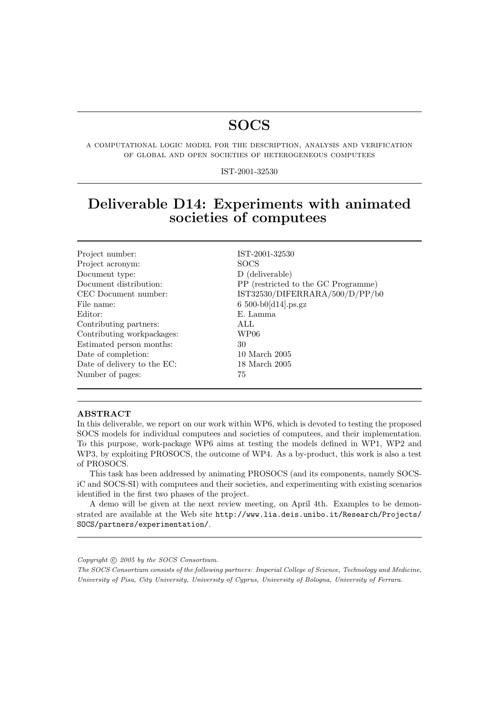# **SOCS**

a computational logic model for the description, analysis and verification of global and open societies of heterogeneous computees

IST-2001-32530

# Deliverable D14: Experiments with animated societies of computees

| Project number:             | IST-2001-32530                      |
|-----------------------------|-------------------------------------|
| Project acronym:            | <b>SOCS</b>                         |
| Document type:              | D (deliverable)                     |
| Document distribution:      | PP (restricted to the GC Programme) |
| CEC Document number:        | IST32530/DIFERRARA/500/D/PP/b0      |
| File name:                  | $6500-b0[d14]$ .ps.gz               |
| Editor:                     | E. Lamma                            |
| Contributing partners:      | ALL                                 |
| Contributing workpackages:  | WP06                                |
| Estimated person months:    | 30                                  |
| Date of completion:         | 10 March 2005                       |
| Date of delivery to the EC: | 18 March 2005                       |
| Number of pages:            | 75                                  |
|                             |                                     |

#### ABSTRACT

In this deliverable, we report on our work within WP6, which is devoted to testing the proposed SOCS models for individual computees and societies of computees, and their implementation. To this purpose, work-package WP6 aims at testing the models defined in WP1, WP2 and WP3, by exploiting PROSOCS, the outcome of WP4. As a by-product, this work is also a test of PROSOCS.

This task has been addressed by animating PROSOCS (and its components, namely SOCSiC and SOCS-SI) with computees and their societies, and experimenting with existing scenarios identified in the first two phases of the project.

A demo will be given at the next review meeting, on April 4th. Examples to be demonstrated are available at the Web site http://www.lia.deis.unibo.it/Research/Projects/ SOCS/partners/experimentation/.

Copyright  $\odot$  2005 by the SOCS Consortium.

The SOCS Consortium consists of the following partners: Imperial College of Science, Technology and Medicine, University of Pisa, City University, University of Cyprus, University of Bologna, University of Ferrara.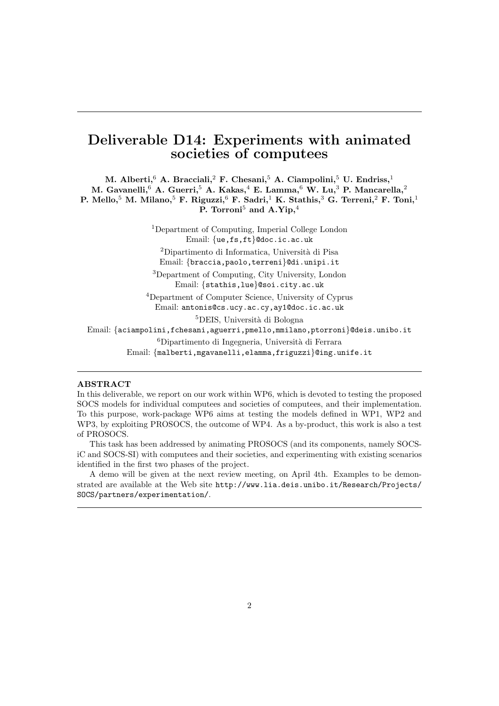## Deliverable D14: Experiments with animated societies of computees

M. Alberti,  $6$  A. Bracciali,  $2$  F. Chesani,  $5$  A. Ciampolini,  $5$  U. Endriss,  $1$ M. Gavanelli,  $6$  A. Guerri,  $5$  A. Kakas,  $4$  E. Lamma,  $6$  W. Lu,  $3$  P. Mancarella,  $2$ P. Mello,<sup>5</sup> M. Milano,<sup>5</sup> F. Riguzzi,<sup>6</sup> F. Sadri,<sup>1</sup> K. Stathis,<sup>3</sup> G. Terreni,<sup>2</sup> F. Toni,<sup>1</sup> P. Torroni<sup>5</sup> and A.Yip.<sup>4</sup>

> <sup>1</sup>Department of Computing, Imperial College London Email: {ue,fs,ft}@doc.ic.ac.uk <sup>2</sup>Dipartimento di Informatica, Università di Pisa

Email: {braccia,paolo,terreni}@di.unipi.it

<sup>3</sup>Department of Computing, City University, London Email: {stathis,lue}@soi.city.ac.uk

<sup>4</sup>Department of Computer Science, University of Cyprus Email: antonis@cs.ucy.ac.cy,ay1@doc.ic.ac.uk

<sup>5</sup>DEIS, Università di Bologna

Email: {aciampolini,fchesani,aguerri,pmello,mmilano,ptorroni}@deis.unibo.it

<sup>6</sup>Dipartimento di Ingegneria, Università di Ferrara

Email: {malberti,mgavanelli,elamma,friguzzi}@ing.unife.it

#### ABSTRACT

In this deliverable, we report on our work within WP6, which is devoted to testing the proposed SOCS models for individual computees and societies of computees, and their implementation. To this purpose, work-package WP6 aims at testing the models defined in WP1, WP2 and WP3, by exploiting PROSOCS, the outcome of WP4. As a by-product, this work is also a test of PROSOCS.

This task has been addressed by animating PROSOCS (and its components, namely SOCSiC and SOCS-SI) with computees and their societies, and experimenting with existing scenarios identified in the first two phases of the project.

A demo will be given at the next review meeting, on April 4th. Examples to be demonstrated are available at the Web site http://www.lia.deis.unibo.it/Research/Projects/ SOCS/partners/experimentation/.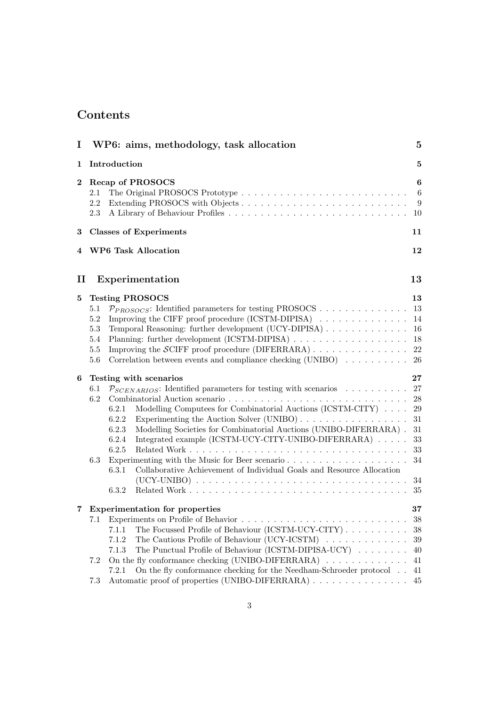## Contents

| I            | WP6: aims, methodology, task allocation                                                                                                                                                                                                                                                                                                                                                                                                                                                                                                                                                                                                                                                                                                                                                                                                                                                                          | $\mathbf{5}$                                                                                                     |
|--------------|------------------------------------------------------------------------------------------------------------------------------------------------------------------------------------------------------------------------------------------------------------------------------------------------------------------------------------------------------------------------------------------------------------------------------------------------------------------------------------------------------------------------------------------------------------------------------------------------------------------------------------------------------------------------------------------------------------------------------------------------------------------------------------------------------------------------------------------------------------------------------------------------------------------|------------------------------------------------------------------------------------------------------------------|
| 1            | Introduction                                                                                                                                                                                                                                                                                                                                                                                                                                                                                                                                                                                                                                                                                                                                                                                                                                                                                                     | $\bf{5}$                                                                                                         |
| $\bf{2}$     | Recap of PROSOCS<br>2.1<br>2.2<br>2.3                                                                                                                                                                                                                                                                                                                                                                                                                                                                                                                                                                                                                                                                                                                                                                                                                                                                            | 6<br>6<br>9<br>10                                                                                                |
| 3            | <b>Classes of Experiments</b>                                                                                                                                                                                                                                                                                                                                                                                                                                                                                                                                                                                                                                                                                                                                                                                                                                                                                    | 11                                                                                                               |
| 4            | <b>WP6 Task Allocation</b>                                                                                                                                                                                                                                                                                                                                                                                                                                                                                                                                                                                                                                                                                                                                                                                                                                                                                       | 12                                                                                                               |
| $\mathbf{I}$ | Experimentation                                                                                                                                                                                                                                                                                                                                                                                                                                                                                                                                                                                                                                                                                                                                                                                                                                                                                                  | 13                                                                                                               |
| 5<br>6       | <b>Testing PROSOCS</b><br>$\mathcal{P}_{PROSOCS}$ : Identified parameters for testing PROSOCS<br>5.1<br>Improving the CIFF proof procedure (ICSTM-DIPISA) $\ldots \ldots \ldots \ldots \ldots$<br>5.2<br>Temporal Reasoning: further development (UCY-DIPISA)<br>$5.3\,$<br>5.4<br>Improving the $\mathcal{S}ClFF$ proof procedure (DIFERRARA)<br>5.5<br>Correlation between events and compliance checking (UNIBO) $\dots \dots \dots$<br>5.6<br>Testing with scenarios<br>$\mathcal{P}_{SCENARIOS}$ : Identified parameters for testing with scenarios<br>6.1<br>6.2<br>Modelling Computees for Combinatorial Auctions (ICSTM-CITY)<br>6.2.1<br>6.2.2<br>Modelling Societies for Combinatorial Auctions (UNIBO-DIFERRARA).<br>6.2.3<br>Integrated example (ICSTM-UCY-CITY-UNIBO-DIFERRARA)<br>6.2.4<br>6.2.5<br>6.3<br>Collaborative Achievement of Individual Goals and Resource Allocation<br>6.3.1<br>6.3.2 | 13<br>13<br>14<br>16<br>18<br>22<br>26<br>27<br>27<br>28<br>29<br>$31\,$<br>31<br>$33\,$<br>33<br>34<br>34<br>35 |
|              | 7 Experimentation for properties<br>7.1<br>The Focussed Profile of Behaviour (ICSTM-UCY-CITY)<br>7.1.1<br>The Cautious Profile of Behaviour (UCY-ICSTM)<br>7.1.2<br>The Punctual Profile of Behaviour (ICSTM-DIPISA-UCY)<br>7.1.3<br>On the fly conformance checking (UNIBO-DIFERRARA) $\ldots \ldots \ldots \ldots$<br>7.2<br>On the fly conformance checking for the Needham-Schroeder protocol<br>7.2.1<br>Automatic proof of properties (UNIBO-DIFERRARA)<br>7.3                                                                                                                                                                                                                                                                                                                                                                                                                                             | 37<br>38<br>38<br>$39\,$<br>40<br>41<br>41<br>45                                                                 |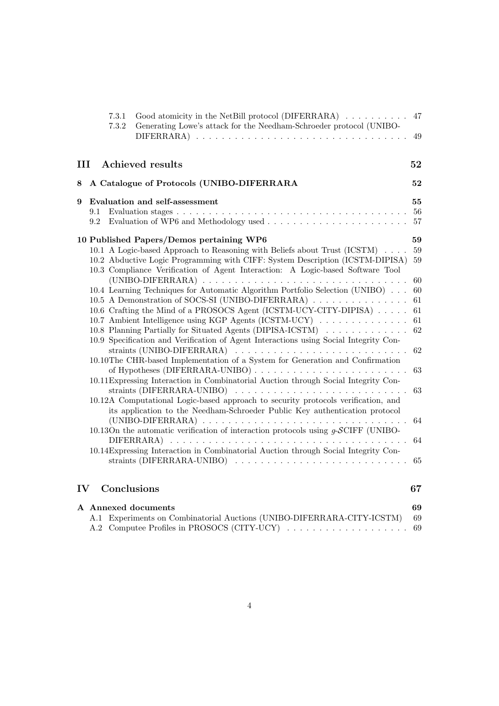|   |     | 7.3.1<br>7.3.2 | Good atomicity in the NetBill protocol (DIFERRARA) $\ldots \ldots \ldots$ 47<br>Generating Lowe's attack for the Needham-Schroeder protocol (UNIBO- | 49 |
|---|-----|----------------|-----------------------------------------------------------------------------------------------------------------------------------------------------|----|
| Ш |     |                | <b>Achieved results</b>                                                                                                                             | 52 |
| 8 |     |                | A Catalogue of Protocols (UNIBO-DIFERRARA                                                                                                           | 52 |
| 9 |     |                | Evaluation and self-assessment                                                                                                                      | 55 |
|   | 9.1 |                |                                                                                                                                                     | 56 |
|   | 9.2 |                |                                                                                                                                                     |    |
|   |     |                | 10 Published Papers/Demos pertaining WP6                                                                                                            | 59 |
|   |     |                | 10.1 A Logic-based Approach to Reasoning with Beliefs about Trust (ICSTM)                                                                           | 59 |
|   |     |                | 10.2 Abductive Logic Programming with CIFF: System Description (ICSTM-DIPISA)                                                                       | 59 |
|   |     |                | 10.3 Compliance Verification of Agent Interaction: A Logic-based Software Tool                                                                      |    |
|   |     |                |                                                                                                                                                     | 60 |
|   |     |                | 10.4 Learning Techniques for Automatic Algorithm Portfolio Selection (UNIBO)                                                                        | 60 |
|   |     |                | 10.5 A Demonstration of SOCS-SI (UNIBO-DIFERRARA)                                                                                                   | 61 |
|   |     |                | 10.6 Crafting the Mind of a PROSOCS Agent (ICSTM-UCY-CITY-DIPISA)                                                                                   | 61 |
|   |     |                | 10.7 Ambient Intelligence using KGP Agents (ICSTM-UCY)                                                                                              | 61 |
|   |     |                | 10.8 Planning Partially for Situated Agents (DIPISA-ICSTM)                                                                                          | 62 |
|   |     |                | 10.9 Specification and Verification of Agent Interactions using Social Integrity Con-                                                               |    |
|   |     |                | straints (UNIBO-DIFERRARA) $\ldots \ldots \ldots \ldots \ldots \ldots \ldots \ldots \ldots \ldots$                                                  | 62 |
|   |     |                | 10.10The CHR-based Implementation of a System for Generation and Confirmation                                                                       |    |
|   |     |                |                                                                                                                                                     | 63 |
|   |     |                | 10.11 Expressing Interaction in Combinatorial Auction through Social Integrity Con-                                                                 |    |
|   |     |                |                                                                                                                                                     | 63 |
|   |     |                | 10.12A Computational Logic-based approach to security protocols verification, and                                                                   |    |
|   |     |                | its application to the Needham-Schroeder Public Key authentication protocol                                                                         |    |
|   |     |                |                                                                                                                                                     | 64 |
|   |     |                | 10.13On the automatic verification of interaction protocols using $g$ -SCIFF (UNIBO-                                                                |    |
|   |     |                |                                                                                                                                                     | 64 |
|   |     |                | 10.14 Expressing Interaction in Combinatorial Auction through Social Integrity Con-                                                                 |    |
|   |     |                |                                                                                                                                                     | 65 |
|   |     |                |                                                                                                                                                     |    |

# IV Conclusions

| ×,<br>۰.<br>۰.<br>×<br>۰,<br>× |
|--------------------------------|
|--------------------------------|

|  | A Annexed documents                                                       | 69 |
|--|---------------------------------------------------------------------------|----|
|  | A.1 Experiments on Combinatorial Auctions (UNIBO-DIFERRARA-CITY-ICSTM) 69 |    |
|  |                                                                           |    |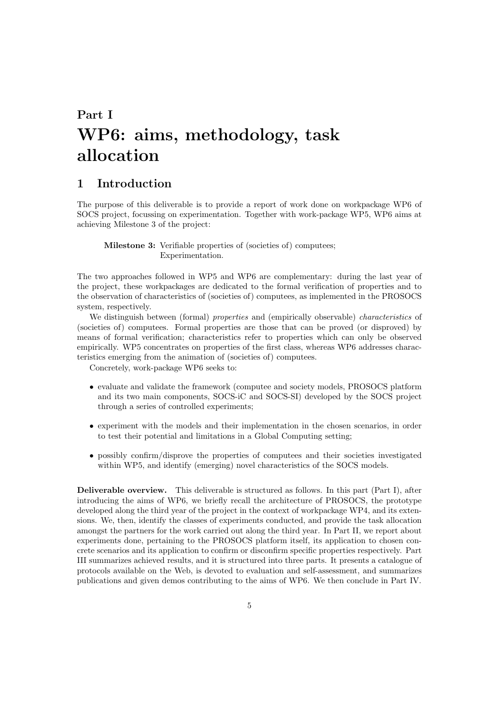# Part I WP6: aims, methodology, task allocation

### 1 Introduction

The purpose of this deliverable is to provide a report of work done on workpackage WP6 of SOCS project, focussing on experimentation. Together with work-package WP5, WP6 aims at achieving Milestone 3 of the project:

Milestone 3: Verifiable properties of (societies of) computees; Experimentation.

The two approaches followed in WP5 and WP6 are complementary: during the last year of the project, these workpackages are dedicated to the formal verification of properties and to the observation of characteristics of (societies of) computees, as implemented in the PROSOCS system, respectively.

We distinguish between (formal) *properties* and (empirically observable) *characteristics* of (societies of) computees. Formal properties are those that can be proved (or disproved) by means of formal verification; characteristics refer to properties which can only be observed empirically. WP5 concentrates on properties of the first class, whereas WP6 addresses characteristics emerging from the animation of (societies of) computees.

Concretely, work-package WP6 seeks to:

- evaluate and validate the framework (computee and society models, PROSOCS platform and its two main components, SOCS-iC and SOCS-SI) developed by the SOCS project through a series of controlled experiments;
- experiment with the models and their implementation in the chosen scenarios, in order to test their potential and limitations in a Global Computing setting;
- possibly confirm/disprove the properties of computees and their societies investigated within WP5, and identify (emerging) novel characteristics of the SOCS models.

Deliverable overview. This deliverable is structured as follows. In this part (Part I), after introducing the aims of WP6, we briefly recall the architecture of PROSOCS, the prototype developed along the third year of the project in the context of workpackage WP4, and its extensions. We, then, identify the classes of experiments conducted, and provide the task allocation amongst the partners for the work carried out along the third year. In Part II, we report about experiments done, pertaining to the PROSOCS platform itself, its application to chosen concrete scenarios and its application to confirm or disconfirm specific properties respectively. Part III summarizes achieved results, and it is structured into three parts. It presents a catalogue of protocols available on the Web, is devoted to evaluation and self-assessment, and summarizes publications and given demos contributing to the aims of WP6. We then conclude in Part IV.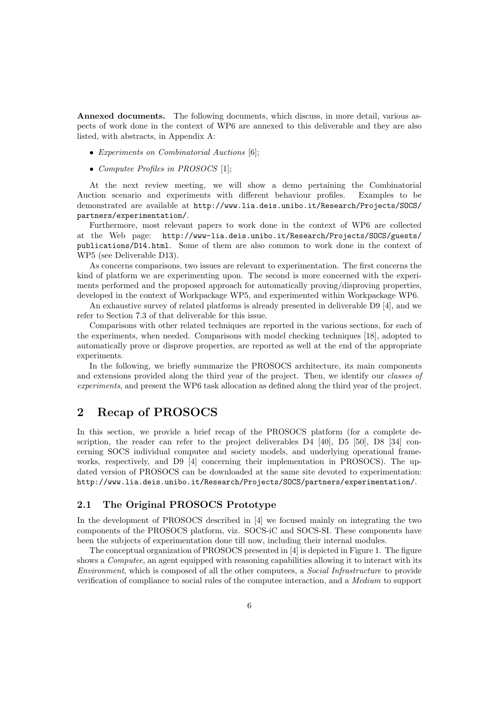Annexed documents. The following documents, which discuss, in more detail, various aspects of work done in the context of WP6 are annexed to this deliverable and they are also listed, with abstracts, in Appendix A:

- Experiments on Combinatorial Auctions [6];
- Computee Profiles in PROSOCS [1];

At the next review meeting, we will show a demo pertaining the Combinatorial Auction scenario and experiments with different behaviour profiles. Examples to be demonstrated are available at http://www.lia.deis.unibo.it/Research/Projects/SOCS/ partners/experimentation/.

Furthermore, most relevant papers to work done in the context of WP6 are collected at the Web page: http://www-lia.deis.unibo.it/Research/Projects/SOCS/guests/ publications/D14.html. Some of them are also common to work done in the context of WP5 (see Deliverable D13).

As concerns comparisons, two issues are relevant to experimentation. The first concerns the kind of platform we are experimenting upon. The second is more concerned with the experiments performed and the proposed approach for automatically proving/disproving properties, developed in the context of Workpackage WP5, and experimented within Workpackage WP6.

An exhaustive survey of related platforms is already presented in deliverable D9 [4], and we refer to Section 7.3 of that deliverable for this issue.

Comparisons with other related techniques are reported in the various sections, for each of the experiments, when needed. Comparisons with model checking techniques [18], adopted to automatically prove or disprove properties, are reported as well at the end of the appropriate experiments

In the following, we briefly summarize the PROSOCS architecture, its main components and extensions provided along the third year of the project. Then, we identify our classes of experiments, and present the WP6 task allocation as defined along the third year of the project.

### 2 Recap of PROSOCS

In this section, we provide a brief recap of the PROSOCS platform (for a complete description, the reader can refer to the project deliverables  $D4 \t[40]$ ,  $D5 \t[50]$ ,  $D8 \t[34]$  concerning SOCS individual computee and society models, and underlying operational frameworks, respectively, and D9 [4] concerning their implementation in PROSOCS). The updated version of PROSOCS can be downloaded at the same site devoted to experimentation: http://www.lia.deis.unibo.it/Research/Projects/SOCS/partners/experimentation/.

#### 2.1 The Original PROSOCS Prototype

In the development of PROSOCS described in [4] we focused mainly on integrating the two components of the PROSOCS platform, viz. SOCS-iC and SOCS-SI. These components have been the subjects of experimentation done till now, including their internal modules.

The conceptual organization of PROSOCS presented in [4] is depicted in Figure 1. The figure shows a *Computee*, an agent equipped with reasoning capabilities allowing it to interact with its Environment, which is composed of all the other computees, a Social Infrastructure to provide verification of compliance to social rules of the computee interaction, and a Medium to support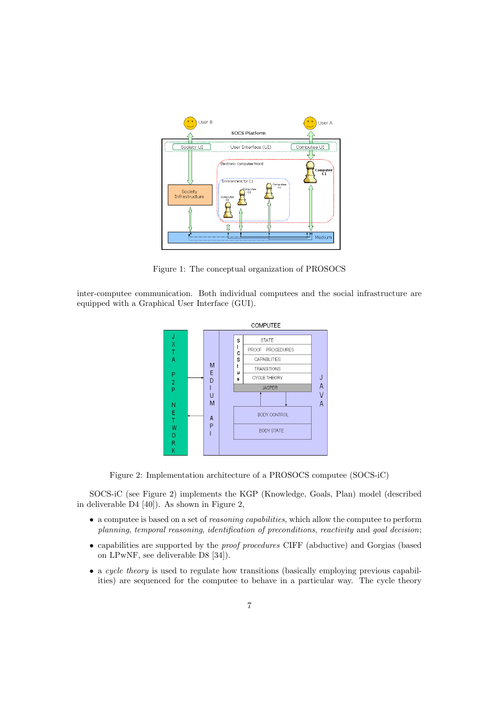

Figure 1: The conceptual organization of PROSOCS

inter-computee communication. Both individual computees and the social infrastructure are equipped with a Graphical User Interface (GUI).



Figure 2: Implementation architecture of a PROSOCS computee (SOCS-iC)

SOCS-iC (see Figure 2) implements the KGP (Knowledge, Goals, Plan) model (described in deliverable D4 [40]). As shown in Figure 2,

- a computee is based on a set of *reasoning capabilities*, which allow the computee to perform planning, temporal reasoning, identification of preconditions, reactivity and goal decision;
- capabilities are supported by the proof procedures CIFF (abductive) and Gorgias (based on LPwNF, see deliverable D8 [34]).
- a cycle theory is used to regulate how transitions (basically employing previous capabilities) are sequenced for the computee to behave in a particular way. The cycle theory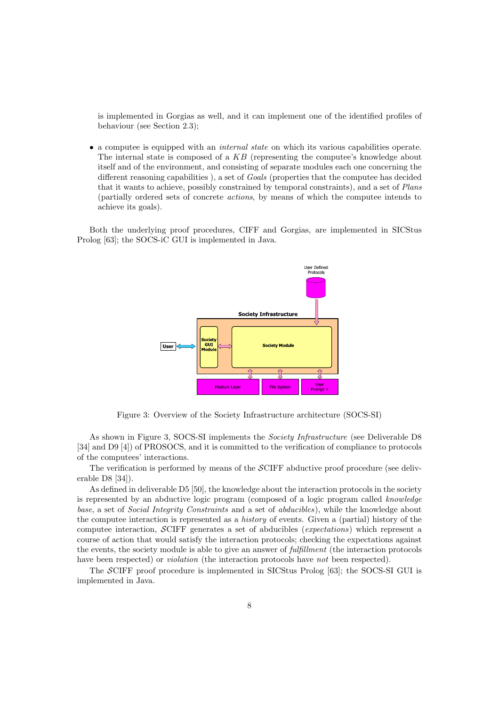is implemented in Gorgias as well, and it can implement one of the identified profiles of behaviour (see Section 2.3);

• a computee is equipped with an *internal state* on which its various capabilities operate. The internal state is composed of a KB (representing the computee's knowledge about itself and of the environment, and consisting of separate modules each one concerning the different reasoning capabilities ), a set of *Goals* (properties that the computee has decided that it wants to achieve, possibly constrained by temporal constraints), and a set of Plans (partially ordered sets of concrete actions, by means of which the computee intends to achieve its goals).

Both the underlying proof procedures, CIFF and Gorgias, are implemented in SICStus Prolog [63]; the SOCS-iC GUI is implemented in Java.



Figure 3: Overview of the Society Infrastructure architecture (SOCS-SI)

As shown in Figure 3, SOCS-SI implements the *Society Infrastructure* (see Deliverable D8 [34] and D9 [4]) of PROSOCS, and it is committed to the verification of compliance to protocols of the computees' interactions.

The verification is performed by means of the SCIFF abductive proof procedure (see deliverable D8 [34]).

As defined in deliverable D5 [50], the knowledge about the interaction protocols in the society is represented by an abductive logic program (composed of a logic program called knowledge base, a set of Social Integrity Constraints and a set of abducibles), while the knowledge about the computee interaction is represented as a history of events. Given a (partial) history of the computee interaction, SCIFF generates a set of abducibles (expectations) which represent a course of action that would satisfy the interaction protocols; checking the expectations against the events, the society module is able to give an answer of *fulfillment* (the interaction protocols have been respected) or *violation* (the interaction protocols have *not* been respected).

The SCIFF proof procedure is implemented in SICStus Prolog [63]; the SOCS-SI GUI is implemented in Java.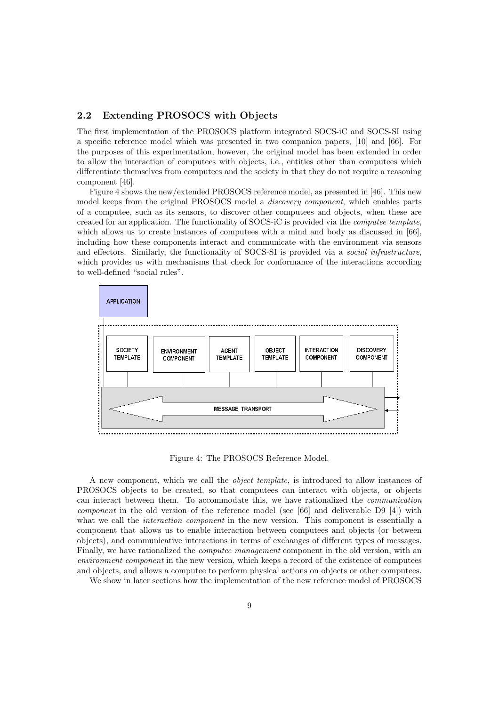#### 2.2 Extending PROSOCS with Objects

The first implementation of the PROSOCS platform integrated SOCS-iC and SOCS-SI using a specific reference model which was presented in two companion papers, [10] and [66]. For the purposes of this experimentation, however, the original model has been extended in order to allow the interaction of computees with objects, i.e., entities other than computees which differentiate themselves from computees and the society in that they do not require a reasoning component [46].

Figure 4 shows the new/extended PROSOCS reference model, as presented in [46]. This new model keeps from the original PROSOCS model a discovery component, which enables parts of a computee, such as its sensors, to discover other computees and objects, when these are created for an application. The functionality of SOCS-iC is provided via the computee template, which allows us to create instances of computees with a mind and body as discussed in [66], including how these components interact and communicate with the environment via sensors and effectors. Similarly, the functionality of SOCS-SI is provided via a social infrastructure, which provides us with mechanisms that check for conformance of the interactions according to well-defined "social rules".



Figure 4: The PROSOCS Reference Model.

A new component, which we call the object template, is introduced to allow instances of PROSOCS objects to be created, so that computees can interact with objects, or objects can interact between them. To accommodate this, we have rationalized the communication component in the old version of the reference model (see [66] and deliverable D9 [4]) with what we call the *interaction component* in the new version. This component is essentially a component that allows us to enable interaction between computees and objects (or between objects), and communicative interactions in terms of exchanges of different types of messages. Finally, we have rationalized the *computee management* component in the old version, with an environment component in the new version, which keeps a record of the existence of computees and objects, and allows a computee to perform physical actions on objects or other computees.

We show in later sections how the implementation of the new reference model of PROSOCS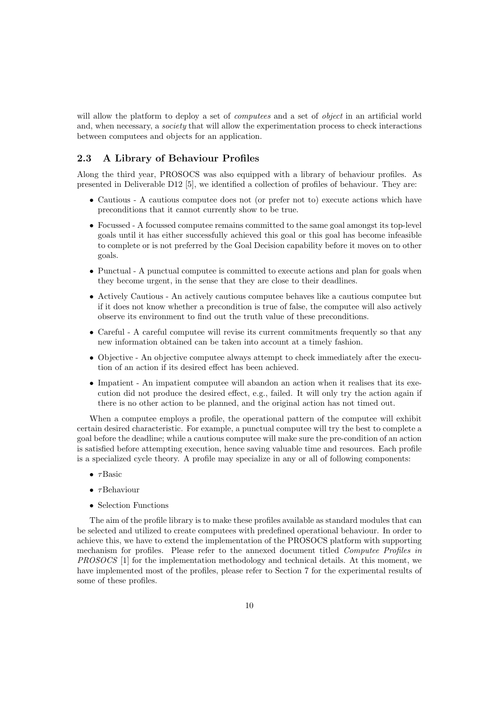will allow the platform to deploy a set of *computees* and a set of *object* in an artificial world and, when necessary, a *society* that will allow the experimentation process to check interactions between computees and objects for an application.

#### 2.3 A Library of Behaviour Profiles

Along the third year, PROSOCS was also equipped with a library of behaviour profiles. As presented in Deliverable D12 [5], we identified a collection of profiles of behaviour. They are:

- Cautious A cautious computee does not (or prefer not to) execute actions which have preconditions that it cannot currently show to be true.
- Focussed A focussed computee remains committed to the same goal amongst its top-level goals until it has either successfully achieved this goal or this goal has become infeasible to complete or is not preferred by the Goal Decision capability before it moves on to other goals.
- Punctual A punctual computee is committed to execute actions and plan for goals when they become urgent, in the sense that they are close to their deadlines.
- Actively Cautious An actively cautious computee behaves like a cautious computee but if it does not know whether a precondition is true of false, the computee will also actively observe its environment to find out the truth value of these preconditions.
- Careful A careful computee will revise its current commitments frequently so that any new information obtained can be taken into account at a timely fashion.
- Objective An objective computee always attempt to check immediately after the execution of an action if its desired effect has been achieved.
- Impatient An impatient computee will abandon an action when it realises that its execution did not produce the desired effect, e.g., failed. It will only try the action again if there is no other action to be planned, and the original action has not timed out.

When a computee employs a profile, the operational pattern of the computee will exhibit certain desired characteristic. For example, a punctual computee will try the best to complete a goal before the deadline; while a cautious computee will make sure the pre-condition of an action is satisfied before attempting execution, hence saving valuable time and resources. Each profile is a specialized cycle theory. A profile may specialize in any or all of following components:

- $\bullet$   $\tau$ Basic
- $\bullet$   $\tau$ Behaviour
- Selection Functions

The aim of the profile library is to make these profiles available as standard modules that can be selected and utilized to create computees with predefined operational behaviour. In order to achieve this, we have to extend the implementation of the PROSOCS platform with supporting mechanism for profiles. Please refer to the annexed document titled Computee Profiles in PROSOCS [1] for the implementation methodology and technical details. At this moment, we have implemented most of the profiles, please refer to Section 7 for the experimental results of some of these profiles.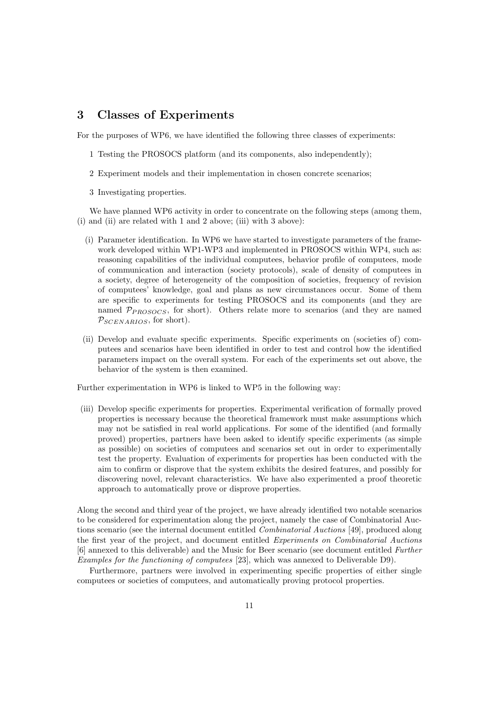### 3 Classes of Experiments

For the purposes of WP6, we have identified the following three classes of experiments:

- 1 Testing the PROSOCS platform (and its components, also independently);
- 2 Experiment models and their implementation in chosen concrete scenarios;
- 3 Investigating properties.

We have planned WP6 activity in order to concentrate on the following steps (among them, (i) and (ii) are related with 1 and 2 above; (iii) with 3 above):

- (i) Parameter identification. In WP6 we have started to investigate parameters of the framework developed within WP1-WP3 and implemented in PROSOCS within WP4, such as: reasoning capabilities of the individual computees, behavior profile of computees, mode of communication and interaction (society protocols), scale of density of computees in a society, degree of heterogeneity of the composition of societies, frequency of revision of computees' knowledge, goal and plans as new circumstances occur. Some of them are specific to experiments for testing PROSOCS and its components (and they are named  $\mathcal{P}_{PROSOCS}$ , for short). Others relate more to scenarios (and they are named  $P_{SCENARIOS}$ , for short).
- (ii) Develop and evaluate specific experiments. Specific experiments on (societies of) computees and scenarios have been identified in order to test and control how the identified parameters impact on the overall system. For each of the experiments set out above, the behavior of the system is then examined.

Further experimentation in WP6 is linked to WP5 in the following way:

(iii) Develop specific experiments for properties. Experimental verification of formally proved properties is necessary because the theoretical framework must make assumptions which may not be satisfied in real world applications. For some of the identified (and formally proved) properties, partners have been asked to identify specific experiments (as simple as possible) on societies of computees and scenarios set out in order to experimentally test the property. Evaluation of experiments for properties has been conducted with the aim to confirm or disprove that the system exhibits the desired features, and possibly for discovering novel, relevant characteristics. We have also experimented a proof theoretic approach to automatically prove or disprove properties.

Along the second and third year of the project, we have already identified two notable scenarios to be considered for experimentation along the project, namely the case of Combinatorial Auctions scenario (see the internal document entitled Combinatorial Auctions [49], produced along the first year of the project, and document entitled Experiments on Combinatorial Auctions [6] annexed to this deliverable) and the Music for Beer scenario (see document entitled Further Examples for the functioning of computees [23], which was annexed to Deliverable D9).

Furthermore, partners were involved in experimenting specific properties of either single computees or societies of computees, and automatically proving protocol properties.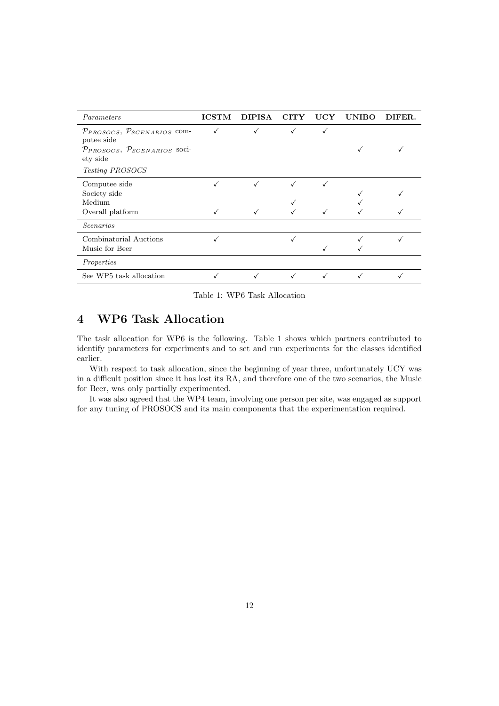| Parameters                                      | <b>ICSTM</b> | <b>DIPISA</b> | <b>CITY</b> | $_{\rm UCY}$ | <b>UNIBO</b> | DIFER. |
|-------------------------------------------------|--------------|---------------|-------------|--------------|--------------|--------|
| $P_{PROSOCS}, P_{SCENARIOS}$ com-<br>putee side |              |               |             |              |              |        |
| $p_{PROSOCS}, p_{SCENARIOS}$ soci-<br>ety side  |              |               |             |              |              |        |
| Testing PROSOCS                                 |              |               |             |              |              |        |
| Computee side<br>Society side<br>Medium         |              | ✓             | √           |              |              |        |
| Overall platform                                |              |               |             |              |              |        |
| <i>Scenarios</i>                                |              |               |             |              |              |        |
| Combinatorial Auctions<br>Music for Beer        |              |               |             |              |              |        |
| Properties                                      |              |               |             |              |              |        |
| See WP5 task allocation                         |              |               |             |              |              |        |

Table 1: WP6 Task Allocation

### 4 WP6 Task Allocation

The task allocation for WP6 is the following. Table 1 shows which partners contributed to identify parameters for experiments and to set and run experiments for the classes identified earlier.

With respect to task allocation, since the beginning of year three, unfortunately UCY was in a difficult position since it has lost its RA, and therefore one of the two scenarios, the Music for Beer, was only partially experimented.

It was also agreed that the WP4 team, involving one person per site, was engaged as support for any tuning of PROSOCS and its main components that the experimentation required.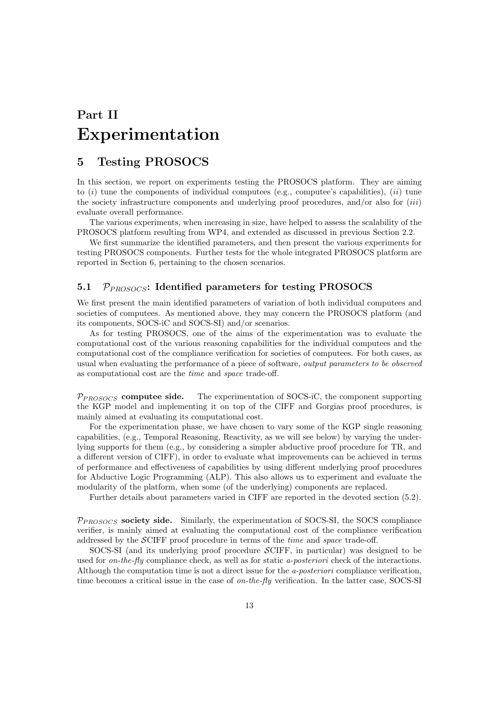# Part II Experimentation

### 5 Testing PROSOCS

In this section, we report on experiments testing the PROSOCS platform. They are aiming to  $(i)$  tune the components of individual computees (e.g., computee's capabilities),  $(ii)$  tune the society infrastructure components and underlying proof procedures, and/or also for  $(iii)$ evaluate overall performance.

The various experiments, when increasing in size, have helped to assess the scalability of the PROSOCS platform resulting from WP4, and extended as discussed in previous Section 2.2.

We first summarize the identified parameters, and then present the various experiments for testing PROSOCS components. Further tests for the whole integrated PROSOCS platform are reported in Section 6, pertaining to the chosen scenarios.

#### 5.1  $P_{PROSOCS}$ : Identified parameters for testing PROSOCS

We first present the main identified parameters of variation of both individual computees and societies of computees. As mentioned above, they may concern the PROSOCS platform (and its components, SOCS-iC and SOCS-SI) and/or scenarios.

As for testing PROSOCS, one of the aims of the experimentation was to evaluate the computational cost of the various reasoning capabilities for the individual computees and the computational cost of the compliance verification for societies of computees. For both cases, as usual when evaluating the performance of a piece of software, output parameters to be observed as computational cost are the time and space trade-off.

 $P_{PROSOCS}$  computee side. The experimentation of SOCS-iC, the component supporting the KGP model and implementing it on top of the CIFF and Gorgias proof procedures, is mainly aimed at evaluating its computational cost.

For the experimentation phase, we have chosen to vary some of the KGP single reasoning capabilities, (e.g., Temporal Reasoning, Reactivity, as we will see below) by varying the underlying supports for them (e.g., by considering a simpler abductive proof procedure for TR, and a different version of CIFF), in order to evaluate what improvements can be achieved in terms of performance and effectiveness of capabilities by using different underlying proof procedures for Abductive Logic Programming (ALP). This also allows us to experiment and evaluate the modularity of the platform, when some (of the underlying) components are replaced.

Further details about parameters varied in CIFF are reported in the devoted section (5.2).

 $P<sub>PROSOCS</sub>$  society side. Similarly, the experimentation of SOCS-SI, the SOCS compliance verifier, is mainly aimed at evaluating the computational cost of the compliance verification addressed by the SCIFF proof procedure in terms of the time and space trade-off.

SOCS-SI (and its underlying proof procedure SCIFF, in particular) was designed to be used for *on-the-fly* compliance check, as well as for static *a-posteriori* check of the interactions. Although the computation time is not a direct issue for the a-posteriori compliance verification, time becomes a critical issue in the case of *on-the-fly* verification. In the latter case, SOCS-SI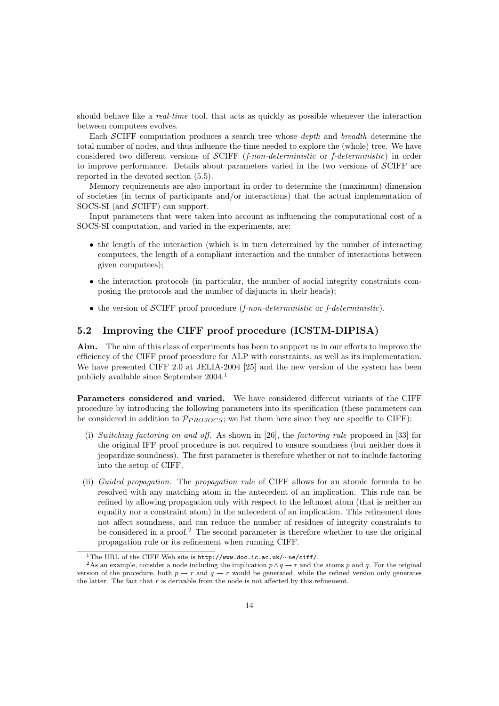should behave like a *real-time* tool, that acts as quickly as possible whenever the interaction between computees evolves.

Each SCIFF computation produces a search tree whose *depth* and *breadth* determine the total number of nodes, and thus influence the time needed to explore the (whole) tree. We have considered two different versions of SCIFF (f-non-deterministic or f-deterministic) in order to improve performance. Details about parameters varied in the two versions of SCIFF are reported in the devoted section (5.5).

Memory requirements are also important in order to determine the (maximum) dimension of societies (in terms of participants and/or interactions) that the actual implementation of SOCS-SI (and SCIFF) can support.

Input parameters that were taken into account as influencing the computational cost of a SOCS-SI computation, and varied in the experiments, are:

- the length of the interaction (which is in turn determined by the number of interacting computees, the length of a compliant interaction and the number of interactions between given computees);
- the interaction protocols (in particular, the number of social integrity constraints composing the protocols and the number of disjuncts in their heads);
- the version of  $\mathcal{S}$ CIFF proof procedure (*f-non-deterministic* or *f-deterministic*).

#### 5.2 Improving the CIFF proof procedure (ICSTM-DIPISA)

Aim. The aim of this class of experiments has been to support us in our efforts to improve the efficiency of the CIFF proof procedure for ALP with constraints, as well as its implementation. We have presented CIFF 2.0 at JELIA-2004 [25] and the new version of the system has been publicly available since September 2004.<sup>1</sup>

Parameters considered and varied. We have considered different variants of the CIFF procedure by introducing the following parameters into its specification (these parameters can be considered in addition to  $\mathcal{P}_{PROSOCS}$ ; we list them here since they are specific to CIFF):

- (i) Switching factoring on and off. As shown in [26], the factoring rule proposed in [33] for the original IFF proof procedure is not required to ensure soundness (but neither does it jeopardize soundness). The first parameter is therefore whether or not to include factoring into the setup of CIFF.
- (ii) Guided propagation. The propagation rule of CIFF allows for an atomic formula to be resolved with any matching atom in the antecedent of an implication. This rule can be refined by allowing propagation only with respect to the leftmost atom (that is neither an equality nor a constraint atom) in the antecedent of an implication. This refinement does not affect soundness, and can reduce the number of residues of integrity constraints to be considered in a proof.<sup>2</sup> The second parameter is therefore whether to use the original propagation rule or its refinement when running CIFF.

<sup>1</sup>The URL of the CIFF Web site is http://www.doc.ic.ac.uk/∼ue/ciff/.

<sup>&</sup>lt;sup>2</sup>As an example, consider a node including the implication  $p \wedge q \to r$  and the atoms p and q. For the original version of the procedure, both  $p \to r$  and  $q \to r$  would be generated, while the refined version only generates the latter. The fact that  $r$  is derivable from the node is not affected by this refinement.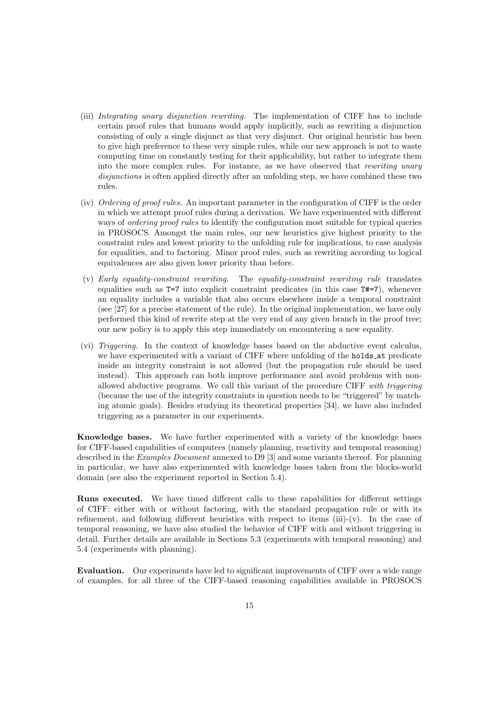- (iii) Integrating unary disjunction rewriting. The implementation of CIFF has to include certain proof rules that humans would apply implicitly, such as rewriting a disjunction consisting of only a single disjunct as that very disjunct. Our original heuristic has been to give high preference to these very simple rules, while our new approach is not to waste computing time on constantly testing for their applicability, but rather to integrate them into the more complex rules. For instance, as we have observed that *rewriting unary* disjunctions is often applied directly after an unfolding step, we have combined these two rules.
- (iv) Ordering of proof rules. An important parameter in the configuration of CIFF is the order in which we attempt proof rules during a derivation. We have experimented with different ways of *ordering proof rules* to identify the configuration most suitable for typical queries in PROSOCS. Amongst the main rules, our new heuristics give highest priority to the constraint rules and lowest priority to the unfolding rule for implications, to case analysis for equalities, and to factoring. Minor proof rules, such as rewriting according to logical equivalences are also given lower priority than before.
- (v) Early equality-constraint rewriting. The equality-constraint rewriting rule translates equalities such as  $T=7$  into explicit constraint predicates (in this case  $T\#=7$ ), whenever an equality includes a variable that also occurs elsewhere inside a temporal constraint (see [27] for a precise statement of the rule). In the original implementation, we have only performed this kind of rewrite step at the very end of any given branch in the proof tree; our new policy is to apply this step immediately on encountering a new equality.
- (vi) Triggering. In the context of knowledge bases based on the abductive event calculus, we have experimented with a variant of CIFF where unfolding of the holds at predicate inside an integrity constraint is not allowed (but the propagation rule should be used instead). This approach can both improve performance and avoid problems with nonallowed abductive programs. We call this variant of the procedure CIFF with triggering (because the use of the integrity constraints in question needs to be "triggered" by matching atomic goals). Besides studying its theoretical properties [34], we have also included triggering as a parameter in our experiments.

Knowledge bases. We have further experimented with a variety of the knowledge bases for CIFF-based capabilities of computees (namely planning, reactivity and temporal reasoning) described in the Examples Document annexed to D9 [3] and some variants thereof. For planning in particular, we have also experimented with knowledge bases taken from the blocks-world domain (see also the experiment reported in Section 5.4).

Runs executed. We have timed different calls to these capabilities for different settings of CIFF: either with or without factoring, with the standard propagation rule or with its refinement, and following different heuristics with respect to items (iii)-(v). In the case of temporal reasoning, we have also studied the behavior of CIFF with and without triggering in detail. Further details are available in Sections 5.3 (experiments with temporal reasoning) and 5.4 (experiments with planning).

Evaluation. Our experiments have led to significant improvements of CIFF over a wide range of examples, for all three of the CIFF-based reasoning capabilities available in PROSOCS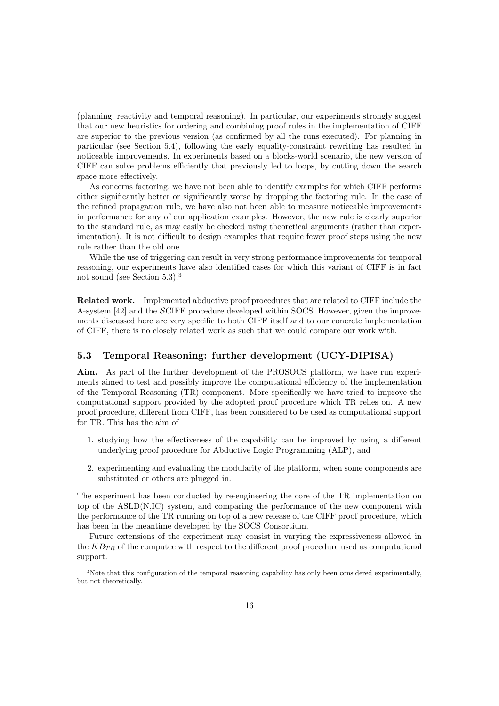(planning, reactivity and temporal reasoning). In particular, our experiments strongly suggest that our new heuristics for ordering and combining proof rules in the implementation of CIFF are superior to the previous version (as confirmed by all the runs executed). For planning in particular (see Section 5.4), following the early equality-constraint rewriting has resulted in noticeable improvements. In experiments based on a blocks-world scenario, the new version of CIFF can solve problems efficiently that previously led to loops, by cutting down the search space more effectively.

As concerns factoring, we have not been able to identify examples for which CIFF performs either significantly better or significantly worse by dropping the factoring rule. In the case of the refined propagation rule, we have also not been able to measure noticeable improvements in performance for any of our application examples. However, the new rule is clearly superior to the standard rule, as may easily be checked using theoretical arguments (rather than experimentation). It is not difficult to design examples that require fewer proof steps using the new rule rather than the old one.

While the use of triggering can result in very strong performance improvements for temporal reasoning, our experiments have also identified cases for which this variant of CIFF is in fact not sound (see Section 5.3).<sup>3</sup>

Related work. Implemented abductive proof procedures that are related to CIFF include the A-system [42] and the SCIFF procedure developed within SOCS. However, given the improvements discussed here are very specific to both CIFF itself and to our concrete implementation of CIFF, there is no closely related work as such that we could compare our work with.

#### 5.3 Temporal Reasoning: further development (UCY-DIPISA)

Aim. As part of the further development of the PROSOCS platform, we have run experiments aimed to test and possibly improve the computational efficiency of the implementation of the Temporal Reasoning (TR) component. More specifically we have tried to improve the computational support provided by the adopted proof procedure which TR relies on. A new proof procedure, different from CIFF, has been considered to be used as computational support for TR. This has the aim of

- 1. studying how the effectiveness of the capability can be improved by using a different underlying proof procedure for Abductive Logic Programming (ALP), and
- 2. experimenting and evaluating the modularity of the platform, when some components are substituted or others are plugged in.

The experiment has been conducted by re-engineering the core of the TR implementation on top of the ASLD(N,IC) system, and comparing the performance of the new component with the performance of the TR running on top of a new release of the CIFF proof procedure, which has been in the meantime developed by the SOCS Consortium.

Future extensions of the experiment may consist in varying the expressiveness allowed in the  $K_{TR}$  of the computee with respect to the different proof procedure used as computational support.

<sup>&</sup>lt;sup>3</sup>Note that this configuration of the temporal reasoning capability has only been considered experimentally, but not theoretically.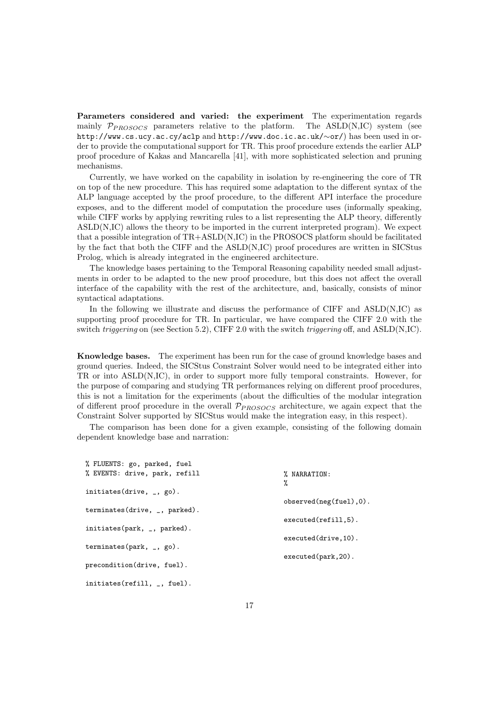Parameters considered and varied: the experiment The experimentation regards mainly  $\mathcal{P}_{PROSOCS}$  parameters relative to the platform. The ASLD(N,IC) system (see http://www.cs.ucy.ac.cy/aclp and http://www.doc.ic.ac.uk/∼or/) has been used in order to provide the computational support for TR. This proof procedure extends the earlier ALP proof procedure of Kakas and Mancarella [41], with more sophisticated selection and pruning mechanisms.

Currently, we have worked on the capability in isolation by re-engineering the core of TR on top of the new procedure. This has required some adaptation to the different syntax of the ALP language accepted by the proof procedure, to the different API interface the procedure exposes, and to the different model of computation the procedure uses (informally speaking, while CIFF works by applying rewriting rules to a list representing the ALP theory, differently ASLD(N,IC) allows the theory to be imported in the current interpreted program). We expect that a possible integration of TR+ASLD(N,IC) in the PROSOCS platform should be facilitated by the fact that both the CIFF and the ASLD(N,IC) proof procedures are written in SICStus Prolog, which is already integrated in the engineered architecture.

The knowledge bases pertaining to the Temporal Reasoning capability needed small adjustments in order to be adapted to the new proof procedure, but this does not affect the overall interface of the capability with the rest of the architecture, and, basically, consists of minor syntactical adaptations.

In the following we illustrate and discuss the performance of CIFF and ASLD(N,IC) as supporting proof procedure for TR. In particular, we have compared the CIFF 2.0 with the switch *triggering* on (see Section 5.2), CIFF 2.0 with the switch *triggering* off, and ASLD(N,IC).

Knowledge bases. The experiment has been run for the case of ground knowledge bases and ground queries. Indeed, the SICStus Constraint Solver would need to be integrated either into TR or into ASLD(N,IC), in order to support more fully temporal constraints. However, for the purpose of comparing and studying TR performances relying on different proof procedures, this is not a limitation for the experiments (about the difficulties of the modular integration of different proof procedure in the overall  $P_{PROSOCS}$  architecture, we again expect that the Constraint Solver supported by SICStus would make the integration easy, in this respect).

The comparison has been done for a given example, consisting of the following domain dependent knowledge base and narration:

| % FLUENTS: go, parked, fuel                          |                            |
|------------------------------------------------------|----------------------------|
| % EVENTS: drive, park, refill                        | % NARRATION:               |
|                                                      | %                          |
| initiates (drive, $_{-}$ , go).                      |                            |
|                                                      | $observed(neg(fuel), 0)$ . |
| terminates(drive, $_{-}$ , parked).                  |                            |
|                                                      | $executed(refill,5)$ .     |
| initiates (park, $\overline{\phantom{a}}$ , parked). |                            |
|                                                      | $executed(drive, 10)$ .    |
| terminates (park, $_{-}$ , go).                      |                            |
|                                                      | $executed(park, 20)$ .     |
| precondition(drive, fuel).                           |                            |
| initiates (refill, $\overline{\phantom{a}}$ , fuel). |                            |
|                                                      |                            |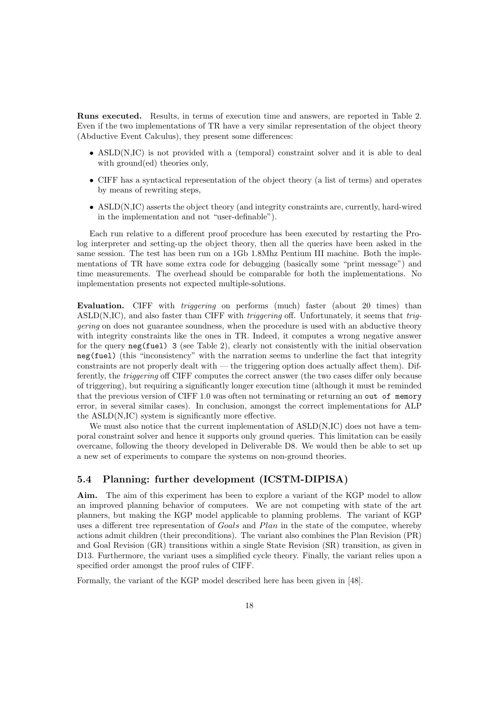Runs executed. Results, in terms of execution time and answers, are reported in Table 2. Even if the two implementations of TR have a very similar representation of the object theory (Abductive Event Calculus), they present some differences:

- ASLD(N,IC) is not provided with a (temporal) constraint solver and it is able to deal with ground(ed) theories only,
- CIFF has a syntactical representation of the object theory (a list of terms) and operates by means of rewriting steps,
- ASLD(N,IC) asserts the object theory (and integrity constraints are, currently, hard-wired in the implementation and not "user-definable").

Each run relative to a different proof procedure has been executed by restarting the Prolog interpreter and setting-up the object theory, then all the queries have been asked in the same session. The test has been run on a 1Gb 1.8Mhz Pentium III machine. Both the implementations of TR have some extra code for debugging (basically some "print message") and time measurements. The overhead should be comparable for both the implementations. No implementation presents not expected multiple-solutions.

Evaluation. CIFF with triggering on performs (much) faster (about 20 times) than ASLD(N,IC), and also faster than CIFF with *triggering* off. Unfortunately, it seems that *trig*gering on does not guarantee soundness, when the procedure is used with an abductive theory with integrity constraints like the ones in TR. Indeed, it computes a wrong negative answer for the query  $neg(fuel)$  3 (see Table 2), clearly not consistently with the initial observation neg(fuel) (this "inconsistency" with the narration seems to underline the fact that integrity constraints are not properly dealt with — the triggering option does actually affect them). Differently, the triggering off CIFF computes the correct answer (the two cases differ only because of triggering), but requiring a significantly longer execution time (although it must be reminded that the previous version of CIFF 1.0 was often not terminating or returning an out of memory error, in several similar cases). In conclusion, amongst the correct implementations for ALP the ASLD(N,IC) system is significantly more effective.

We must also notice that the current implementation of  $ASLD(N,IC)$  does not have a temporal constraint solver and hence it supports only ground queries. This limitation can be easily overcame, following the theory developed in Deliverable D8. We would then be able to set up a new set of experiments to compare the systems on non-ground theories.

#### 5.4 Planning: further development (ICSTM-DIPISA)

Aim. The aim of this experiment has been to explore a variant of the KGP model to allow an improved planning behavior of computees. We are not competing with state of the art planners, but making the KGP model applicable to planning problems. The variant of KGP uses a different tree representation of Goals and Plan in the state of the computee, whereby actions admit children (their preconditions). The variant also combines the Plan Revision (PR) and Goal Revision (GR) transitions within a single State Revision (SR) transition, as given in D13. Furthermore, the variant uses a simplified cycle theory. Finally, the variant relies upon a specified order amongst the proof rules of CIFF.

Formally, the variant of the KGP model described here has been given in [48].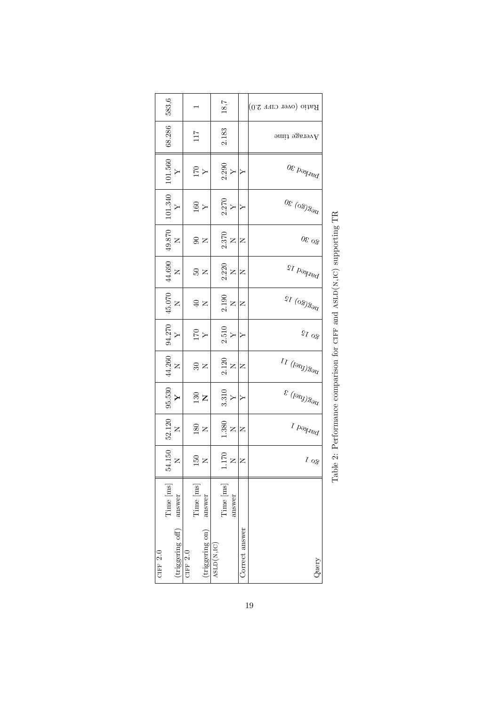|            | 583, 6                                                                 |                           |            |           |                                                |            | 18,7             |                   |                | Ratio (over CIFF 2.0)                                         |
|------------|------------------------------------------------------------------------|---------------------------|------------|-----------|------------------------------------------------|------------|------------------|-------------------|----------------|---------------------------------------------------------------|
|            | 68.286                                                                 |                           |            | 711       |                                                |            | 2.183            |                   |                | $\pm$ ndit agersv $A$                                         |
|            | $\frac{101.560}{Y}$                                                    |                           |            |           | $\frac{1}{\Delta}$                             |            |                  | $\frac{2.290}{Y}$ | 1≻             | $\frac{1}{2} \log \frac{1}{20}$                               |
|            | $\begin{array}{c} 101.340 \\ Y \end{array}$                            |                           |            |           | $\frac{160}{Y}$                                |            | $2.270$<br>Y     |                   |                | $\frac{1}{2}$ (08) $\frac{30}{2}$                             |
|            | $^{19.870}_{\phantom{1}\phantom{1}\phantom{1}\phantom{1}\mathrm{N}}$ N |                           |            |           | $\approx$ $\approx$                            |            | $2.370$ $\times$ |                   | Z              | $\delta^{\rm O}$ 30                                           |
|            | $_{\rm 14.690}^{\rm 44.690}$                                           |                           |            |           | ន<br>ន                                         |            | $2.220$ $\times$ |                   | z              | parked 15                                                     |
|            | $^{45.070}_{\phantom{00}\mathrm{N}}$                                   |                           |            |           | $\approx$                                      |            | $2.190$<br>$X$   |                   | z              | $v_{\rm eq}(\xi_0)$ $l_5$                                     |
|            | $_{\rm Y}^{\rm 134}$ $_{\rm Y}^{\rm 270}$                              |                           |            |           | $\frac{X}{\Delta L}$                           |            | $2.510$<br>$Y$   |                   | ≻              | $\Omega$ og                                                   |
|            | $\begin{array}{c}\n4.260 \\ \hline\nN\n\end{array}$                    |                           |            |           | $\frac{1}{25}$ $\approx$                       |            | $2.120$ $\rm N$  |                   | Z              | $\eta_{\partial\partial\mathcal{Y}}(q_{\partial\mathcal{Y}})$ |
|            | $\begin{array}{c} 95.530 \\ \textbf{Y} \end{array}$                    |                           |            |           | $\frac{30}{13}$                                |            |                  | $\frac{3.310}{Y}$ | '≻             | $v_{\rm eq}(\hbar\omega)$ 3                                   |
|            | $52.120$ $\,$ N                                                        |                           |            |           | $_{\rm 180}^{\rm 50}$                          |            | $1.380$<br>N     |                   | Z              | $\frac{1}{2}$                                                 |
|            | $54.150$ ${\rm N}$                                                     |                           |            |           | $^{150}_{\phantom{1}\phantom{1}\phantom{1}}$ K |            |                  | $\frac{170}{N}$   | 1z             | $\zeta$ o $\zeta$                                             |
|            | Time [ms]                                                              | answer                    |            | Time [ms] | answer                                         |            | Time [ms]        | answer            |                |                                                               |
| CIFF $2.0$ |                                                                        | $(\text{triggering off})$ | CIFF $2.0$ |           | (triggering on)                                | ASLD(N,IC) |                  |                   | Correct answer | Query                                                         |

Table 2: Performance comparison for CIFF and  ${\rm ASLD}({\rm N},{\rm IC})$  supporting TR Table 2: Performance comparison for ciff and asld(n,ic) supporting TR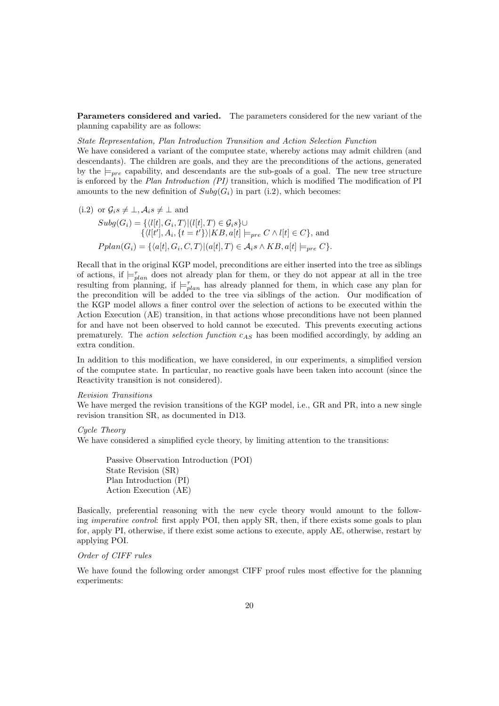Parameters considered and varied. The parameters considered for the new variant of the planning capability are as follows:

#### State Representation, Plan Introduction Transition and Action Selection Function

We have considered a variant of the computee state, whereby actions may admit children (and descendants). The children are goals, and they are the preconditions of the actions, generated by the  $\models_{pre}$  capability, and descendants are the sub-goals of a goal. The new tree structure is enforced by the Plan Introduction (PI) transition, which is modified The modification of PI amounts to the new definition of  $Subg(G_i)$  in part (i.2), which becomes:

(i.2) or  $\mathcal{G}_{i} s \neq \perp, \mathcal{A}_{i} s \neq \perp$  and  $Subg(G_i) = \{ \langle l[t], G_i, T \rangle | (l[t], T) \in \mathcal{G}_i \} \cup$  $\{\langle l[t'], A_i, \{t = t'\}\rangle | KB, a[t] \models_{pre} C \wedge l[t] \in C\},\$ and  $Pplan(G_i) = \{ \langle a[t], G_i, C, T \rangle | (a[t], T) \in \mathcal{A}_i \land KB, a[t] \models_{pre} C \}.$ 

Recall that in the original KGP model, preconditions are either inserted into the tree as siblings of actions, if  $\models_{plan}^{\tau}$  does not already plan for them, or they do not appear at all in the tree resulting from planning, if  $\models_{plan}^{\tau}$  has already planned for them, in which case any plan for the precondition will be added to the tree via siblings of the action. Our modification of the KGP model allows a finer control over the selection of actions to be executed within the Action Execution (AE) transition, in that actions whose preconditions have not been planned for and have not been observed to hold cannot be executed. This prevents executing actions prematurely. The *action selection function*  $c_{AS}$  has been modified accordingly, by adding an extra condition.

In addition to this modification, we have considered, in our experiments, a simplified version of the computee state. In particular, no reactive goals have been taken into account (since the Reactivity transition is not considered).

#### Revision Transitions

We have merged the revision transitions of the KGP model, i.e., GR and PR, into a new single revision transition SR, as documented in D13.

#### Cycle Theory

We have considered a simplified cycle theory, by limiting attention to the transitions:

Passive Observation Introduction (POI) State Revision (SR) Plan Introduction (PI) Action Execution (AE)

Basically, preferential reasoning with the new cycle theory would amount to the following *imperative control*: first apply POI, then apply SR, then, if there exists some goals to plan for, apply PI, otherwise, if there exist some actions to execute, apply AE, otherwise, restart by applying POI.

#### Order of CIFF rules

We have found the following order amongst CIFF proof rules most effective for the planning experiments: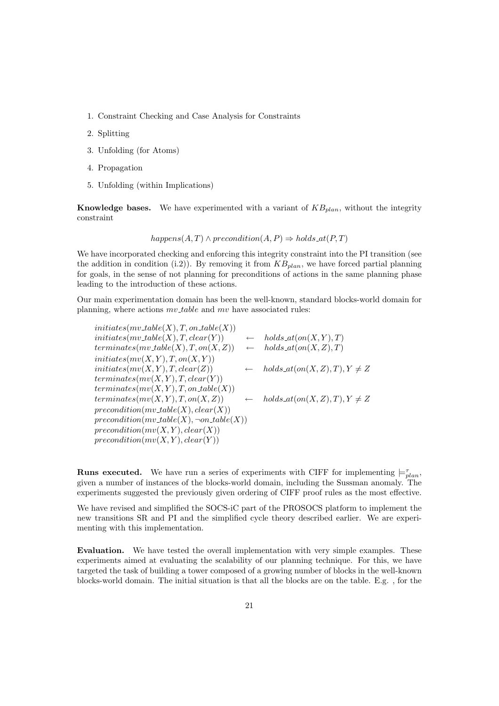- 1. Constraint Checking and Case Analysis for Constraints
- 2. Splitting
- 3. Unfolding (for Atoms)
- 4. Propagation
- 5. Unfolding (within Implications)

**Knowledge bases.** We have experimented with a variant of  $KB_{plan}$ , without the integrity constraint

 $happens(A, T) \wedge precondition(A, P) \Rightarrow holds_at(P, T)$ 

We have incorporated checking and enforcing this integrity constraint into the PI transition (see the addition in condition (i.2)). By removing it from  $KB_{plan}$ , we have forced partial planning for goals, in the sense of not planning for preconditions of actions in the same planning phase leading to the introduction of these actions.

Our main experimentation domain has been the well-known, standard blocks-world domain for planning, where actions  $mv \text{-} table$  and  $mv$  have associated rules:

 $initiates(mv\_table(X), T, on\_table(X))$  $initiates(mv\_table(X), T, clear(Y)) \leftarrow holds_at(on(X, Y), T)$  $terminates(mv_table(X), T, on(X, Z)) \leftarrow holds_at(on(X, Z), T)$  $initiates(mv(X, Y), T, on(X, Y))$  $initiates(mv(X, Y), T, clear(Z))$  ← holds\_at(on(X, Z), T),  $Y \neq Z$  $terminates(mv(X, Y), T, clear(Y))$  $terminates(mv(X, Y), T, on\_table(X))$ terminates( $mv(X, Y), T, on(X, Z)$ )  $\leftarrow$  holds\_at(on(X, Z), T),  $Y \neq Z$  $precondition(mv\_table(X), clear(X))$  $precondition(mv\_table(X), \neg on\_table(X))$  $precondition(mv(X, Y), clear(X))$  $precondition(mv(X, Y), clear(Y))$ 

**Runs executed.** We have run a series of experiments with CIFF for implementing  $\models_{plan}^{\tau}$ , given a number of instances of the blocks-world domain, including the Sussman anomaly. The experiments suggested the previously given ordering of CIFF proof rules as the most effective.

We have revised and simplified the SOCS-iC part of the PROSOCS platform to implement the new transitions SR and PI and the simplified cycle theory described earlier. We are experimenting with this implementation.

Evaluation. We have tested the overall implementation with very simple examples. These experiments aimed at evaluating the scalability of our planning technique. For this, we have targeted the task of building a tower composed of a growing number of blocks in the well-known blocks-world domain. The initial situation is that all the blocks are on the table. E.g. , for the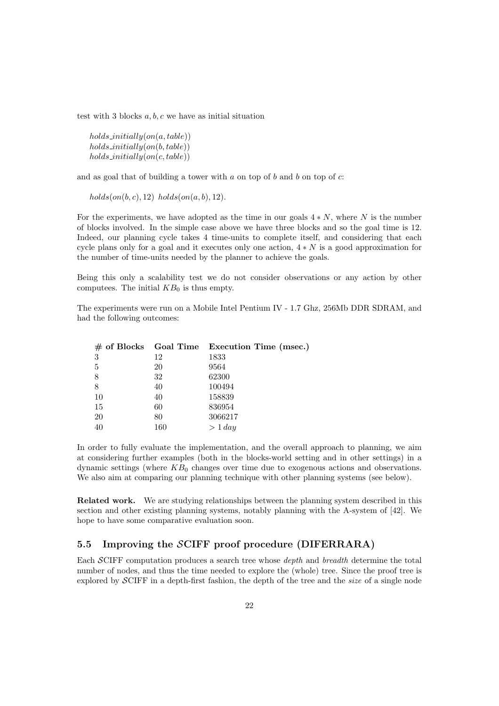test with 3 blocks  $a, b, c$  we have as initial situation

 $holds\_initially(on(a, table))$  $holds\_initially(on(b, table))$  $holds\_initially(on(c, table))$ 

and as goal that of building a tower with  $a$  on top of  $b$  and  $b$  on top of  $c$ :

 $holds(m(b, c), 12)$  holds $(m(a, b), 12)$ .

For the experiments, we have adopted as the time in our goals  $4*N$ , where N is the number of blocks involved. In the simple case above we have three blocks and so the goal time is 12. Indeed, our planning cycle takes 4 time-units to complete itself, and considering that each cycle plans only for a goal and it executes only one action,  $4*N$  is a good approximation for the number of time-units needed by the planner to achieve the goals.

Being this only a scalability test we do not consider observations or any action by other computees. The initial  $KB<sub>0</sub>$  is thus empty.

The experiments were run on a Mobile Intel Pentium IV - 1.7 Ghz, 256Mb DDR SDRAM, and had the following outcomes:

|    |     | $\#$ of Blocks Goal Time Execution Time (msec.) |
|----|-----|-------------------------------------------------|
| 3  | 12  | 1833                                            |
| 5  | 20  | 9564                                            |
| 8  | 32  | 62300                                           |
| 8  | 40  | 100494                                          |
| 10 | 40  | 158839                                          |
| 15 | 60  | 836954                                          |
| 20 | 80  | 3066217                                         |
| 40 | 160 | > 1 day                                         |

In order to fully evaluate the implementation, and the overall approach to planning, we aim at considering further examples (both in the blocks-world setting and in other settings) in a dynamic settings (where  $KB<sub>0</sub>$  changes over time due to exogenous actions and observations. We also aim at comparing our planning technique with other planning systems (see below).

Related work. We are studying relationships between the planning system described in this section and other existing planning systems, notably planning with the A-system of [42]. We hope to have some comparative evaluation soon.

#### 5.5 Improving the SCIFF proof procedure (DIFERRARA)

Each SCIFF computation produces a search tree whose depth and breadth determine the total number of nodes, and thus the time needed to explore the (whole) tree. Since the proof tree is explored by  $\mathcal{S}$ CIFF in a depth-first fashion, the depth of the tree and the *size* of a single node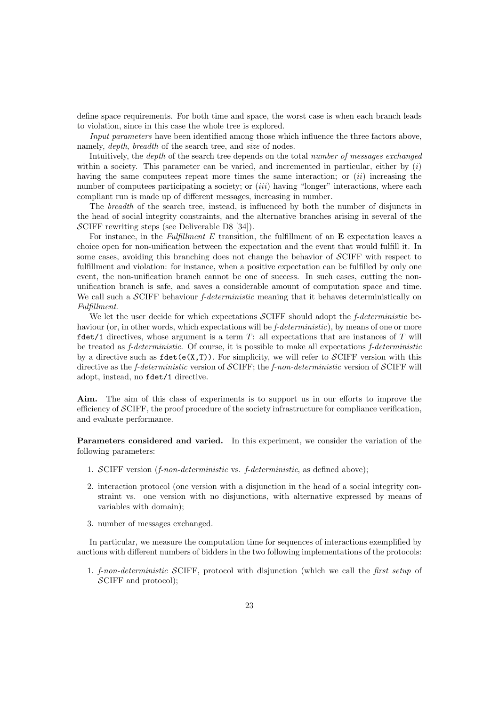define space requirements. For both time and space, the worst case is when each branch leads to violation, since in this case the whole tree is explored.

Input parameters have been identified among those which influence the three factors above, namely, *depth*, *breadth* of the search tree, and *size* of nodes.

Intuitively, the depth of the search tree depends on the total number of messages exchanged within a society. This parameter can be varied, and incremented in particular, either by  $(i)$ having the same computees repeat more times the same interaction; or  $(ii)$  increasing the number of computees participating a society; or  $(iii)$  having "longer" interactions, where each compliant run is made up of different messages, increasing in number.

The breadth of the search tree, instead, is influenced by both the number of disjuncts in the head of social integrity constraints, and the alternative branches arising in several of the SCIFF rewriting steps (see Deliverable D8 [34]).

For instance, in the Fulfillment E transition, the fulfillment of an  $E$  expectation leaves a choice open for non-unification between the expectation and the event that would fulfill it. In some cases, avoiding this branching does not change the behavior of SCIFF with respect to fulfillment and violation: for instance, when a positive expectation can be fulfilled by only one event, the non-unification branch cannot be one of success. In such cases, cutting the nonunification branch is safe, and saves a considerable amount of computation space and time. We call such a SCIFF behaviour *f-deterministic* meaning that it behaves deterministically on Fulfillment.

We let the user decide for which expectations  $\mathcal{SCIFF}$  should adopt the f-deterministic behaviour (or, in other words, which expectations will be f-deterministic), by means of one or more fdet/1 directives, whose argument is a term  $T$ : all expectations that are instances of  $T$  will be treated as *f-deterministic*. Of course, it is possible to make all expectations *f-deterministic* by a directive such as  $fdet(e(X,T))$ . For simplicity, we will refer to SCIFF version with this directive as the *f-deterministic* version of SCIFF; the *f-non-deterministic* version of SCIFF will adopt, instead, no fdet/1 directive.

Aim. The aim of this class of experiments is to support us in our efforts to improve the efficiency of  $\mathcal{S}$ CIFF, the proof procedure of the society infrastructure for compliance verification, and evaluate performance.

Parameters considered and varied. In this experiment, we consider the variation of the following parameters:

- 1. SCIFF version (f-non-deterministic vs. f-deterministic, as defined above);
- 2. interaction protocol (one version with a disjunction in the head of a social integrity constraint vs. one version with no disjunctions, with alternative expressed by means of variables with domain);
- 3. number of messages exchanged.

In particular, we measure the computation time for sequences of interactions exemplified by auctions with different numbers of bidders in the two following implementations of the protocols:

1. f-non-deterministic SCIFF, protocol with disjunction (which we call the first setup of SCIFF and protocol);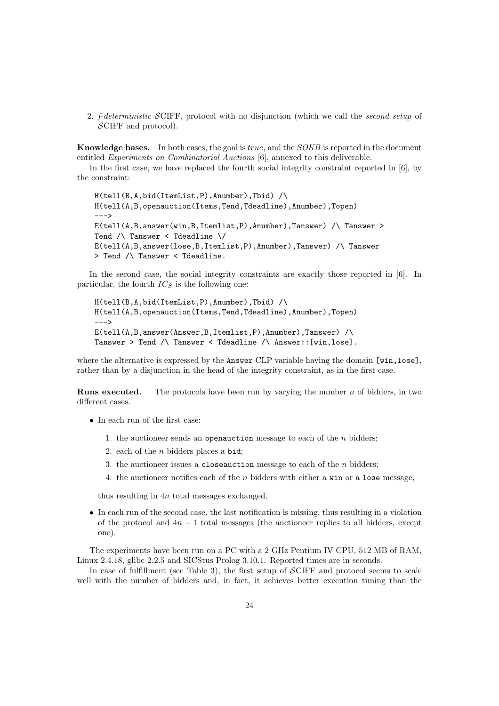2. f-deterministic SCIFF, protocol with no disjunction (which we call the second setup of SCIFF and protocol).

Knowledge bases. In both cases, the goal is true, and the SOKB is reported in the document entitled Experiments on Combinatorial Auctions [6], annexed to this deliverable.

In the first case, we have replaced the fourth social integrity constraint reported in [6], by the constraint:

H(tell(B,A,bid(ItemList,P),Anumber),Tbid) /\ H(tell(A,B,openauction(Items,Tend,Tdeadline),Anumber),Topen) --->  $E(tell(A,B,answer(vin,B,Itemlist,P),Anumber)$ , Tanswer) /\ Tanswer > Tend /\ Tanswer < Tdeadline \/ E(tell(A,B,answer(lose,B,Itemlist,P),Anumber),Tanswer) /\ Tanswer > Tend /\ Tanswer < Tdeadline.

In the second case, the social integrity constraints are exactly those reported in [6]. In particular, the fourth  $IC_S$  is the following one:

H(tell(B,A,bid(ItemList,P),Anumber),Tbid) /\ H(tell(A,B,openauction(Items,Tend,Tdeadline),Anumber),Topen) --->  $E(tell(A,B,answer(Answer, B,Itemlist, P),Anumber)$ , Tanswer) /\ Tanswer > Tend /\ Tanswer < Tdeadline /\ Answer::[win,lose].

where the alternative is expressed by the **Answer** CLP variable having the domain [win, lose]. rather than by a disjunction in the head of the integrity constraint, as in the first case.

**Runs executed.** The protocols have been run by varying the number  $n$  of bidders, in two different cases.

- In each run of the first case:
	- 1. the auctioneer sends an openauction message to each of the  $n$  bidders;
	- 2. each of the  $n$  bidders places a bid;
	- 3. the auctioneer issues a closeauction message to each of the  $n$  bidders;
	- 4. the auctioneer notifies each of the  $n$  bidders with either a win or a lose message.

thus resulting in 4n total messages exchanged.

• In each run of the second case, the last notification is missing, thus resulting in a violation of the protocol and  $4n - 1$  total messages (the auctioneer replies to all bidders, except one).

The experiments have been run on a PC with a 2 GHz Pentium IV CPU, 512 MB of RAM, Linux 2.4.18, glibc 2.2.5 and SICStus Prolog 3.10.1. Reported times are in seconds.

In case of fulfillment (see Table 3), the first setup of  $\mathcal{SCIFF}$  and protocol seems to scale well with the number of bidders and, in fact, it achieves better execution timing than the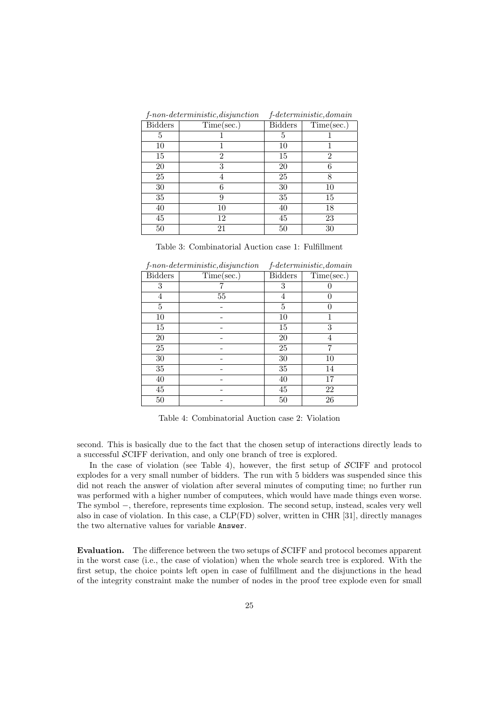|                | $f$ -non-deterministic, disjunction | $f$ -deterministic, domain |            |  |
|----------------|-------------------------------------|----------------------------|------------|--|
| <b>Bidders</b> | Time(sec.)                          | Bidders                    | Time(sec.) |  |
| 5              |                                     | 5                          |            |  |
| 10             |                                     | 10                         |            |  |
| 15             | 2                                   | 15                         | 2          |  |
| 20             | 3                                   | 20                         |            |  |
| 25             | 4                                   | 25                         |            |  |
| 30             | 6                                   | 30                         | 10         |  |
| 35             | 9                                   | 35                         | 15         |  |
| 40             | 10                                  | 40                         | 18         |  |
| 45             | 12                                  | 45                         | 23         |  |
| 50             | 21                                  | 50                         | 30         |  |

Table 3: Combinatorial Auction case 1: Fulfillment

|                | $f$ -non-deterministic, disjunction |                | f-deterministic, domain |
|----------------|-------------------------------------|----------------|-------------------------|
| <b>Bidders</b> | Time(sec.)                          | <b>Bidders</b> | Time(sec.)              |
| 3              |                                     | 3              |                         |
| 4              | 55                                  | 4              |                         |
| 5              |                                     | 5              |                         |
| 10             |                                     | 10             |                         |
| 15             |                                     | 15             | 3                       |
| 20             |                                     | 20             |                         |
| 25             |                                     | 25             |                         |
| 30             |                                     | 30             | 10                      |
| 35             |                                     | 35             | 14                      |
| 40             |                                     | 40             | 17                      |
| 45             |                                     | 45             | 22                      |
| 50             |                                     | 50             | 26                      |

f-non-deterministic,disjunction f-deterministic,domain

Table 4: Combinatorial Auction case 2: Violation

second. This is basically due to the fact that the chosen setup of interactions directly leads to a successful SCIFF derivation, and only one branch of tree is explored.

In the case of violation (see Table 4), however, the first setup of SCIFF and protocol explodes for a very small number of bidders. The run with 5 bidders was suspended since this did not reach the answer of violation after several minutes of computing time; no further run was performed with a higher number of computees, which would have made things even worse. The symbol −, therefore, represents time explosion. The second setup, instead, scales very well also in case of violation. In this case, a CLP(FD) solver, written in CHR [31], directly manages the two alternative values for variable Answer.

Evaluation. The difference between the two setups of SCIFF and protocol becomes apparent in the worst case (i.e., the case of violation) when the whole search tree is explored. With the first setup, the choice points left open in case of fulfillment and the disjunctions in the head of the integrity constraint make the number of nodes in the proof tree explode even for small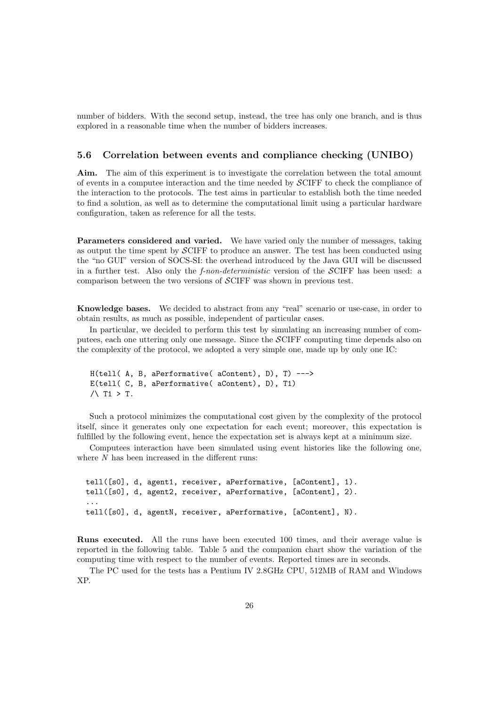number of bidders. With the second setup, instead, the tree has only one branch, and is thus explored in a reasonable time when the number of bidders increases.

#### 5.6 Correlation between events and compliance checking (UNIBO)

Aim. The aim of this experiment is to investigate the correlation between the total amount of events in a computee interaction and the time needed by SCIFF to check the compliance of the interaction to the protocols. The test aims in particular to establish both the time needed to find a solution, as well as to determine the computational limit using a particular hardware configuration, taken as reference for all the tests.

Parameters considered and varied. We have varied only the number of messages, taking as output the time spent by SCIFF to produce an answer. The test has been conducted using the "no GUI" version of SOCS-SI: the overhead introduced by the Java GUI will be discussed in a further test. Also only the  $f$ -non-deterministic version of the  $\mathcal{S}$ CIFF has been used: a comparison between the two versions of SCIFF was shown in previous test.

Knowledge bases. We decided to abstract from any "real" scenario or use-case, in order to obtain results, as much as possible, independent of particular cases.

In particular, we decided to perform this test by simulating an increasing number of computees, each one uttering only one message. Since the SCIFF computing time depends also on the complexity of the protocol, we adopted a very simple one, made up by only one IC:

```
H(tell( A, B, aPerformative( aContent), D), T) --->
E(tell( C, B, aPerformative( aContent), D), T1)
/ T1 > T.
```
Such a protocol minimizes the computational cost given by the complexity of the protocol itself, since it generates only one expectation for each event; moreover, this expectation is fulfilled by the following event, hence the expectation set is always kept at a minimum size.

Computees interaction have been simulated using event histories like the following one, where  $N$  has been increased in the different runs:

tell([s0], d, agent1, receiver, aPerformative, [aContent], 1). tell([s0], d, agent2, receiver, aPerformative, [aContent], 2). ... tell([s0], d, agentN, receiver, aPerformative, [aContent], N).

Runs executed. All the runs have been executed 100 times, and their average value is reported in the following table. Table 5 and the companion chart show the variation of the computing time with respect to the number of events. Reported times are in seconds.

The PC used for the tests has a Pentium IV 2.8GHz CPU, 512MB of RAM and Windows XP.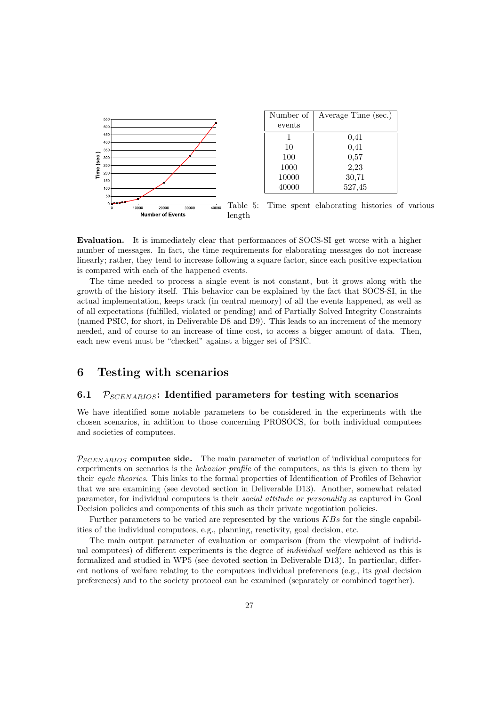

Evaluation. It is immediately clear that performances of SOCS-SI get worse with a higher number of messages. In fact, the time requirements for elaborating messages do not increase linearly; rather, they tend to increase following a square factor, since each positive expectation is compared with each of the happened events.

The time needed to process a single event is not constant, but it grows along with the growth of the history itself. This behavior can be explained by the fact that SOCS-SI, in the actual implementation, keeps track (in central memory) of all the events happened, as well as of all expectations (fulfilled, violated or pending) and of Partially Solved Integrity Constraints (named PSIC, for short, in Deliverable D8 and D9). This leads to an increment of the memory needed, and of course to an increase of time cost, to access a bigger amount of data. Then, each new event must be "checked" against a bigger set of PSIC.

### 6 Testing with scenarios

#### 6.1  $P_{SCENARIOS}$ : Identified parameters for testing with scenarios

We have identified some notable parameters to be considered in the experiments with the chosen scenarios, in addition to those concerning PROSOCS, for both individual computees and societies of computees.

 $P_{SCRNARIOS}$  computee side. The main parameter of variation of individual computees for experiments on scenarios is the *behavior profile* of the computees, as this is given to them by their cycle theories. This links to the formal properties of Identification of Profiles of Behavior that we are examining (see devoted section in Deliverable D13). Another, somewhat related parameter, for individual computees is their social attitude or personality as captured in Goal Decision policies and components of this such as their private negotiation policies.

Further parameters to be varied are represented by the various  $KBs$  for the single capabilities of the individual computees, e.g., planning, reactivity, goal decision, etc.

The main output parameter of evaluation or comparison (from the viewpoint of individual computees) of different experiments is the degree of individual welfare achieved as this is formalized and studied in WP5 (see devoted section in Deliverable D13). In particular, different notions of welfare relating to the computees individual preferences (e.g., its goal decision preferences) and to the society protocol can be examined (separately or combined together).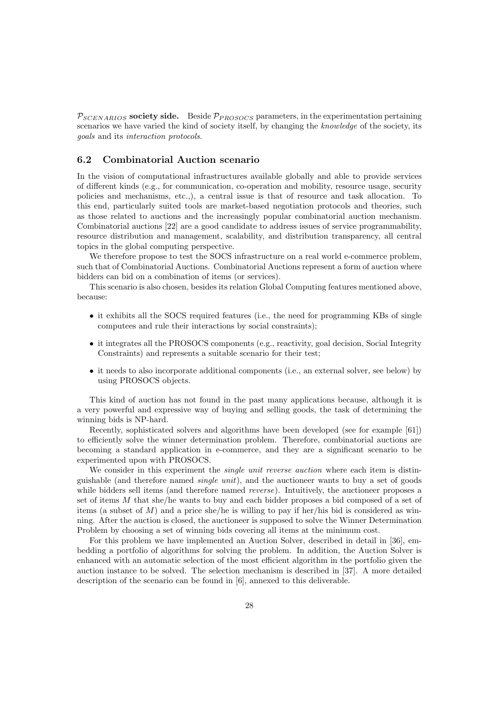$P_{SCENARIOS}$  society side. Beside  $P_{PROSOCS}$  parameters, in the experimentation pertaining scenarios we have varied the kind of society itself, by changing the *knowledge* of the society, its goals and its interaction protocols.

#### 6.2 Combinatorial Auction scenario

In the vision of computational infrastructures available globally and able to provide services of different kinds (e.g., for communication, co-operation and mobility, resource usage, security policies and mechanisms, etc.,), a central issue is that of resource and task allocation. To this end, particularly suited tools are market-based negotiation protocols and theories, such as those related to auctions and the increasingly popular combinatorial auction mechanism. Combinatorial auctions [22] are a good candidate to address issues of service programmability, resource distribution and management, scalability, and distribution transparency, all central topics in the global computing perspective.

We therefore propose to test the SOCS infrastructure on a real world e-commerce problem, such that of Combinatorial Auctions. Combinatorial Auctions represent a form of auction where bidders can bid on a combination of items (or services).

This scenario is also chosen, besides its relation Global Computing features mentioned above, because:

- it exhibits all the SOCS required features (i.e., the need for programming KBs of single computees and rule their interactions by social constraints);
- it integrates all the PROSOCS components (e.g., reactivity, goal decision, Social Integrity Constraints) and represents a suitable scenario for their test;
- it needs to also incorporate additional components (i.e., an external solver, see below) by using PROSOCS objects.

This kind of auction has not found in the past many applications because, although it is a very powerful and expressive way of buying and selling goods, the task of determining the winning bids is NP-hard.

Recently, sophisticated solvers and algorithms have been developed (see for example [61]) to efficiently solve the winner determination problem. Therefore, combinatorial auctions are becoming a standard application in e-commerce, and they are a significant scenario to be experimented upon with PROSOCS.

We consider in this experiment the *single unit reverse auction* where each item is distinguishable (and therefore named single unit), and the auctioneer wants to buy a set of goods while bidders sell items (and therefore named *reverse*). Intuitively, the auctioneer proposes a set of items M that she/he wants to buy and each bidder proposes a bid composed of a set of items (a subset of  $M$ ) and a price she/he is willing to pay if her/his bid is considered as winning. After the auction is closed, the auctioneer is supposed to solve the Winner Determination Problem by choosing a set of winning bids covering all items at the minimum cost.

For this problem we have implemented an Auction Solver, described in detail in [36], embedding a portfolio of algorithms for solving the problem. In addition, the Auction Solver is enhanced with an automatic selection of the most efficient algorithm in the portfolio given the auction instance to be solved. The selection mechanism is described in [37]. A more detailed description of the scenario can be found in [6], annexed to this deliverable.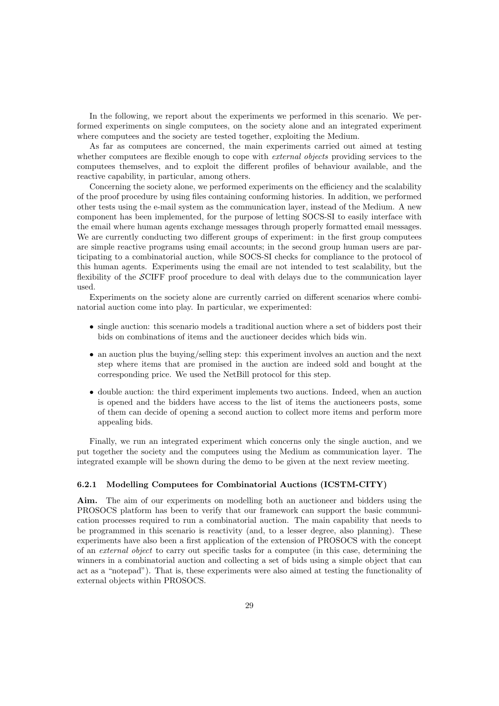In the following, we report about the experiments we performed in this scenario. We performed experiments on single computees, on the society alone and an integrated experiment where computees and the society are tested together, exploiting the Medium.

As far as computees are concerned, the main experiments carried out aimed at testing whether computees are flexible enough to cope with *external objects* providing services to the computees themselves, and to exploit the different profiles of behaviour available, and the reactive capability, in particular, among others.

Concerning the society alone, we performed experiments on the efficiency and the scalability of the proof procedure by using files containing conforming histories. In addition, we performed other tests using the e-mail system as the communication layer, instead of the Medium. A new component has been implemented, for the purpose of letting SOCS-SI to easily interface with the email where human agents exchange messages through properly formatted email messages. We are currently conducting two different groups of experiment: in the first group computees are simple reactive programs using email accounts; in the second group human users are participating to a combinatorial auction, while SOCS-SI checks for compliance to the protocol of this human agents. Experiments using the email are not intended to test scalability, but the flexibility of the SCIFF proof procedure to deal with delays due to the communication layer used.

Experiments on the society alone are currently carried on different scenarios where combinatorial auction come into play. In particular, we experimented:

- single auction: this scenario models a traditional auction where a set of bidders post their bids on combinations of items and the auctioneer decides which bids win.
- an auction plus the buying/selling step: this experiment involves an auction and the next step where items that are promised in the auction are indeed sold and bought at the corresponding price. We used the NetBill protocol for this step.
- double auction: the third experiment implements two auctions. Indeed, when an auction is opened and the bidders have access to the list of items the auctioneers posts, some of them can decide of opening a second auction to collect more items and perform more appealing bids.

Finally, we run an integrated experiment which concerns only the single auction, and we put together the society and the computees using the Medium as communication layer. The integrated example will be shown during the demo to be given at the next review meeting.

#### 6.2.1 Modelling Computees for Combinatorial Auctions (ICSTM-CITY)

Aim. The aim of our experiments on modelling both an auctioneer and bidders using the PROSOCS platform has been to verify that our framework can support the basic communication processes required to run a combinatorial auction. The main capability that needs to be programmed in this scenario is reactivity (and, to a lesser degree, also planning). These experiments have also been a first application of the extension of PROSOCS with the concept of an external object to carry out specific tasks for a computee (in this case, determining the winners in a combinatorial auction and collecting a set of bids using a simple object that can act as a "notepad"). That is, these experiments were also aimed at testing the functionality of external objects within PROSOCS.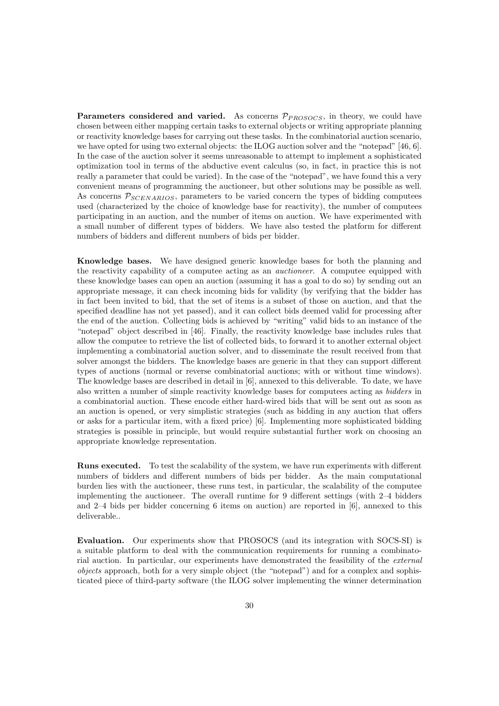Parameters considered and varied. As concerns  $\mathcal{P}_{PROSOCS}$ , in theory, we could have chosen between either mapping certain tasks to external objects or writing appropriate planning or reactivity knowledge bases for carrying out these tasks. In the combinatorial auction scenario, we have opted for using two external objects: the ILOG auction solver and the "notepad" [46, 6]. In the case of the auction solver it seems unreasonable to attempt to implement a sophisticated optimization tool in terms of the abductive event calculus (so, in fact, in practice this is not really a parameter that could be varied). In the case of the "notepad", we have found this a very convenient means of programming the auctioneer, but other solutions may be possible as well. As concerns  $P_{SCENARIOS}$ , parameters to be varied concern the types of bidding computees used (characterized by the choice of knowledge base for reactivity), the number of computees participating in an auction, and the number of items on auction. We have experimented with a small number of different types of bidders. We have also tested the platform for different numbers of bidders and different numbers of bids per bidder.

Knowledge bases. We have designed generic knowledge bases for both the planning and the reactivity capability of a computee acting as an auctioneer. A computee equipped with these knowledge bases can open an auction (assuming it has a goal to do so) by sending out an appropriate message, it can check incoming bids for validity (by verifying that the bidder has in fact been invited to bid, that the set of items is a subset of those on auction, and that the specified deadline has not yet passed), and it can collect bids deemed valid for processing after the end of the auction. Collecting bids is achieved by "writing" valid bids to an instance of the "notepad" object described in [46]. Finally, the reactivity knowledge base includes rules that allow the computee to retrieve the list of collected bids, to forward it to another external object implementing a combinatorial auction solver, and to disseminate the result received from that solver amongst the bidders. The knowledge bases are generic in that they can support different types of auctions (normal or reverse combinatorial auctions; with or without time windows). The knowledge bases are described in detail in [6], annexed to this deliverable. To date, we have also written a number of simple reactivity knowledge bases for computees acting as bidders in a combinatorial auction. These encode either hard-wired bids that will be sent out as soon as an auction is opened, or very simplistic strategies (such as bidding in any auction that offers or asks for a particular item, with a fixed price) [6]. Implementing more sophisticated bidding strategies is possible in principle, but would require substantial further work on choosing an appropriate knowledge representation.

Runs executed. To test the scalability of the system, we have run experiments with different numbers of bidders and different numbers of bids per bidder. As the main computational burden lies with the auctioneer, these runs test, in particular, the scalability of the computee implementing the auctioneer. The overall runtime for 9 different settings (with 2–4 bidders and 2–4 bids per bidder concerning 6 items on auction) are reported in [6], annexed to this deliverable..

Evaluation. Our experiments show that PROSOCS (and its integration with SOCS-SI) is a suitable platform to deal with the communication requirements for running a combinatorial auction. In particular, our experiments have demonstrated the feasibility of the external objects approach, both for a very simple object (the "notepad") and for a complex and sophisticated piece of third-party software (the ILOG solver implementing the winner determination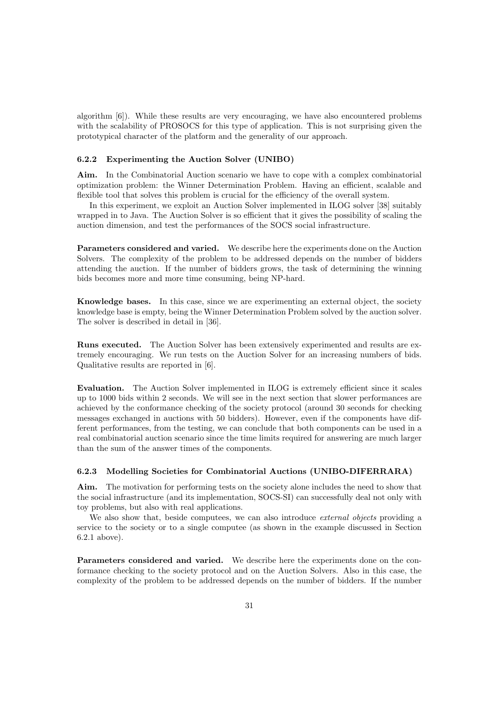algorithm [6]). While these results are very encouraging, we have also encountered problems with the scalability of PROSOCS for this type of application. This is not surprising given the prototypical character of the platform and the generality of our approach.

#### 6.2.2 Experimenting the Auction Solver (UNIBO)

Aim. In the Combinatorial Auction scenario we have to cope with a complex combinatorial optimization problem: the Winner Determination Problem. Having an efficient, scalable and flexible tool that solves this problem is crucial for the efficiency of the overall system.

In this experiment, we exploit an Auction Solver implemented in ILOG solver [38] suitably wrapped in to Java. The Auction Solver is so efficient that it gives the possibility of scaling the auction dimension, and test the performances of the SOCS social infrastructure.

Parameters considered and varied. We describe here the experiments done on the Auction Solvers. The complexity of the problem to be addressed depends on the number of bidders attending the auction. If the number of bidders grows, the task of determining the winning bids becomes more and more time consuming, being NP-hard.

Knowledge bases. In this case, since we are experimenting an external object, the society knowledge base is empty, being the Winner Determination Problem solved by the auction solver. The solver is described in detail in [36].

Runs executed. The Auction Solver has been extensively experimented and results are extremely encouraging. We run tests on the Auction Solver for an increasing numbers of bids. Qualitative results are reported in [6].

Evaluation. The Auction Solver implemented in ILOG is extremely efficient since it scales up to 1000 bids within 2 seconds. We will see in the next section that slower performances are achieved by the conformance checking of the society protocol (around 30 seconds for checking messages exchanged in auctions with 50 bidders). However, even if the components have different performances, from the testing, we can conclude that both components can be used in a real combinatorial auction scenario since the time limits required for answering are much larger than the sum of the answer times of the components.

#### 6.2.3 Modelling Societies for Combinatorial Auctions (UNIBO-DIFERRARA)

Aim. The motivation for performing tests on the society alone includes the need to show that the social infrastructure (and its implementation, SOCS-SI) can successfully deal not only with toy problems, but also with real applications.

We also show that, beside computees, we can also introduce *external objects* providing a service to the society or to a single computee (as shown in the example discussed in Section 6.2.1 above).

Parameters considered and varied. We describe here the experiments done on the conformance checking to the society protocol and on the Auction Solvers. Also in this case, the complexity of the problem to be addressed depends on the number of bidders. If the number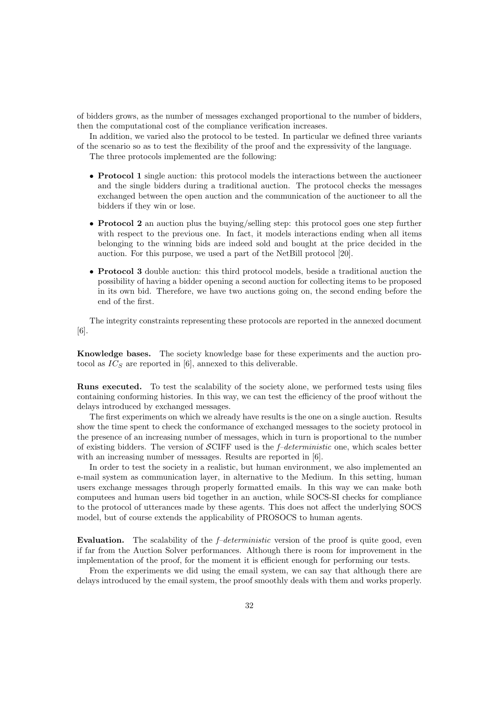of bidders grows, as the number of messages exchanged proportional to the number of bidders, then the computational cost of the compliance verification increases.

In addition, we varied also the protocol to be tested. In particular we defined three variants of the scenario so as to test the flexibility of the proof and the expressivity of the language.

The three protocols implemented are the following:

- **Protocol 1** single auction: this protocol models the interactions between the auctioneer and the single bidders during a traditional auction. The protocol checks the messages exchanged between the open auction and the communication of the auctioneer to all the bidders if they win or lose.
- Protocol 2 an auction plus the buying/selling step: this protocol goes one step further with respect to the previous one. In fact, it models interactions ending when all items belonging to the winning bids are indeed sold and bought at the price decided in the auction. For this purpose, we used a part of the NetBill protocol [20].
- Protocol 3 double auction: this third protocol models, beside a traditional auction the possibility of having a bidder opening a second auction for collecting items to be proposed in its own bid. Therefore, we have two auctions going on, the second ending before the end of the first.

The integrity constraints representing these protocols are reported in the annexed document [6].

Knowledge bases. The society knowledge base for these experiments and the auction protocol as  $IC<sub>S</sub>$  are reported in [6], annexed to this deliverable.

Runs executed. To test the scalability of the society alone, we performed tests using files containing conforming histories. In this way, we can test the efficiency of the proof without the delays introduced by exchanged messages.

The first experiments on which we already have results is the one on a single auction. Results show the time spent to check the conformance of exchanged messages to the society protocol in the presence of an increasing number of messages, which in turn is proportional to the number of existing bidders. The version of  $\mathcal{SCIFF}$  used is the *f–deterministic* one, which scales better with an increasing number of messages. Results are reported in [6].

In order to test the society in a realistic, but human environment, we also implemented an e-mail system as communication layer, in alternative to the Medium. In this setting, human users exchange messages through properly formatted emails. In this way we can make both computees and human users bid together in an auction, while SOCS-SI checks for compliance to the protocol of utterances made by these agents. This does not affect the underlying SOCS model, but of course extends the applicability of PROSOCS to human agents.

Evaluation. The scalability of the  $f$ –deterministic version of the proof is quite good, even if far from the Auction Solver performances. Although there is room for improvement in the implementation of the proof, for the moment it is efficient enough for performing our tests.

From the experiments we did using the email system, we can say that although there are delays introduced by the email system, the proof smoothly deals with them and works properly.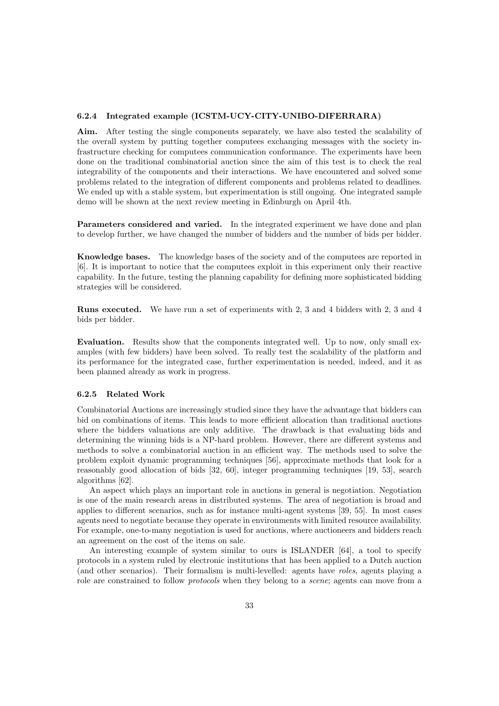#### 6.2.4 Integrated example (ICSTM-UCY-CITY-UNIBO-DIFERRARA)

Aim. After testing the single components separately, we have also tested the scalability of the overall system by putting together computees exchanging messages with the society infrastructure checking for computees communication conformance. The experiments have been done on the traditional combinatorial auction since the aim of this test is to check the real integrability of the components and their interactions. We have encountered and solved some problems related to the integration of different components and problems related to deadlines. We ended up with a stable system, but experimentation is still ongoing. One integrated sample demo will be shown at the next review meeting in Edinburgh on April 4th.

Parameters considered and varied. In the integrated experiment we have done and plan to develop further, we have changed the number of bidders and the number of bids per bidder.

Knowledge bases. The knowledge bases of the society and of the computees are reported in [6]. It is important to notice that the computees exploit in this experiment only their reactive capability. In the future, testing the planning capability for defining more sophisticated bidding strategies will be considered.

Runs executed. We have run a set of experiments with 2, 3 and 4 bidders with 2, 3 and 4 bids per bidder.

Evaluation. Results show that the components integrated well. Up to now, only small examples (with few bidders) have been solved. To really test the scalability of the platform and its performance for the integrated case, further experimentation is needed, indeed, and it as been planned already as work in progress.

#### 6.2.5 Related Work

Combinatorial Auctions are increasingly studied since they have the advantage that bidders can bid on combinations of items. This leads to more efficient allocation than traditional auctions where the bidders valuations are only additive. The drawback is that evaluating bids and determining the winning bids is a NP-hard problem. However, there are different systems and methods to solve a combinatorial auction in an efficient way. The methods used to solve the problem exploit dynamic programming techniques [56], approximate methods that look for a reasonably good allocation of bids [32, 60], integer programming techniques [19, 53], search algorithms [62].

An aspect which plays an important role in auctions in general is negotiation. Negotiation is one of the main research areas in distributed systems. The area of negotiation is broad and applies to different scenarios, such as for instance multi-agent systems [39, 55]. In most cases agents need to negotiate because they operate in environments with limited resource availability. For example, one-to-many negotiation is used for auctions, where auctioneers and bidders reach an agreement on the cost of the items on sale.

An interesting example of system similar to ours is ISLANDER [64], a tool to specify protocols in a system ruled by electronic institutions that has been applied to a Dutch auction (and other scenarios). Their formalism is multi-levelled: agents have roles, agents playing a role are constrained to follow *protocols* when they belong to a *scene*; agents can move from a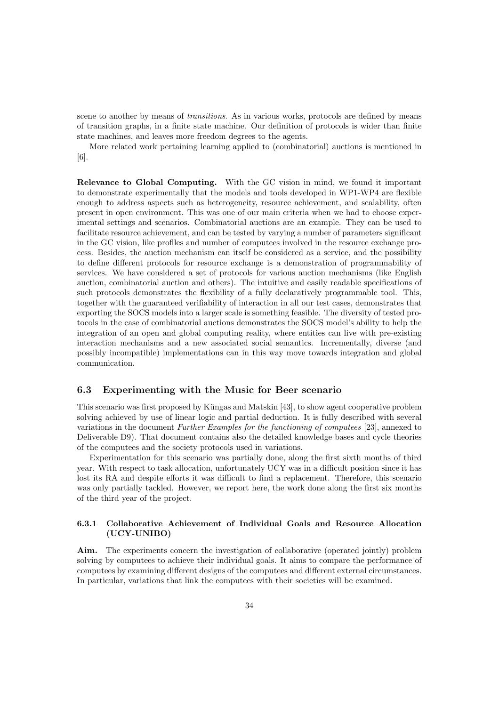scene to another by means of *transitions*. As in various works, protocols are defined by means of transition graphs, in a finite state machine. Our definition of protocols is wider than finite state machines, and leaves more freedom degrees to the agents.

More related work pertaining learning applied to (combinatorial) auctions is mentioned in [6].

Relevance to Global Computing. With the GC vision in mind, we found it important to demonstrate experimentally that the models and tools developed in WP1-WP4 are flexible enough to address aspects such as heterogeneity, resource achievement, and scalability, often present in open environment. This was one of our main criteria when we had to choose experimental settings and scenarios. Combinatorial auctions are an example. They can be used to facilitate resource achievement, and can be tested by varying a number of parameters significant in the GC vision, like profiles and number of computees involved in the resource exchange process. Besides, the auction mechanism can itself be considered as a service, and the possibility to define different protocols for resource exchange is a demonstration of programmability of services. We have considered a set of protocols for various auction mechanisms (like English auction, combinatorial auction and others). The intuitive and easily readable specifications of such protocols demonstrates the flexibility of a fully declaratively programmable tool. This, together with the guaranteed verifiability of interaction in all our test cases, demonstrates that exporting the SOCS models into a larger scale is something feasible. The diversity of tested protocols in the case of combinatorial auctions demonstrates the SOCS model's ability to help the integration of an open and global computing reality, where entities can live with pre-existing interaction mechanisms and a new associated social semantics. Incrementally, diverse (and possibly incompatible) implementations can in this way move towards integration and global communication.

#### 6.3 Experimenting with the Music for Beer scenario

This scenario was first proposed by Küngas and Matskin [43], to show agent cooperative problem solving achieved by use of linear logic and partial deduction. It is fully described with several variations in the document Further Examples for the functioning of computees [23], annexed to Deliverable D9). That document contains also the detailed knowledge bases and cycle theories of the computees and the society protocols used in variations.

Experimentation for this scenario was partially done, along the first sixth months of third year. With respect to task allocation, unfortunately UCY was in a difficult position since it has lost its RA and despite efforts it was difficult to find a replacement. Therefore, this scenario was only partially tackled. However, we report here, the work done along the first six months of the third year of the project.

#### 6.3.1 Collaborative Achievement of Individual Goals and Resource Allocation (UCY-UNIBO)

Aim. The experiments concern the investigation of collaborative (operated jointly) problem solving by computees to achieve their individual goals. It aims to compare the performance of computees by examining different designs of the computees and different external circumstances. In particular, variations that link the computees with their societies will be examined.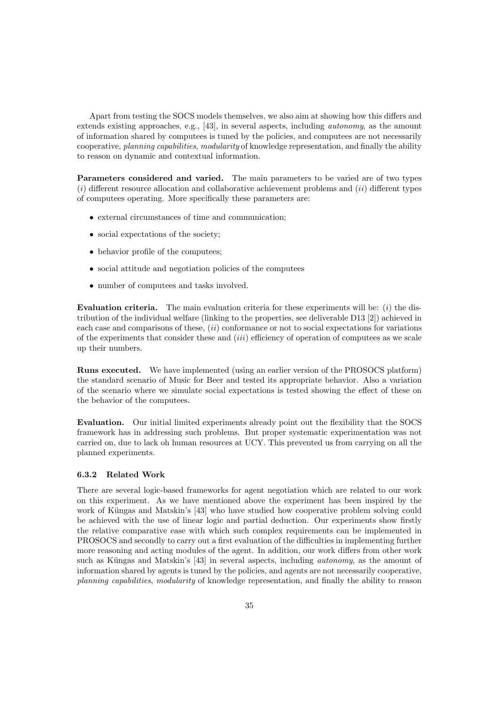Apart from testing the SOCS models themselves, we also aim at showing how this differs and extends existing approaches, e.g., [43], in several aspects, including autonomy, as the amount of information shared by computees is tuned by the policies, and computees are not necessarily cooperative, planning capabilities, modularity of knowledge representation, and finally the ability to reason on dynamic and contextual information.

Parameters considered and varied. The main parameters to be varied are of two types  $(i)$  different resource allocation and collaborative achievement problems and  $(ii)$  different types of computees operating. More specifically these parameters are:

- external circumstances of time and communication;
- social expectations of the society;
- behavior profile of the computees;
- social attitude and negotiation policies of the computees
- number of computees and tasks involved.

**Evaluation criteria.** The main evaluation criteria for these experiments will be:  $(i)$  the distribution of the individual welfare (linking to the properties, see deliverable D13 [2]) achieved in each case and comparisons of these,  $(ii)$  conformance or not to social expectations for variations of the experiments that consider these and (iii) efficiency of operation of computees as we scale up their numbers.

Runs executed. We have implemented (using an earlier version of the PROSOCS platform) the standard scenario of Music for Beer and tested its appropriate behavior. Also a variation of the scenario where we simulate social expectations is tested showing the effect of these on the behavior of the computees.

Evaluation. Our initial limited experiments already point out the flexibility that the SOCS framework has in addressing such problems. But proper systematic experimentation was not carried on, due to lack oh human resources at UCY. This prevented us from carrying on all the planned experiments.

#### 6.3.2 Related Work

There are several logic-based frameworks for agent negotiation which are related to our work on this experiment. As we have mentioned above the experiment has been inspired by the work of Küngas and Matskin's [43] who have studied how cooperative problem solving could be achieved with the use of linear logic and partial deduction. Our experiments show firstly the relative comparative ease with which such complex requirements can be implemented in PROSOCS and secondly to carry out a first evaluation of the difficulties in implementing further more reasoning and acting modules of the agent. In addition, our work differs from other work such as Küngas and Matskin's [43] in several aspects, including *autonomy*, as the amount of information shared by agents is tuned by the policies, and agents are not necessarily cooperative, planning capabilities, modularity of knowledge representation, and finally the ability to reason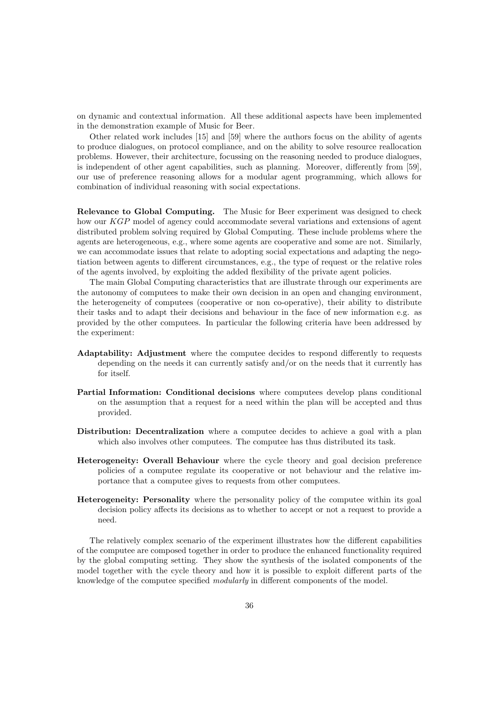on dynamic and contextual information. All these additional aspects have been implemented in the demonstration example of Music for Beer.

Other related work includes [15] and [59] where the authors focus on the ability of agents to produce dialogues, on protocol compliance, and on the ability to solve resource reallocation problems. However, their architecture, focussing on the reasoning needed to produce dialogues, is independent of other agent capabilities, such as planning. Moreover, differently from [59], our use of preference reasoning allows for a modular agent programming, which allows for combination of individual reasoning with social expectations.

Relevance to Global Computing. The Music for Beer experiment was designed to check how our KGP model of agency could accommodate several variations and extensions of agent distributed problem solving required by Global Computing. These include problems where the agents are heterogeneous, e.g., where some agents are cooperative and some are not. Similarly, we can accommodate issues that relate to adopting social expectations and adapting the negotiation between agents to different circumstances, e.g., the type of request or the relative roles of the agents involved, by exploiting the added flexibility of the private agent policies.

The main Global Computing characteristics that are illustrate through our experiments are the autonomy of computees to make their own decision in an open and changing environment, the heterogeneity of computees (cooperative or non co-operative), their ability to distribute their tasks and to adapt their decisions and behaviour in the face of new information e.g. as provided by the other computees. In particular the following criteria have been addressed by the experiment:

- Adaptability: Adjustment where the computee decides to respond differently to requests depending on the needs it can currently satisfy and/or on the needs that it currently has for itself.
- Partial Information: Conditional decisions where computees develop plans conditional on the assumption that a request for a need within the plan will be accepted and thus provided.
- Distribution: Decentralization where a computee decides to achieve a goal with a plan which also involves other computees. The computee has thus distributed its task.
- Heterogeneity: Overall Behaviour where the cycle theory and goal decision preference policies of a computee regulate its cooperative or not behaviour and the relative importance that a computee gives to requests from other computees.
- Heterogeneity: Personality where the personality policy of the computee within its goal decision policy affects its decisions as to whether to accept or not a request to provide a need.

The relatively complex scenario of the experiment illustrates how the different capabilities of the computee are composed together in order to produce the enhanced functionality required by the global computing setting. They show the synthesis of the isolated components of the model together with the cycle theory and how it is possible to exploit different parts of the knowledge of the computee specified modularly in different components of the model.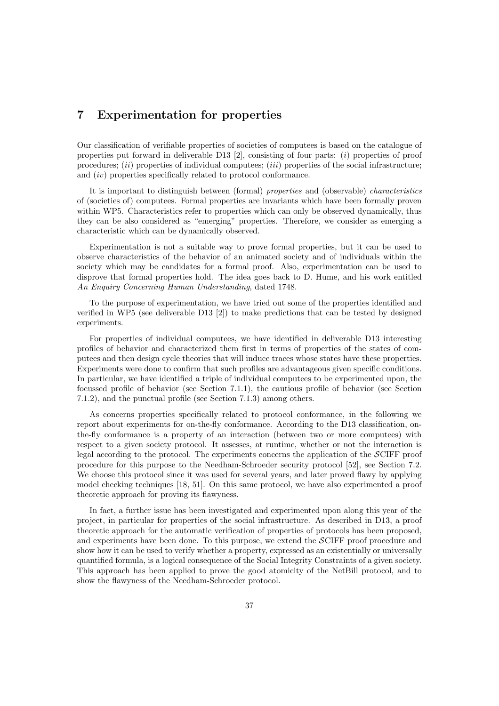# 7 Experimentation for properties

Our classification of verifiable properties of societies of computees is based on the catalogue of properties put forward in deliverable D13  $[2]$ , consisting of four parts:  $(i)$  properties of proof procedures;  $(ii)$  properties of individual computees;  $(iii)$  properties of the social infrastructure; and (iv) properties specifically related to protocol conformance.

It is important to distinguish between (formal) properties and (observable) characteristics of (societies of) computees. Formal properties are invariants which have been formally proven within WP5. Characteristics refer to properties which can only be observed dynamically, thus they can be also considered as "emerging" properties. Therefore, we consider as emerging a characteristic which can be dynamically observed.

Experimentation is not a suitable way to prove formal properties, but it can be used to observe characteristics of the behavior of an animated society and of individuals within the society which may be candidates for a formal proof. Also, experimentation can be used to disprove that formal properties hold. The idea goes back to D. Hume, and his work entitled An Enquiry Concerning Human Understanding, dated 1748.

To the purpose of experimentation, we have tried out some of the properties identified and verified in WP5 (see deliverable D13 [2]) to make predictions that can be tested by designed experiments.

For properties of individual computees, we have identified in deliverable D13 interesting profiles of behavior and characterized them first in terms of properties of the states of computees and then design cycle theories that will induce traces whose states have these properties. Experiments were done to confirm that such profiles are advantageous given specific conditions. In particular, we have identified a triple of individual computees to be experimented upon, the focussed profile of behavior (see Section 7.1.1), the cautious profile of behavior (see Section 7.1.2), and the punctual profile (see Section 7.1.3) among others.

As concerns properties specifically related to protocol conformance, in the following we report about experiments for on-the-fly conformance. According to the D13 classification, onthe-fly conformance is a property of an interaction (between two or more computees) with respect to a given society protocol. It assesses, at runtime, whether or not the interaction is legal according to the protocol. The experiments concerns the application of the SCIFF proof procedure for this purpose to the Needham-Schroeder security protocol [52], see Section 7.2. We choose this protocol since it was used for several years, and later proved flawy by applying model checking techniques [18, 51]. On this same protocol, we have also experimented a proof theoretic approach for proving its flawyness.

In fact, a further issue has been investigated and experimented upon along this year of the project, in particular for properties of the social infrastructure. As described in D13, a proof theoretic approach for the automatic verification of properties of protocols has been proposed, and experiments have been done. To this purpose, we extend the SCIFF proof procedure and show how it can be used to verify whether a property, expressed as an existentially or universally quantified formula, is a logical consequence of the Social Integrity Constraints of a given society. This approach has been applied to prove the good atomicity of the NetBill protocol, and to show the flawyness of the Needham-Schroeder protocol.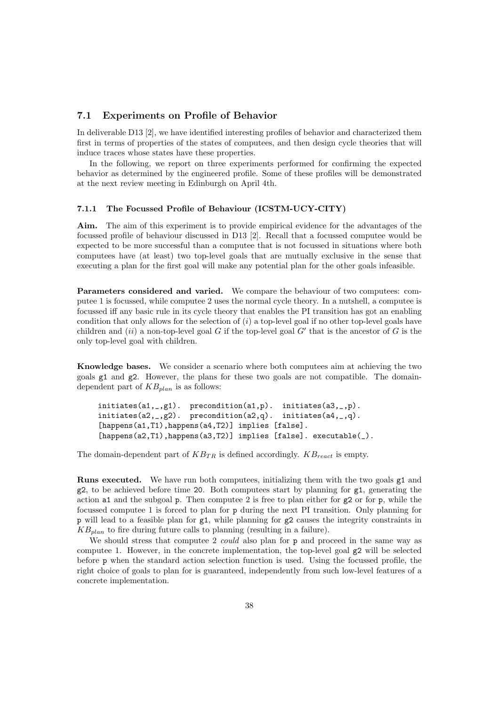#### 7.1 Experiments on Profile of Behavior

In deliverable D13 [2], we have identified interesting profiles of behavior and characterized them first in terms of properties of the states of computees, and then design cycle theories that will induce traces whose states have these properties.

In the following, we report on three experiments performed for confirming the expected behavior as determined by the engineered profile. Some of these profiles will be demonstrated at the next review meeting in Edinburgh on April 4th.

#### 7.1.1 The Focussed Profile of Behaviour (ICSTM-UCY-CITY)

Aim. The aim of this experiment is to provide empirical evidence for the advantages of the focussed profile of behaviour discussed in D13 [2]. Recall that a focussed computee would be expected to be more successful than a computee that is not focussed in situations where both computees have (at least) two top-level goals that are mutually exclusive in the sense that executing a plan for the first goal will make any potential plan for the other goals infeasible.

Parameters considered and varied. We compare the behaviour of two computees: computee 1 is focussed, while computee 2 uses the normal cycle theory. In a nutshell, a computee is focussed iff any basic rule in its cycle theory that enables the PI transition has got an enabling condition that only allows for the selection of  $(i)$  a top-level goal if no other top-level goals have children and  $(ii)$  a non-top-level goal G if the top-level goal G' that is the ancestor of G is the only top-level goal with children.

Knowledge bases. We consider a scenario where both computees aim at achieving the two goals g1 and g2. However, the plans for these two goals are not compatible. The domaindependent part of  $KB_{plan}$  is as follows:

```
initiates(a1,_,g1). precondition(a1,p). initiates(a3,_,p).
initiates(a2, _{g2}). precondition(a2,q). initiates(a4, _{g1}.).
[happens(a1,T1), happens(a4,T2)] implies [false].
[happens(a2,T1),happens(a3,T2)] implies [false]. executable(_).
```
The domain-dependent part of  $KB_{TR}$  is defined accordingly.  $KB_{react}$  is empty.

Runs executed. We have run both computees, initializing them with the two goals g1 and  $g2$ , to be achieved before time 20. Both computees start by planning for  $g1$ , generating the action a1 and the subgoal  $p$ . Then computee 2 is free to plan either for  $g$ 2 or for  $p$ , while the focussed computee 1 is forced to plan for p during the next PI transition. Only planning for p will lead to a feasible plan for  $g1$ , while planning for  $g2$  causes the integrity constraints in  $KB_{plan}$  to fire during future calls to planning (resulting in a failure).

We should stress that computee 2 *could* also plan for p and proceed in the same way as computee 1. However, in the concrete implementation, the top-level goal g2 will be selected before p when the standard action selection function is used. Using the focussed profile, the right choice of goals to plan for is guaranteed, independently from such low-level features of a concrete implementation.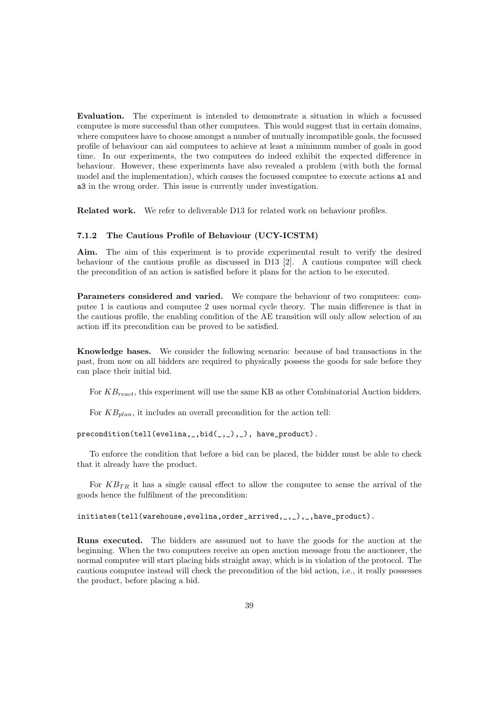Evaluation. The experiment is intended to demonstrate a situation in which a focussed computee is more successful than other computees. This would suggest that in certain domains, where computees have to choose amongst a number of mutually incompatible goals, the focussed profile of behaviour can aid computees to achieve at least a minimum number of goals in good time. In our experiments, the two computees do indeed exhibit the expected difference in behaviour. However, these experiments have also revealed a problem (with both the formal model and the implementation), which causes the focussed computee to execute actions a1 and a3 in the wrong order. This issue is currently under investigation.

Related work. We refer to deliverable D13 for related work on behaviour profiles.

#### 7.1.2 The Cautious Profile of Behaviour (UCY-ICSTM)

Aim. The aim of this experiment is to provide experimental result to verify the desired behaviour of the cautious profile as discussed in D13 [2]. A cautious computee will check the precondition of an action is satisfied before it plans for the action to be executed.

Parameters considered and varied. We compare the behaviour of two computees: computee 1 is cautious and computee 2 uses normal cycle theory. The main difference is that in the cautious profile, the enabling condition of the AE transition will only allow selection of an action iff its precondition can be proved to be satisfied.

Knowledge bases. We consider the following scenario: because of bad transactions in the past, from now on all bidders are required to physically possess the goods for sale before they can place their initial bid.

For  $KB_{react}$ , this experiment will use the same KB as other Combinatorial Auction bidders.

For  $KB_{plan}$ , it includes an overall precondition for the action tell:

precondition(tell(evelina,\_,bid(\_,\_),\_), have\_product).

To enforce the condition that before a bid can be placed, the bidder must be able to check that it already have the product.

For  $KB_{TR}$  it has a single causal effect to allow the computee to sense the arrival of the goods hence the fulfilment of the precondition:

initiates(tell(warehouse,evelina,order\_arrived,\_,\_),\_,have\_product).

Runs executed. The bidders are assumed not to have the goods for the auction at the beginning. When the two computees receive an open auction message from the auctioneer, the normal computee will start placing bids straight away, which is in violation of the protocol. The cautious computee instead will check the precondition of the bid action, i.e., it really possesses the product, before placing a bid.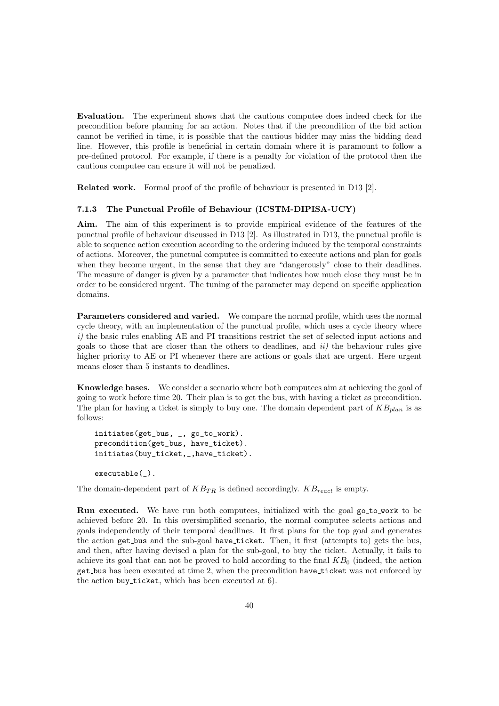Evaluation. The experiment shows that the cautious computee does indeed check for the precondition before planning for an action. Notes that if the precondition of the bid action cannot be verified in time, it is possible that the cautious bidder may miss the bidding dead line. However, this profile is beneficial in certain domain where it is paramount to follow a pre-defined protocol. For example, if there is a penalty for violation of the protocol then the cautious computee can ensure it will not be penalized.

Related work. Formal proof of the profile of behaviour is presented in D13 [2].

#### 7.1.3 The Punctual Profile of Behaviour (ICSTM-DIPISA-UCY)

Aim. The aim of this experiment is to provide empirical evidence of the features of the punctual profile of behaviour discussed in D13 [2]. As illustrated in D13, the punctual profile is able to sequence action execution according to the ordering induced by the temporal constraints of actions. Moreover, the punctual computee is committed to execute actions and plan for goals when they become urgent, in the sense that they are "dangerously" close to their deadlines. The measure of danger is given by a parameter that indicates how much close they must be in order to be considered urgent. The tuning of the parameter may depend on specific application domains.

Parameters considered and varied. We compare the normal profile, which uses the normal cycle theory, with an implementation of the punctual profile, which uses a cycle theory where i) the basic rules enabling AE and PI transitions restrict the set of selected input actions and goals to those that are closer than the others to deadlines, and  $ii)$  the behaviour rules give higher priority to AE or PI whenever there are actions or goals that are urgent. Here urgent means closer than 5 instants to deadlines.

Knowledge bases. We consider a scenario where both computees aim at achieving the goal of going to work before time 20. Their plan is to get the bus, with having a ticket as precondition. The plan for having a ticket is simply to buy one. The domain dependent part of  $KB_{plan}$  is as follows:

```
initiates(get_bus, _, go_to_work).
precondition(get_bus, have_ticket).
initiates(buy_ticket,_,have_ticket).
```

```
executable(_).
```
The domain-dependent part of  $KB_{TR}$  is defined accordingly.  $KB_{react}$  is empty.

Run executed. We have run both computees, initialized with the goal go to work to be achieved before 20. In this oversimplified scenario, the normal computee selects actions and goals independently of their temporal deadlines. It first plans for the top goal and generates the action get bus and the sub-goal have ticket. Then, it first (attempts to) gets the bus, and then, after having devised a plan for the sub-goal, to buy the ticket. Actually, it fails to achieve its goal that can not be proved to hold according to the final  $KB<sub>0</sub>$  (indeed, the action get bus has been executed at time 2, when the precondition have ticket was not enforced by the action buy ticket, which has been executed at 6).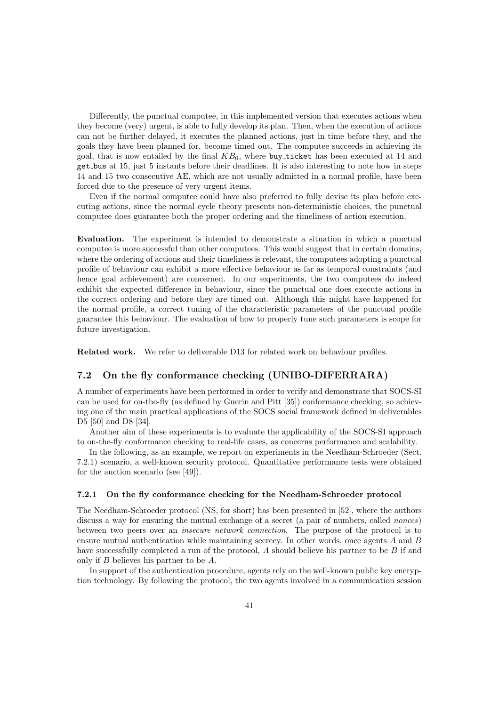Differently, the punctual computee, in this implemented version that executes actions when they become (very) urgent, is able to fully develop its plan. Then, when the execution of actions can not be further delayed, it executes the planned actions, just in time before they, and the goals they have been planned for, become timed out. The computee succeeds in achieving its goal, that is now entailed by the final  $KB<sub>0</sub>$ , where buy ticket has been executed at 14 and get bus at 15, just 5 instants before their deadlines. It is also interesting to note how in steps 14 and 15 two consecutive AE, which are not usually admitted in a normal profile, have been forced due to the presence of very urgent items.

Even if the normal computee could have also preferred to fully devise its plan before executing actions, since the normal cycle theory presents non-deterministic choices, the punctual computee does guarantee both the proper ordering and the timeliness of action execution.

Evaluation. The experiment is intended to demonstrate a situation in which a punctual computee is more successful than other computees. This would suggest that in certain domains, where the ordering of actions and their timeliness is relevant, the computees adopting a punctual profile of behaviour can exhibit a more effective behaviour as far as temporal constraints (and hence goal achievement) are concerned. In our experiments, the two computees do indeed exhibit the expected difference in behaviour, since the punctual one does execute actions in the correct ordering and before they are timed out. Although this might have happened for the normal profile, a correct tuning of the characteristic parameters of the punctual profile guarantee this behaviour. The evaluation of how to properly tune such parameters is scope for future investigation.

Related work. We refer to deliverable D13 for related work on behaviour profiles.

#### 7.2 On the fly conformance checking (UNIBO-DIFERRARA)

A number of experiments have been performed in order to verify and demonstrate that SOCS-SI can be used for on-the-fly (as defined by Guerin and Pitt [35]) conformance checking, so achieving one of the main practical applications of the SOCS social framework defined in deliverables D5 [50] and D8 [34].

Another aim of these experiments is to evaluate the applicability of the SOCS-SI approach to on-the-fly conformance checking to real-life cases, as concerns performance and scalability.

In the following, as an example, we report on experiments in the Needham-Schroeder (Sect. 7.2.1) scenario, a well-known security protocol. Quantitative performance tests were obtained for the auction scenario (see [49]).

#### 7.2.1 On the fly conformance checking for the Needham-Schroeder protocol

The Needham-Schroeder protocol (NS, for short) has been presented in [52], where the authors discuss a way for ensuring the mutual exchange of a secret (a pair of numbers, called *nonces*) between two peers over an insecure network connection. The purpose of the protocol is to ensure mutual authentication while maintaining secrecy. In other words, once agents A and B have successfully completed a run of the protocol, A should believe his partner to be B if and only if B believes his partner to be A.

In support of the authentication procedure, agents rely on the well-known public key encryption technology. By following the protocol, the two agents involved in a communication session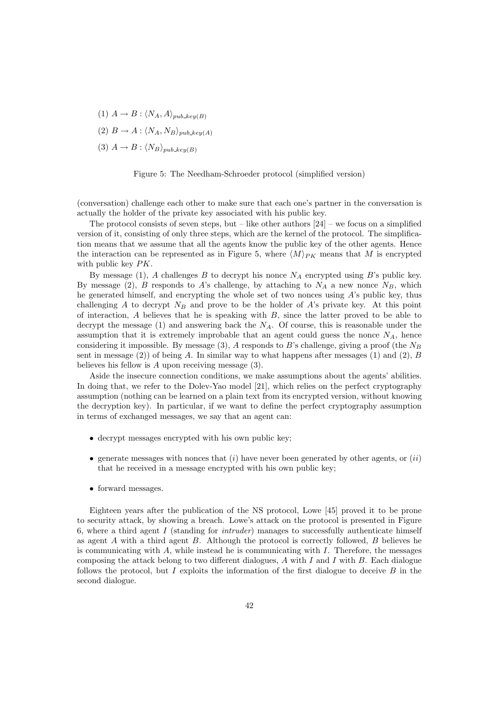- (1)  $A \rightarrow B : \langle N_A, A \rangle_{pub\_key(B)}$
- (2)  $B \to A : \langle N_A, N_B \rangle_{pub\_key(A)}$
- (3)  $A \rightarrow B : \langle N_B \rangle_{pub \; keu(B)}$

Figure 5: The Needham-Schroeder protocol (simplified version)

(conversation) challenge each other to make sure that each one's partner in the conversation is actually the holder of the private key associated with his public key.

The protocol consists of seven steps, but – like other authors  $[24]$  – we focus on a simplified version of it, consisting of only three steps, which are the kernel of the protocol. The simplification means that we assume that all the agents know the public key of the other agents. Hence the interaction can be represented as in Figure 5, where  $\langle M \rangle_{PK}$  means that M is encrypted with public key PK.

By message (1), A challenges B to decrypt his nonce  $N_A$  encrypted using B's public key. By message (2), B responds to A's challenge, by attaching to  $N_A$  a new nonce  $N_B$ , which he generated himself, and encrypting the whole set of two nonces using A's public key, thus challenging A to decrypt  $N_B$  and prove to be the holder of A's private key. At this point of interaction, A believes that he is speaking with B, since the latter proved to be able to decrypt the message  $(1)$  and answering back the  $N_A$ . Of course, this is reasonable under the assumption that it is extremely improbable that an agent could guess the nonce  $N_A$ , hence considering it impossible. By message (3), A responds to B's challenge, giving a proof (the  $N_B$ sent in message (2)) of being A. In similar way to what happens after messages (1) and (2), B believes his fellow is  $A$  upon receiving message  $(3)$ .

Aside the insecure connection conditions, we make assumptions about the agents' abilities. In doing that, we refer to the Dolev-Yao model [21], which relies on the perfect cryptography assumption (nothing can be learned on a plain text from its encrypted version, without knowing the decryption key). In particular, if we want to define the perfect cryptography assumption in terms of exchanged messages, we say that an agent can:

- decrypt messages encrypted with his own public key;
- generate messages with nonces that  $(i)$  have never been generated by other agents, or  $(ii)$ that he received in a message encrypted with his own public key;
- forward messages.

Eighteen years after the publication of the NS protocol, Lowe [45] proved it to be prone to security attack, by showing a breach. Lowe's attack on the protocol is presented in Figure 6, where a third agent I (standing for *intruder*) manages to successfully authenticate himself as agent  $A$  with a third agent  $B$ . Although the protocol is correctly followed,  $B$  believes he is communicating with  $A$ , while instead he is communicating with  $I$ . Therefore, the messages composing the attack belong to two different dialogues,  $A$  with  $I$  and  $I$  with  $B$ . Each dialogue follows the protocol, but I exploits the information of the first dialogue to deceive  $B$  in the second dialogue.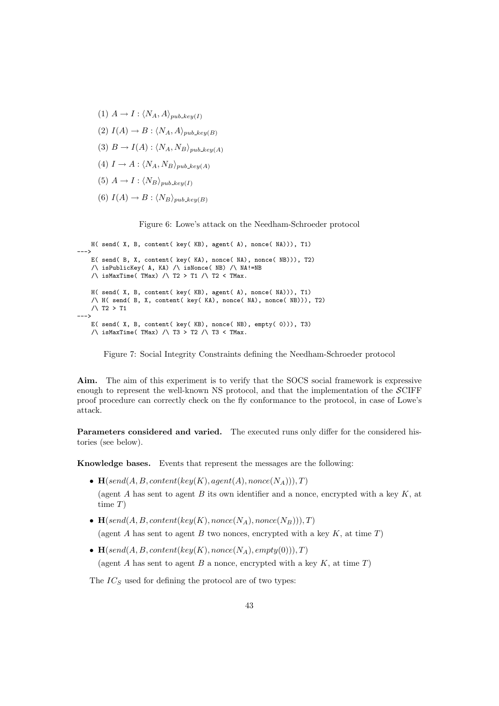- (1)  $A \rightarrow I : \langle N_A, A \rangle_{pub\_key(I)}$
- (2)  $I(A) \rightarrow B : \langle N_A, A \rangle_{pub\_key(B)}$
- (3)  $B \to I(A)$  :  $\langle N_A, N_B \rangle_{pub\_key(A)}$
- (4)  $I \rightarrow A : \langle N_A, N_B \rangle_{pub\_key(A)}$
- (5)  $A \rightarrow I : \langle N_B \rangle_{pub\_keu(I)}$
- (6)  $I(A) \rightarrow B : \langle N_B \rangle_{pub\_key(B)}$

Figure 6: Lowe's attack on the Needham-Schroeder protocol

```
H( send( X, B, content( key( KB), agent( A), nonce( NA))), T1)
--->
   E( send( B, X, content( key( KA), nonce( NA), nonce( NB))), T2)
    /\ isPublicKey( A, KA) /\ isNonce( NB) /\ NA!=NB
   \land isMaxTime(TMax) \land T2 > T1 \land T2 < TMax.
   H( send( X, B, content( key( KB), agent( A), nonce( NA))), T1)
   /\ H( send( B, X, content( key( KA), nonce( NA), nonce( NB))), T2)
   /\ T2 > T1
--->
   E( send( X, B, content( key( KB), nonce( NB), empty( 0))), T3)
    \land isMaxTime(TMax) \land T3 > T2 \land T3 < TMax.
```
Figure 7: Social Integrity Constraints defining the Needham-Schroeder protocol

Aim. The aim of this experiment is to verify that the SOCS social framework is expressive enough to represent the well-known NS protocol, and that the implementation of the SCIFF proof procedure can correctly check on the fly conformance to the protocol, in case of Lowe's attack.

Parameters considered and varied. The executed runs only differ for the considered histories (see below).

Knowledge bases. Events that represent the messages are the following:

- $\mathbf{H}(\text{send}(A, B, \text{content}(\text{key}(K), \text{agent}(A), \text{none}(N_A))), T)$ (agent A has sent to agent B its own identifier and a nonce, encrypted with a key  $K$ , at time T)
- $\mathbf{H}(send(A, B, content(key(K), nonce(N_A), nonce(N_B))), T)$ (agent A has sent to agent B two nonces, encrypted with a key  $K$ , at time T)
- $\mathbf{H}(\text{send}(A, B, \text{content}(\text{key}(K), \text{none}(N_A), \text{empty}(0))), T)$ (agent A has sent to agent B a nonce, encrypted with a key  $K$ , at time  $T$ )

The  $IC<sub>S</sub>$  used for defining the protocol are of two types: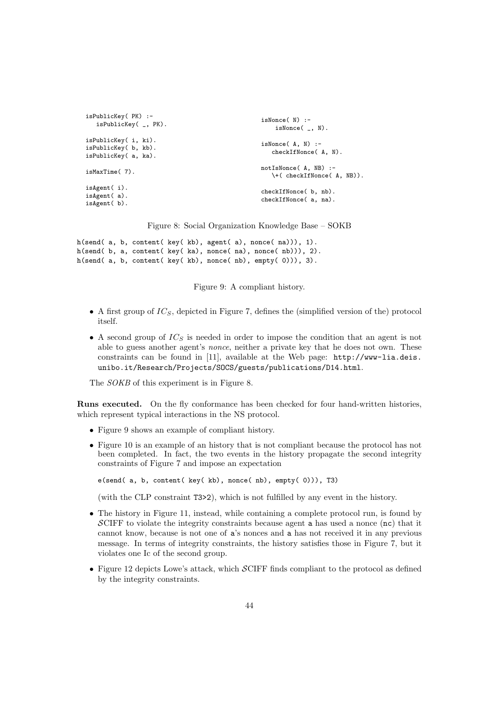```
isPublicKey( PK) :-
  isPublicKey( _, PK).
isPublicKey( i, ki).
isPublicKey( b, kb).
isPublicKey( a, ka).
isMaxTime( 7).
isAgent( i).
isAgent( a).
isAgent( b).
                                                   isNonce( N) :-
                                                       isNonce( _, N).
                                                   isNonce( A, N) :-
                                                      checkIfNonce( A, N).
                                                   notIsNonce( A, NB) :-
                                                      \+( checkIfNonce( A, NB)).
                                                   checkIfNonce( b, nb).
                                                   checkIfNonce( a, na).
```
Figure 8: Social Organization Knowledge Base – SOKB

```
h(send( a, b, content( key( kb), agent( a), nonce( na))), 1).
h(send( b, a, content( key( ka), nonce( na), nonce( nb))), 2).
h(send( a, b, content( key( kb), nonce( nb), empty( 0))), 3).
```
Figure 9: A compliant history.

- A first group of  $IC_S$ , depicted in Figure 7, defines the (simplified version of the) protocol itself.
- A second group of  $IC_S$  is needed in order to impose the condition that an agent is not able to guess another agent's nonce, neither a private key that he does not own. These constraints can be found in [11], available at the Web page: http://www-lia.deis. unibo.it/Research/Projects/SOCS/guests/publications/D14.html.

The *SOKB* of this experiment is in Figure 8.

Runs executed. On the fly conformance has been checked for four hand-written histories, which represent typical interactions in the NS protocol.

- Figure 9 shows an example of compliant history.
- Figure 10 is an example of an history that is not compliant because the protocol has not been completed. In fact, the two events in the history propagate the second integrity constraints of Figure 7 and impose an expectation

e(send( a, b, content( key( kb), nonce( nb), empty( 0))), T3)

(with the CLP constraint T3>2), which is not fulfilled by any event in the history.

- The history in Figure 11, instead, while containing a complete protocol run, is found by SCIFF to violate the integrity constraints because agent a has used a nonce (nc) that it cannot know, because is not one of a's nonces and a has not received it in any previous message. In terms of integrity constraints, the history satisfies those in Figure 7, but it violates one Ic of the second group.
- Figure 12 depicts Lowe's attack, which SCIFF finds compliant to the protocol as defined by the integrity constraints.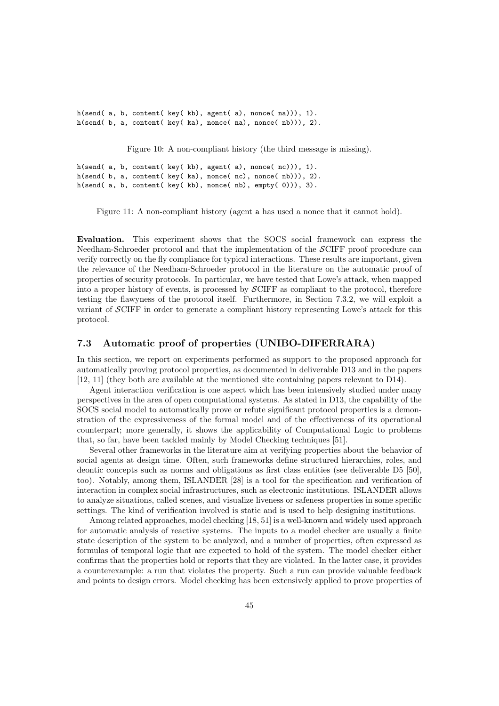h(send( a, b, content( key( kb), agent( a), nonce( na))), 1). h(send( b, a, content( key( ka), nonce( na), nonce( nb))), 2).

Figure 10: A non-compliant history (the third message is missing).

h(send( a, b, content( key( kb), agent( a), nonce(  $nc$ )), 1). h(send( b, a, content( key( ka), nonce( nc), nonce( nb))), 2). h(send( a, b, content( key( kb), nonce( nb), empty( 0))), 3).

Figure 11: A non-compliant history (agent a has used a nonce that it cannot hold).

Evaluation. This experiment shows that the SOCS social framework can express the Needham-Schroeder protocol and that the implementation of the SCIFF proof procedure can verify correctly on the fly compliance for typical interactions. These results are important, given the relevance of the Needham-Schroeder protocol in the literature on the automatic proof of properties of security protocols. In particular, we have tested that Lowe's attack, when mapped into a proper history of events, is processed by SCIFF as compliant to the protocol, therefore testing the flawyness of the protocol itself. Furthermore, in Section 7.3.2, we will exploit a variant of SCIFF in order to generate a compliant history representing Lowe's attack for this protocol.

### 7.3 Automatic proof of properties (UNIBO-DIFERRARA)

In this section, we report on experiments performed as support to the proposed approach for automatically proving protocol properties, as documented in deliverable D13 and in the papers [12, 11] (they both are available at the mentioned site containing papers relevant to D14).

Agent interaction verification is one aspect which has been intensively studied under many perspectives in the area of open computational systems. As stated in D13, the capability of the SOCS social model to automatically prove or refute significant protocol properties is a demonstration of the expressiveness of the formal model and of the effectiveness of its operational counterpart; more generally, it shows the applicability of Computational Logic to problems that, so far, have been tackled mainly by Model Checking techniques [51].

Several other frameworks in the literature aim at verifying properties about the behavior of social agents at design time. Often, such frameworks define structured hierarchies, roles, and deontic concepts such as norms and obligations as first class entities (see deliverable D5 [50], too). Notably, among them, ISLANDER [28] is a tool for the specification and verification of interaction in complex social infrastructures, such as electronic institutions. ISLANDER allows to analyze situations, called scenes, and visualize liveness or safeness properties in some specific settings. The kind of verification involved is static and is used to help designing institutions.

Among related approaches, model checking [18, 51] is a well-known and widely used approach for automatic analysis of reactive systems. The inputs to a model checker are usually a finite state description of the system to be analyzed, and a number of properties, often expressed as formulas of temporal logic that are expected to hold of the system. The model checker either confirms that the properties hold or reports that they are violated. In the latter case, it provides a counterexample: a run that violates the property. Such a run can provide valuable feedback and points to design errors. Model checking has been extensively applied to prove properties of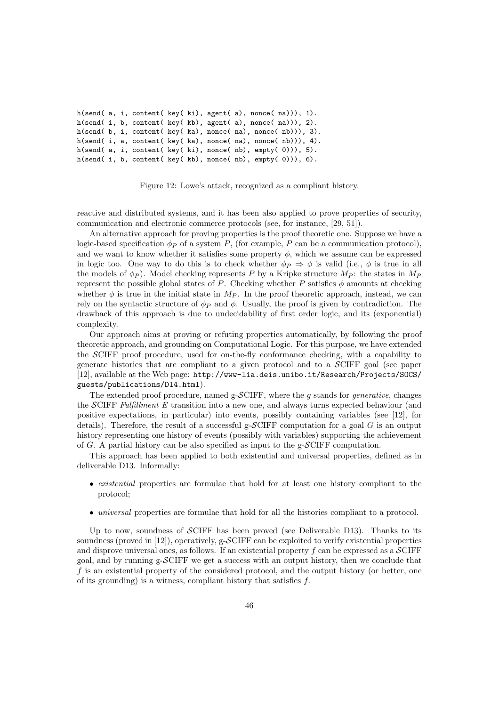```
h(send( a, i, content( key( ki), agent( a), nonce( na))), 1).
h(send( i, b, content( key( kb), agent( a), nonce( na))), 2).
h(send( b, i, content( key( ka), nonce( na), nonce( nb))), 3).
h(send( i, a, content( key( ka), nonce( na), nonce( nb))), 4).
h(send( a, i, content( key( ki), nonce( nb), empty( 0))), 5).
h(send( i, b, content( key( kb), nonce( nb), empty( 0))), 6).
```
Figure 12: Lowe's attack, recognized as a compliant history.

reactive and distributed systems, and it has been also applied to prove properties of security, communication and electronic commerce protocols (see, for instance, [29, 51]).

An alternative approach for proving properties is the proof theoretic one. Suppose we have a logic-based specification  $\phi_P$  of a system P, (for example, P can be a communication protocol), and we want to know whether it satisfies some property  $\phi$ , which we assume can be expressed in logic too. One way to do this is to check whether  $\phi_P \Rightarrow \phi$  is valid (i.e.,  $\phi$  is true in all the models of  $\phi_P$ ). Model checking represents P by a Kripke structure  $M_P$ : the states in  $M_P$ represent the possible global states of P. Checking whether P satisfies  $\phi$  amounts at checking whether  $\phi$  is true in the initial state in  $M_P$ . In the proof theoretic approach, instead, we can rely on the syntactic structure of  $\phi_P$  and  $\phi$ . Usually, the proof is given by contradiction. The drawback of this approach is due to undecidability of first order logic, and its (exponential) complexity.

Our approach aims at proving or refuting properties automatically, by following the proof theoretic approach, and grounding on Computational Logic. For this purpose, we have extended the SCIFF proof procedure, used for on-the-fly conformance checking, with a capability to generate histories that are compliant to a given protocol and to a SCIFF goal (see paper [12], available at the Web page: http://www-lia.deis.unibo.it/Research/Projects/SOCS/ guests/publications/D14.html).

The extended proof procedure, named  $g$ -SCIFF, where the q stands for *generative*, changes the SCIFF Fulfillment E transition into a new one, and always turns expected behaviour (and positive expectations, in particular) into events, possibly containing variables (see [12], for details). Therefore, the result of a successful g- $\mathcal{S}CIFF$  computation for a goal G is an output history representing one history of events (possibly with variables) supporting the achievement of G. A partial history can be also specified as input to the g-SCIFF computation.

This approach has been applied to both existential and universal properties, defined as in deliverable D13. Informally:

- *existential* properties are formulae that hold for at least one history compliant to the protocol;
- universal properties are formulae that hold for all the histories compliant to a protocol.

Up to now, soundness of  $\mathcal{S}CIFF$  has been proved (see Deliverable D13). Thanks to its soundness (proved in  $[12]$ ), operatively, g-SCIFF can be exploited to verify existential properties and disprove universal ones, as follows. If an existential property f can be expressed as a  $\mathcal{S}$ CIFF goal, and by running  $g$ -SCIFF we get a success with an output history, then we conclude that f is an existential property of the considered protocol, and the output history (or better, one of its grounding) is a witness, compliant history that satisfies  $f$ .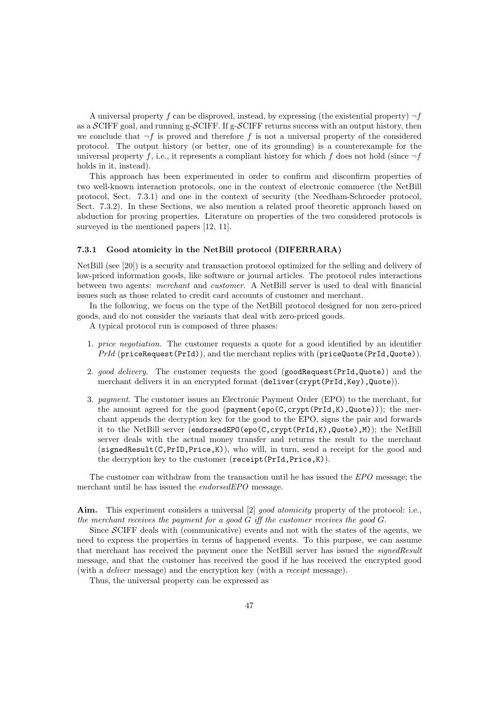A universal property f can be disproved, instead, by expressing (the existential property)  $\neg f$ as a  $\mathcal{S}$ CIFF goal, and running g- $\mathcal{S}$ CIFF. If g- $\mathcal{S}$ CIFF returns success with an output history, then we conclude that  $\neg f$  is proved and therefore f is not a universal property of the considered protocol. The output history (or better, one of its grounding) is a counterexample for the universal property f, i.e., it represents a compliant history for which f does not hold (since  $\neg f$ holds in it, instead).

This approach has been experimented in order to confirm and disconfirm properties of two well-known interaction protocols, one in the context of electronic commerce (the NetBill protocol, Sect. 7.3.1) and one in the context of security (the Needham-Schroeder protocol, Sect. 7.3.2). In these Sections, we also mention a related proof theoretic approach based on abduction for proving properties. Literature on properties of the two considered protocols is surveyed in the mentioned papers  $[12, 11]$ .

#### 7.3.1 Good atomicity in the NetBill protocol (DIFERRARA)

NetBill (see [20]) is a security and transaction protocol optimized for the selling and delivery of low-priced information goods, like software or journal articles. The protocol rules interactions between two agents: merchant and customer. A NetBill server is used to deal with financial issues such as those related to credit card accounts of customer and merchant.

In the following, we focus on the type of the NetBill protocol designed for non zero-priced goods, and do not consider the variants that deal with zero-priced goods.

A typical protocol run is composed of three phases:

- 1. price negotiation. The customer requests a quote for a good identified by an identifier PrId (priceRequest(PrId)), and the merchant replies with (priceQuote(PrId,Quote)).
- 2. good delivery. The customer requests the good (goodRequest(PrId,Quote)) and the merchant delivers it in an encrypted format (deliver(crypt(PrId,Key),Quote)).
- 3. payment. The customer issues an Electronic Payment Order (EPO) to the merchant, for the amount agreed for the good (payment(epo( $C\text{.crvpt}(PrId,K)$ ), Quote)); the merchant appends the decryption key for the good to the EPO, signs the pair and forwards it to the NetBill server (endorsedEPO(epo(C,crypt(PrId,K),Quote),M)); the NetBill server deals with the actual money transfer and returns the result to the merchant  $(signedResult(C, PrID, Price, K))$ , who will, in turn, send a receipt for the good and the decryption key to the customer (receipt(PrId,Price,K)).

The customer can withdraw from the transaction until he has issued the EPO message; the merchant until he has issued the endorsedEPO message.

Aim. This experiment considers a universal [2] good atomicity property of the protocol: i.e., the merchant receives the payment for a good  $G$  iff the customer receives the good  $G$ .

Since SCIFF deals with (communicative) events and not with the states of the agents, we need to express the properties in terms of happened events. To this purpose, we can assume that merchant has received the payment once the NetBill server has issued the *signedResult* message, and that the customer has received the good if he has received the encrypted good (with a deliver message) and the encryption key (with a receipt message).

Thus, the universal property can be expressed as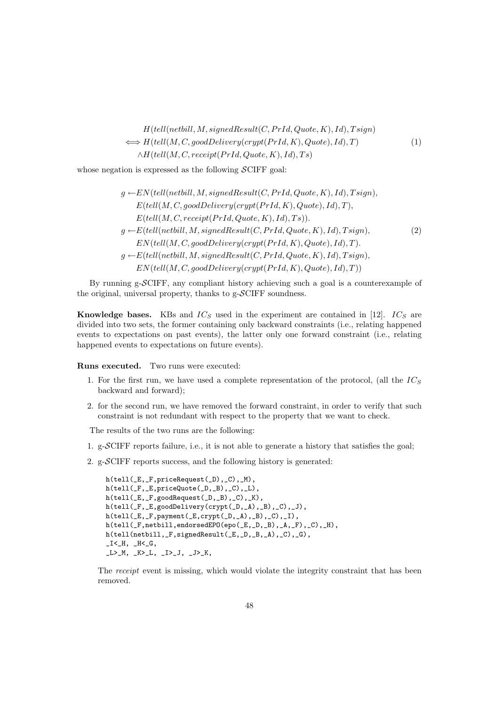$$
H(tell(netbill, M, signedResult(C, PrId, Quote, K), Id), Tsign)
$$
  
\n
$$
\iff H(tell(M, C, goodDelivery(crypt(PrId, K), Quote), Id), T)
$$
  
\n
$$
\land H(tell(M, C, receipt(PrId, Quote, K), Id), Ts)
$$
\n(1)

whose negation is expressed as the following  $\mathcal{S}$ CIFF goal:

$$
g \leftarrow EN(tell(netbill, M, signedResult(C, PrId, Quote, K), Id), Tsign),
$$
  
\n
$$
E(tell(M, C, goodDelivery(crypt(PrId, K), Quote), Id), T),
$$
  
\n
$$
E(tell(M, C, receipt(PrId, Quote, K), Id), Ts)).
$$
  
\n
$$
g \leftarrow E(tell(netbill, M, signedResult(C, PrId, Quote, K), Id), Tsign),
$$
  
\n
$$
EN(tell(M, C, goodDelivery(crypt(PrId, K), Quote), Id), T).
$$
  
\n
$$
g \leftarrow E(tell(netbill, M, signedResult(C, PrId, Quote, K), Id), Tsign),
$$
  
\n
$$
EN(tell(M, C, goodDelivery(crypt(PrId, K), Quote), Id), T))
$$

By running g-SCIFF, any compliant history achieving such a goal is a counterexample of the original, universal property, thanks to  $g$ - $\mathcal{S}$ CIFF soundness.

**Knowledge bases.** KBs and  $IC_S$  used in the experiment are contained in [12].  $IC_S$  are divided into two sets, the former containing only backward constraints (i.e., relating happened events to expectations on past events), the latter only one forward constraint (i.e., relating happened events to expectations on future events).

Runs executed. Two runs were executed:

- 1. For the first run, we have used a complete representation of the protocol, (all the  $IC_S$ backward and forward);
- 2. for the second run, we have removed the forward constraint, in order to verify that such constraint is not redundant with respect to the property that we want to check.

The results of the two runs are the following:

- 1. g-SCIFF reports failure, i.e., it is not able to generate a history that satisfies the goal;
- 2. g-SCIFF reports success, and the following history is generated:

```
h(tell(_E,_F,priceRequest(_D),_C),_M),
h(tell(_F,_E,priceQuote(_D,_B),_C),_L),
h(tell(_E,_F,goodRequest(_D,_B),_C),_K),
h(tell(_F,_E,goodDelivery(crypt(_D,_A),_B),_C),_J),
h(tell([E, _F,payment([E, \text{crypt}([D, _A), _B), _C), _I),h(tell(_F,netbill,endorsedEPO(epo(_E,_D,_B),_A,_F),_C),_H),
h(tell(netbill,_F,signedResult(_E,_D,_B,_A),_C),_G),
I < H, H < G,
_L>_{M}, _K>_{L}, _L>_{J}, _J, _J<_{K},
```
The receipt event is missing, which would violate the integrity constraint that has been removed.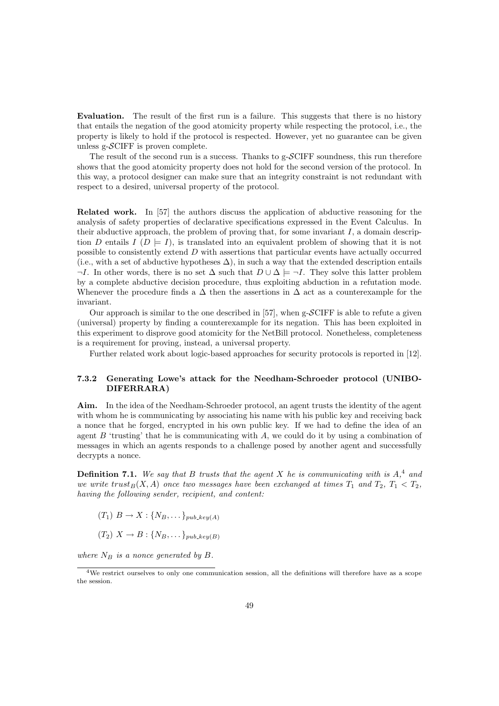Evaluation. The result of the first run is a failure. This suggests that there is no history that entails the negation of the good atomicity property while respecting the protocol, i.e., the property is likely to hold if the protocol is respected. However, yet no guarantee can be given unless  $g-\mathcal{S}$ CIFF is proven complete.

The result of the second run is a success. Thanks to  $g$ - $\mathcal{S}$ CIFF soundness, this run therefore shows that the good atomicity property does not hold for the second version of the protocol. In this way, a protocol designer can make sure that an integrity constraint is not redundant with respect to a desired, universal property of the protocol.

Related work. In [57] the authors discuss the application of abductive reasoning for the analysis of safety properties of declarative specifications expressed in the Event Calculus. In their abductive approach, the problem of proving that, for some invariant  $I$ , a domain description D entails  $I(D \models I)$ , is translated into an equivalent problem of showing that it is not possible to consistently extend D with assertions that particular events have actually occurred (i.e., with a set of abductive hypotheses  $\Delta$ ), in such a way that the extended description entails  $\neg I$ . In other words, there is no set  $\Delta$  such that  $D \cup \Delta \models \neg I$ . They solve this latter problem by a complete abductive decision procedure, thus exploiting abduction in a refutation mode. Whenever the procedure finds a  $\Delta$  then the assertions in  $\Delta$  act as a counterexample for the invariant.

Our approach is similar to the one described in [57], when  $g$ - $\mathcal{S}$ CIFF is able to refute a given (universal) property by finding a counterexample for its negation. This has been exploited in this experiment to disprove good atomicity for the NetBill protocol. Nonetheless, completeness is a requirement for proving, instead, a universal property.

Further related work about logic-based approaches for security protocols is reported in [12].

#### 7.3.2 Generating Lowe's attack for the Needham-Schroeder protocol (UNIBO-DIFERRARA)

Aim. In the idea of the Needham-Schroeder protocol, an agent trusts the identity of the agent with whom he is communicating by associating his name with his public key and receiving back a nonce that he forged, encrypted in his own public key. If we had to define the idea of an agent  $B$  'trusting' that he is communicating with  $A$ , we could do it by using a combination of messages in which an agents responds to a challenge posed by another agent and successfully decrypts a nonce.

**Definition 7.1.** We say that B trusts that the agent X he is communicating with is  $A,^4$  and we write trust<sub>B</sub>(X, A) once two messages have been exchanged at times  $T_1$  and  $T_2$ ,  $T_1 < T_2$ , having the following sender, recipient, and content:

- $(T_1)$   $B \rightarrow X : \{N_B, \dots\}$ <sub>pub</sup>-key(A)</sub>
- $(T_2)$   $X \rightarrow B$  :  $\{N_B, \ldots\}$ <sub>pub key(B)</sub>

where  $N_B$  is a nonce generated by B.

<sup>4</sup>We restrict ourselves to only one communication session, all the definitions will therefore have as a scope the session.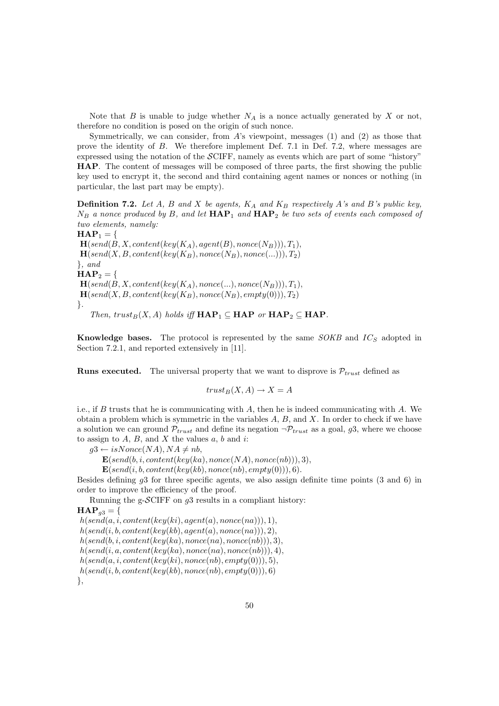Note that  $B$  is unable to judge whether  $N_A$  is a nonce actually generated by  $X$  or not, therefore no condition is posed on the origin of such nonce.

Symmetrically, we can consider, from  $A$ 's viewpoint, messages (1) and (2) as those that prove the identity of B. We therefore implement Def. 7.1 in Def. 7.2, where messages are expressed using the notation of the  $\mathcal{S}CIFF$ , namely as events which are part of some "history" HAP. The content of messages will be composed of three parts, the first showing the public key used to encrypt it, the second and third containing agent names or nonces or nothing (in particular, the last part may be empty).

**Definition 7.2.** Let A, B and X be agents,  $K_A$  and  $K_B$  respectively A's and B's public key,  $N_B$  a nonce produced by B, and let  $\text{HAP}_1$  and  $\text{HAP}_2$  be two sets of events each composed of two elements, namely:

 $HAP_1 =$  $\mathbf{H}(send(B, X, content(key(K_A), agent(B), nonce(N_B))), T_1),$  $\mathbf{H}(send(X, B, content(key(K_B), nonce(N_B), nonce(...))), T_2)$  $\}$ , and  $HAP_2 =$  $\mathbf{H}(send(B, X, content(key(K_A), nonce(...), nonce(N_B))), T_1),$  $\mathbf{H}(send(X, B, content(key(K_B), nonce(N_B), empty(0))), T_2)$ }. Then, trust<sub>B</sub>(X, A) holds iff  $\textbf{HAP}_1 \subseteq \textbf{HAP}$  or  $\textbf{HAP}_2 \subseteq \textbf{HAP}$ .

**Knowledge bases.** The protocol is represented by the same  $SOKB$  and  $IC_S$  adopted in Section 7.2.1, and reported extensively in [11].

**Runs executed.** The universal property that we want to disprove is  $\mathcal{P}_{trust}$  defined as

$$
trust_B(X, A) \to X = A
$$

i.e., if B trusts that he is communicating with A, then he is indeed communicating with A. We obtain a problem which is symmetric in the variables  $A, B$ , and  $X$ . In order to check if we have a solution we can ground  $\mathcal{P}_{trust}$  and define its negation  $\neg \mathcal{P}_{trust}$  as a goal, g3, where we choose to assign to  $A, B$ , and  $X$  the values  $a, b$  and  $i$ :

 $a3 \leftarrow isNone(NA)$ ,  $NA \neq nb$ ,

 $\mathbf{E}(send(b, i, content(key(ka), nonce(NA), nonce(nb))), 3),$ 

 $\mathbf{E}(send(i, b, content(key(kb), nonce(nb), empty(0))), 6).$ 

Besides defining g3 for three specific agents, we also assign definite time points (3 and 6) in order to improve the efficiency of the proof.

Running the g- $\mathcal{S}$ CIFF on  $g_3$  results in a compliant history:

 $HAP_{a3} =$  $h(send(a, i, content(key(ki), agent(a), nonce(na))), 1),$  $h(send(i, b, content(key(kb), agent(a), nonce(na))), 2),$  $h(send(b, i, content(key(ka), nonce(na), nonce(nb))), 3),$  $h(send(i, a, content(key(ka), nonce(na), nonce(nb))), 4),$  $h(send(a, i, content(key(ki), nonce(nb), empty(0))), 5),$  $h(send(i, b, content(key(kb), nonce(nb), empty(0))), 6)$ },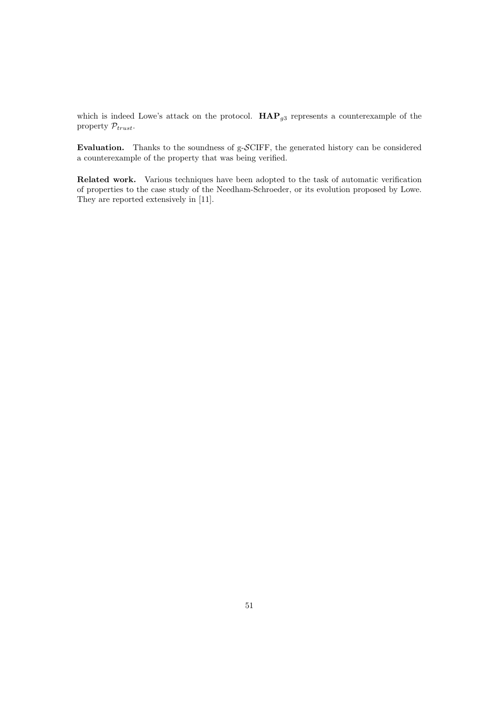which is indeed Lowe's attack on the protocol.  $\mathbf{HAP}_{g3}$  represents a counterexample of the property  $\mathcal{P}_{trust}.$ 

Evaluation. Thanks to the soundness of g-SCIFF, the generated history can be considered a counterexample of the property that was being verified.

Related work. Various techniques have been adopted to the task of automatic verification of properties to the case study of the Needham-Schroeder, or its evolution proposed by Lowe. They are reported extensively in [11].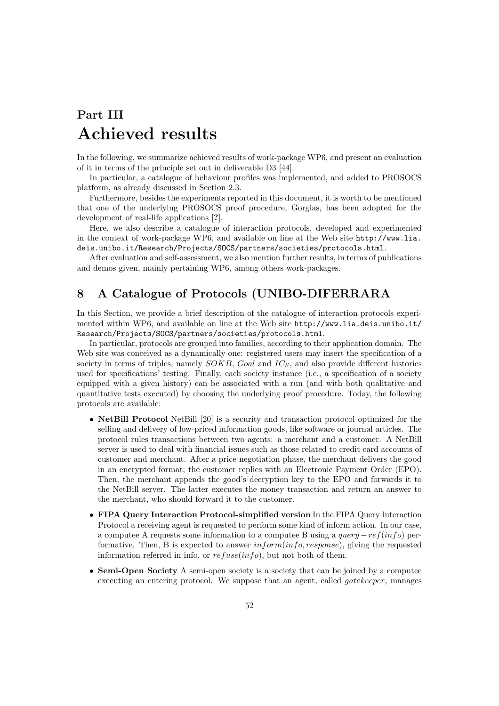# Part III Achieved results

In the following, we summarize achieved results of work-package WP6, and present an evaluation of it in terms of the principle set out in deliverable D3 [44].

In particular, a catalogue of behaviour profiles was implemented, and added to PROSOCS platform, as already discussed in Section 2.3.

Furthermore, besides the experiments reported in this document, it is worth to be mentioned that one of the underlying PROSOCS proof procedure, Gorgias, has been adopted for the development of real-life applications [?].

Here, we also describe a catalogue of interaction protocols, developed and experimented in the context of work-package WP6, and available on line at the Web site http://www.lia. deis.unibo.it/Research/Projects/SOCS/partners/societies/protocols.html.

After evaluation and self-assessment, we also mention further results, in terms of publications and demos given, mainly pertaining WP6, among others work-packages.

# 8 A Catalogue of Protocols (UNIBO-DIFERRARA

In this Section, we provide a brief description of the catalogue of interaction protocols experimented within WP6, and available on line at the Web site http://www.lia.deis.unibo.it/ Research/Projects/SOCS/partners/societies/protocols.html.

In particular, protocols are grouped into families, according to their application domain. The Web site was conceived as a dynamically one: registered users may insert the specification of a society in terms of triples, namely  $SOKB$ , Goal and  $IC_S$ , and also provide different histories used for specifications' testing. Finally, each society instance (i.e., a specification of a society equipped with a given history) can be associated with a run (and with both qualitative and quantitative tests executed) by choosing the underlying proof procedure. Today, the following protocols are available:

- **NetBill Protocol** NetBill [20] is a security and transaction protocol optimized for the selling and delivery of low-priced information goods, like software or journal articles. The protocol rules transactions between two agents: a merchant and a customer. A NetBill server is used to deal with financial issues such as those related to credit card accounts of customer and merchant. After a price negotiation phase, the merchant delivers the good in an encrypted format; the customer replies with an Electronic Payment Order (EPO). Then, the merchant appends the good's decryption key to the EPO and forwards it to the NetBill server. The latter executes the money transaction and return an answer to the merchant, who should forward it to the customer.
- FIPA Query Interaction Protocol-simplified version In the FIPA Query Interaction Protocol a receiving agent is requested to perform some kind of inform action. In our case, a computee A requests some information to a computee B using a  $query -ref(info)$  performative. Then, B is expected to answer  $information(info, response)$ , giving the requested information referred in info, or  $refuse(info)$ , but not both of them.
- Semi-Open Society A semi-open society is a society that can be joined by a computee executing an entering protocol. We suppose that an agent, called *gatekeeper*, manages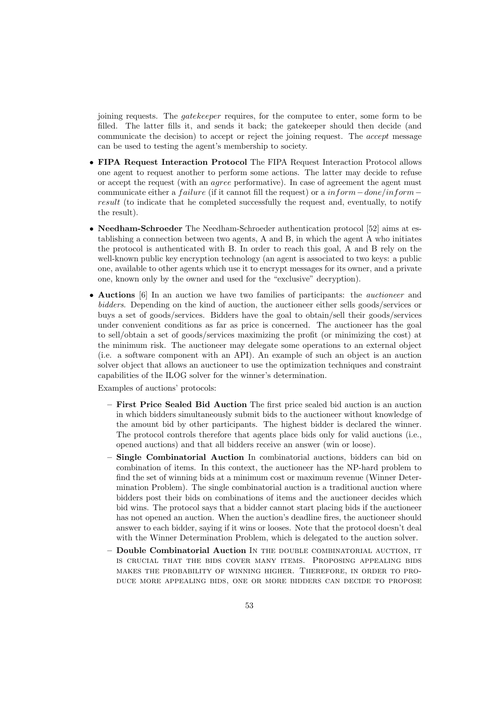joining requests. The *gatekeeper* requires, for the computee to enter, some form to be filled. The latter fills it, and sends it back; the gatekeeper should then decide (and communicate the decision) to accept or reject the joining request. The accept message can be used to testing the agent's membership to society.

- FIPA Request Interaction Protocol The FIPA Request Interaction Protocol allows one agent to request another to perform some actions. The latter may decide to refuse or accept the request (with an agree performative). In case of agreement the agent must communicate either a *failure* (if it cannot fill the request) or a inform  $-done/inform$ result (to indicate that he completed successfully the request and, eventually, to notify the result).
- Needham-Schroeder The Needham-Schroeder authentication protocol [52] aims at establishing a connection between two agents, A and B, in which the agent A who initiates the protocol is authenticated with B. In order to reach this goal, A and B rely on the well-known public key encryption technology (an agent is associated to two keys: a public one, available to other agents which use it to encrypt messages for its owner, and a private one, known only by the owner and used for the "exclusive" decryption).
- Auctions [6] In an auction we have two families of participants: the *auctioneer* and bidders. Depending on the kind of auction, the auctioneer either sells goods/services or buys a set of goods/services. Bidders have the goal to obtain/sell their goods/services under convenient conditions as far as price is concerned. The auctioneer has the goal to sell/obtain a set of goods/services maximizing the profit (or minimizing the cost) at the minimum risk. The auctioneer may delegate some operations to an external object (i.e. a software component with an API). An example of such an object is an auction solver object that allows an auctioneer to use the optimization techniques and constraint capabilities of the ILOG solver for the winner's determination.

Examples of auctions' protocols:

- First Price Sealed Bid Auction The first price sealed bid auction is an auction in which bidders simultaneously submit bids to the auctioneer without knowledge of the amount bid by other participants. The highest bidder is declared the winner. The protocol controls therefore that agents place bids only for valid auctions (i.e., opened auctions) and that all bidders receive an answer (win or loose).
- Single Combinatorial Auction In combinatorial auctions, bidders can bid on combination of items. In this context, the auctioneer has the NP-hard problem to find the set of winning bids at a minimum cost or maximum revenue (Winner Determination Problem). The single combinatorial auction is a traditional auction where bidders post their bids on combinations of items and the auctioneer decides which bid wins. The protocol says that a bidder cannot start placing bids if the auctioneer has not opened an auction. When the auction's deadline fires, the auctioneer should answer to each bidder, saying if it wins or looses. Note that the protocol doesn't deal with the Winner Determination Problem, which is delegated to the auction solver.
- Double Combinatorial Auction In the double combinatorial auction, it is crucial that the bids cover many items. Proposing appealing bids makes the probability of winning higher. Therefore, in order to produce more appealing bids, one or more bidders can decide to propose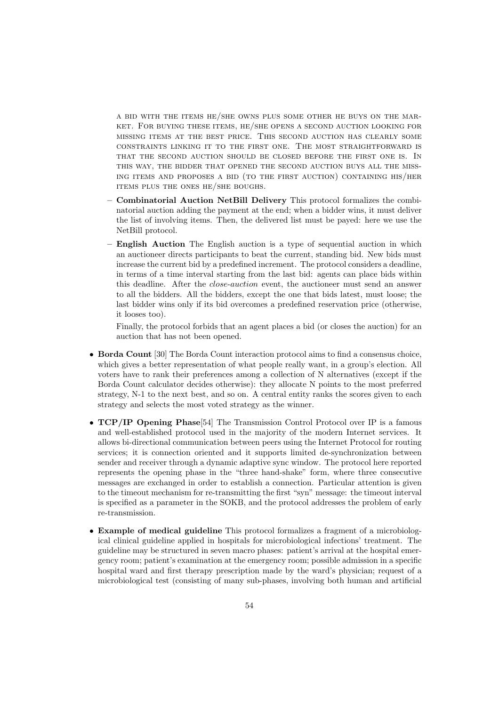a bid with the items he/she owns plus some other he buys on the market. For buying these items, he/she opens a second auction looking for missing items at the best price. This second auction has clearly some constraints linking it to the first one. The most straightforward is that the second auction should be closed before the first one is. In this way, the bidder that opened the second auction buys all the missing items and proposes a bid (to the first auction) containing his/her items plus the ones he/she boughs.

- Combinatorial Auction NetBill Delivery This protocol formalizes the combinatorial auction adding the payment at the end; when a bidder wins, it must deliver the list of involving items. Then, the delivered list must be payed: here we use the NetBill protocol.
- English Auction The English auction is a type of sequential auction in which an auctioneer directs participants to beat the current, standing bid. New bids must increase the current bid by a predefined increment. The protocol considers a deadline, in terms of a time interval starting from the last bid: agents can place bids within this deadline. After the close-auction event, the auctioneer must send an answer to all the bidders. All the bidders, except the one that bids latest, must loose; the last bidder wins only if its bid overcomes a predefined reservation price (otherwise, it looses too).

Finally, the protocol forbids that an agent places a bid (or closes the auction) for an auction that has not been opened.

- Borda Count [30] The Borda Count interaction protocol aims to find a consensus choice, which gives a better representation of what people really want, in a group's election. All voters have to rank their preferences among a collection of N alternatives (except if the Borda Count calculator decides otherwise): they allocate N points to the most preferred strategy, N-1 to the next best, and so on. A central entity ranks the scores given to each strategy and selects the most voted strategy as the winner.
- TCP/IP Opening Phase<sup>[54]</sup> The Transmission Control Protocol over IP is a famous and well-established protocol used in the majority of the modern Internet services. It allows bi-directional communication between peers using the Internet Protocol for routing services; it is connection oriented and it supports limited de-synchronization between sender and receiver through a dynamic adaptive sync window. The protocol here reported represents the opening phase in the "three hand-shake" form, where three consecutive messages are exchanged in order to establish a connection. Particular attention is given to the timeout mechanism for re-transmitting the first "syn" message: the timeout interval is specified as a parameter in the SOKB, and the protocol addresses the problem of early re-transmission.
- Example of medical guideline This protocol formalizes a fragment of a microbiological clinical guideline applied in hospitals for microbiological infections' treatment. The guideline may be structured in seven macro phases: patient's arrival at the hospital emergency room; patient's examination at the emergency room; possible admission in a specific hospital ward and first therapy prescription made by the ward's physician; request of a microbiological test (consisting of many sub-phases, involving both human and artificial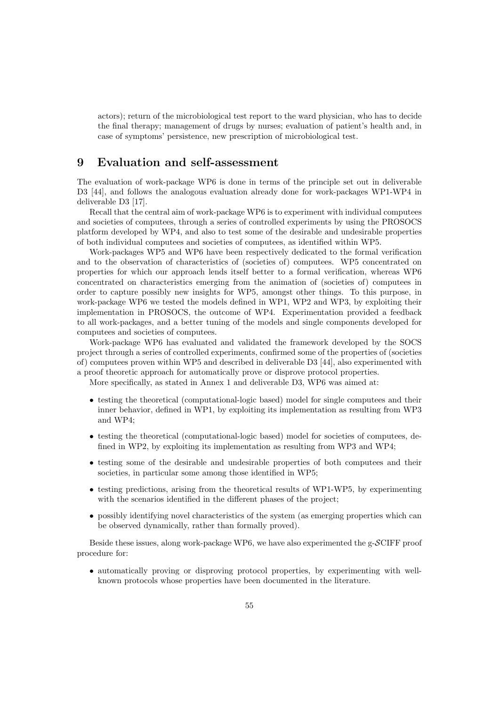actors); return of the microbiological test report to the ward physician, who has to decide the final therapy; management of drugs by nurses; evaluation of patient's health and, in case of symptoms' persistence, new prescription of microbiological test.

# 9 Evaluation and self-assessment

The evaluation of work-package WP6 is done in terms of the principle set out in deliverable D3 [44], and follows the analogous evaluation already done for work-packages WP1-WP4 in deliverable D3 [17].

Recall that the central aim of work-package WP6 is to experiment with individual computees and societies of computees, through a series of controlled experiments by using the PROSOCS platform developed by WP4, and also to test some of the desirable and undesirable properties of both individual computees and societies of computees, as identified within WP5.

Work-packages WP5 and WP6 have been respectively dedicated to the formal verification and to the observation of characteristics of (societies of) computees. WP5 concentrated on properties for which our approach lends itself better to a formal verification, whereas WP6 concentrated on characteristics emerging from the animation of (societies of) computees in order to capture possibly new insights for WP5, amongst other things. To this purpose, in work-package WP6 we tested the models defined in WP1, WP2 and WP3, by exploiting their implementation in PROSOCS, the outcome of WP4. Experimentation provided a feedback to all work-packages, and a better tuning of the models and single components developed for computees and societies of computees.

Work-package WP6 has evaluated and validated the framework developed by the SOCS project through a series of controlled experiments, confirmed some of the properties of (societies of) computees proven within WP5 and described in deliverable D3 [44], also experimented with a proof theoretic approach for automatically prove or disprove protocol properties.

More specifically, as stated in Annex 1 and deliverable D3, WP6 was aimed at:

- testing the theoretical (computational-logic based) model for single computees and their inner behavior, defined in WP1, by exploiting its implementation as resulting from WP3 and WP4;
- testing the theoretical (computational-logic based) model for societies of computees, defined in WP2, by exploiting its implementation as resulting from WP3 and WP4;
- testing some of the desirable and undesirable properties of both computees and their societies, in particular some among those identified in WP5;
- testing predictions, arising from the theoretical results of WP1-WP5, by experimenting with the scenarios identified in the different phases of the project;
- possibly identifying novel characteristics of the system (as emerging properties which can be observed dynamically, rather than formally proved).

Beside these issues, along work-package WP6, we have also experimented the g-SCIFF proof procedure for:

• automatically proving or disproving protocol properties, by experimenting with wellknown protocols whose properties have been documented in the literature.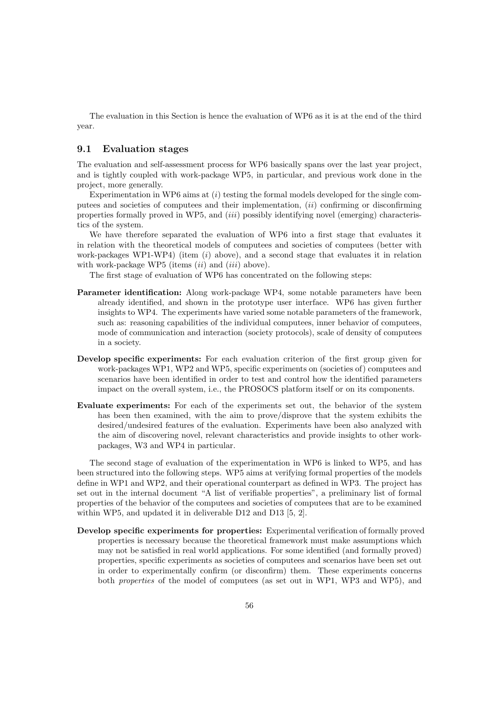The evaluation in this Section is hence the evaluation of WP6 as it is at the end of the third year.

#### 9.1 Evaluation stages

The evaluation and self-assessment process for WP6 basically spans over the last year project, and is tightly coupled with work-package WP5, in particular, and previous work done in the project, more generally.

Experimentation in WP6 aims at  $(i)$  testing the formal models developed for the single computees and societies of computees and their implementation,  $(ii)$  confirming or disconfirming properties formally proved in WP5, and (iii) possibly identifying novel (emerging) characteristics of the system.

We have therefore separated the evaluation of WP6 into a first stage that evaluates it in relation with the theoretical models of computees and societies of computees (better with work-packages WP1-WP4) (item  $(i)$  above), and a second stage that evaluates it in relation with work-package WP5 (items  $(ii)$  and  $(iii)$  above).

The first stage of evaluation of WP6 has concentrated on the following steps:

- Parameter identification: Along work-package WP4, some notable parameters have been already identified, and shown in the prototype user interface. WP6 has given further insights to WP4. The experiments have varied some notable parameters of the framework, such as: reasoning capabilities of the individual computees, inner behavior of computees, mode of communication and interaction (society protocols), scale of density of computees in a society.
- Develop specific experiments: For each evaluation criterion of the first group given for work-packages WP1, WP2 and WP5, specific experiments on (societies of) computees and scenarios have been identified in order to test and control how the identified parameters impact on the overall system, i.e., the PROSOCS platform itself or on its components.
- Evaluate experiments: For each of the experiments set out, the behavior of the system has been then examined, with the aim to prove/disprove that the system exhibits the desired/undesired features of the evaluation. Experiments have been also analyzed with the aim of discovering novel, relevant characteristics and provide insights to other workpackages, W3 and WP4 in particular.

The second stage of evaluation of the experimentation in WP6 is linked to WP5, and has been structured into the following steps. WP5 aims at verifying formal properties of the models define in WP1 and WP2, and their operational counterpart as defined in WP3. The project has set out in the internal document "A list of verifiable properties", a preliminary list of formal properties of the behavior of the computees and societies of computees that are to be examined within WP5, and updated it in deliverable D12 and D13 [5, 2].

Develop specific experiments for properties: Experimental verification of formally proved properties is necessary because the theoretical framework must make assumptions which may not be satisfied in real world applications. For some identified (and formally proved) properties, specific experiments as societies of computees and scenarios have been set out in order to experimentally confirm (or disconfirm) them. These experiments concerns both properties of the model of computees (as set out in WP1, WP3 and WP5), and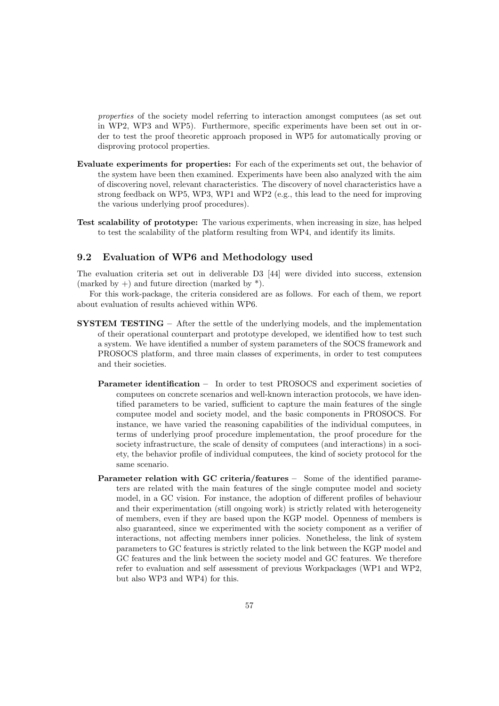properties of the society model referring to interaction amongst computees (as set out in WP2, WP3 and WP5). Furthermore, specific experiments have been set out in order to test the proof theoretic approach proposed in WP5 for automatically proving or disproving protocol properties.

- Evaluate experiments for properties: For each of the experiments set out, the behavior of the system have been then examined. Experiments have been also analyzed with the aim of discovering novel, relevant characteristics. The discovery of novel characteristics have a strong feedback on WP5, WP3, WP1 and WP2 (e.g., this lead to the need for improving the various underlying proof procedures).
- Test scalability of prototype: The various experiments, when increasing in size, has helped to test the scalability of the platform resulting from WP4, and identify its limits.

#### 9.2 Evaluation of WP6 and Methodology used

The evaluation criteria set out in deliverable D3 [44] were divided into success, extension (marked by  $+$ ) and future direction (marked by  $*$ ).

For this work-package, the criteria considered are as follows. For each of them, we report about evaluation of results achieved within WP6.

- SYSTEM TESTING After the settle of the underlying models, and the implementation of their operational counterpart and prototype developed, we identified how to test such a system. We have identified a number of system parameters of the SOCS framework and PROSOCS platform, and three main classes of experiments, in order to test computees and their societies.
	- Parameter identification In order to test PROSOCS and experiment societies of computees on concrete scenarios and well-known interaction protocols, we have identified parameters to be varied, sufficient to capture the main features of the single computee model and society model, and the basic components in PROSOCS. For instance, we have varied the reasoning capabilities of the individual computees, in terms of underlying proof procedure implementation, the proof procedure for the society infrastructure, the scale of density of computees (and interactions) in a society, the behavior profile of individual computees, the kind of society protocol for the same scenario.
	- Parameter relation with GC criteria/features Some of the identified parameters are related with the main features of the single computee model and society model, in a GC vision. For instance, the adoption of different profiles of behaviour and their experimentation (still ongoing work) is strictly related with heterogeneity of members, even if they are based upon the KGP model. Openness of members is also guaranteed, since we experimented with the society component as a verifier of interactions, not affecting members inner policies. Nonetheless, the link of system parameters to GC features is strictly related to the link between the KGP model and GC features and the link between the society model and GC features. We therefore refer to evaluation and self assessment of previous Workpackages (WP1 and WP2, but also WP3 and WP4) for this.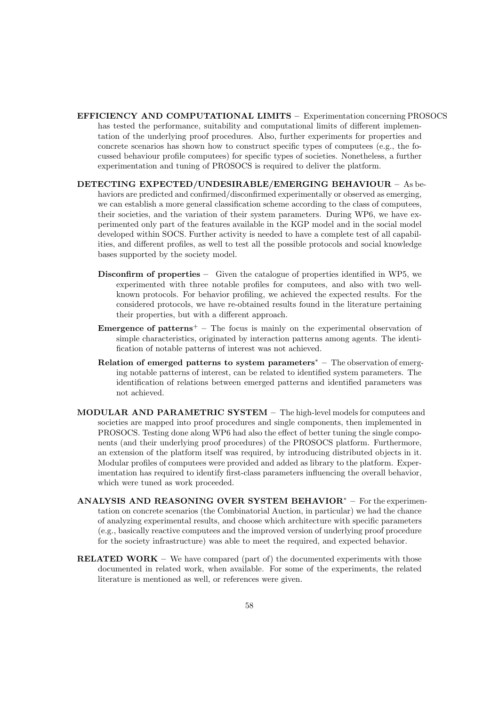- EFFICIENCY AND COMPUTATIONAL LIMITS Experimentation concerning PROSOCS has tested the performance, suitability and computational limits of different implementation of the underlying proof procedures. Also, further experiments for properties and concrete scenarios has shown how to construct specific types of computees (e.g., the focussed behaviour profile computees) for specific types of societies. Nonetheless, a further experimentation and tuning of PROSOCS is required to deliver the platform.
- DETECTING EXPECTED/UNDESIRABLE/EMERGING BEHAVIOUR As behaviors are predicted and confirmed/disconfirmed experimentally or observed as emerging, we can establish a more general classification scheme according to the class of computees, their societies, and the variation of their system parameters. During WP6, we have experimented only part of the features available in the KGP model and in the social model developed within SOCS. Further activity is needed to have a complete test of all capabilities, and different profiles, as well to test all the possible protocols and social knowledge bases supported by the society model.
	- Disconfirm of properties Given the catalogue of properties identified in WP5, we experimented with three notable profiles for computees, and also with two wellknown protocols. For behavior profiling, we achieved the expected results. For the considered protocols, we have re-obtained results found in the literature pertaining their properties, but with a different approach.
	- **Emergence of patterns**<sup>+</sup> The focus is mainly on the experimental observation of simple characteristics, originated by interaction patterns among agents. The identification of notable patterns of interest was not achieved.
	- Relation of emerged patterns to system parameters<sup>∗</sup> The observation of emerging notable patterns of interest, can be related to identified system parameters. The identification of relations between emerged patterns and identified parameters was not achieved.
- MODULAR AND PARAMETRIC SYSTEM The high-level models for computees and societies are mapped into proof procedures and single components, then implemented in PROSOCS. Testing done along WP6 had also the effect of better tuning the single components (and their underlying proof procedures) of the PROSOCS platform. Furthermore, an extension of the platform itself was required, by introducing distributed objects in it. Modular profiles of computees were provided and added as library to the platform. Experimentation has required to identify first-class parameters influencing the overall behavior, which were tuned as work proceeded.
- ANALYSIS AND REASONING OVER SYSTEM BEHAVIOR<sup>∗</sup> For the experimentation on concrete scenarios (the Combinatorial Auction, in particular) we had the chance of analyzing experimental results, and choose which architecture with specific parameters (e.g., basically reactive computees and the improved version of underlying proof procedure for the society infrastructure) was able to meet the required, and expected behavior.
- **RELATED WORK** We have compared (part of) the documented experiments with those documented in related work, when available. For some of the experiments, the related literature is mentioned as well, or references were given.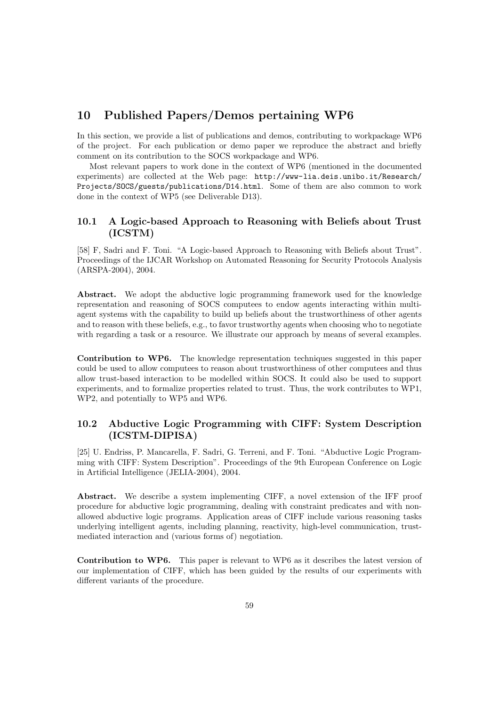# 10 Published Papers/Demos pertaining WP6

In this section, we provide a list of publications and demos, contributing to workpackage WP6 of the project. For each publication or demo paper we reproduce the abstract and briefly comment on its contribution to the SOCS workpackage and WP6.

Most relevant papers to work done in the context of WP6 (mentioned in the documented experiments) are collected at the Web page: http://www-lia.deis.unibo.it/Research/ Projects/SOCS/guests/publications/D14.html. Some of them are also common to work done in the context of WP5 (see Deliverable D13).

#### 10.1 A Logic-based Approach to Reasoning with Beliefs about Trust (ICSTM)

[58] F, Sadri and F. Toni. "A Logic-based Approach to Reasoning with Beliefs about Trust". Proceedings of the IJCAR Workshop on Automated Reasoning for Security Protocols Analysis (ARSPA-2004), 2004.

Abstract. We adopt the abductive logic programming framework used for the knowledge representation and reasoning of SOCS computees to endow agents interacting within multiagent systems with the capability to build up beliefs about the trustworthiness of other agents and to reason with these beliefs, e.g., to favor trustworthy agents when choosing who to negotiate with regarding a task or a resource. We illustrate our approach by means of several examples.

Contribution to WP6. The knowledge representation techniques suggested in this paper could be used to allow computees to reason about trustworthiness of other computees and thus allow trust-based interaction to be modelled within SOCS. It could also be used to support experiments, and to formalize properties related to trust. Thus, the work contributes to WP1, WP2, and potentially to WP5 and WP6.

## 10.2 Abductive Logic Programming with CIFF: System Description (ICSTM-DIPISA)

[25] U. Endriss, P. Mancarella, F. Sadri, G. Terreni, and F. Toni. "Abductive Logic Programming with CIFF: System Description". Proceedings of the 9th European Conference on Logic in Artificial Intelligence (JELIA-2004), 2004.

Abstract. We describe a system implementing CIFF, a novel extension of the IFF proof procedure for abductive logic programming, dealing with constraint predicates and with nonallowed abductive logic programs. Application areas of CIFF include various reasoning tasks underlying intelligent agents, including planning, reactivity, high-level communication, trustmediated interaction and (various forms of) negotiation.

Contribution to WP6. This paper is relevant to WP6 as it describes the latest version of our implementation of CIFF, which has been guided by the results of our experiments with different variants of the procedure.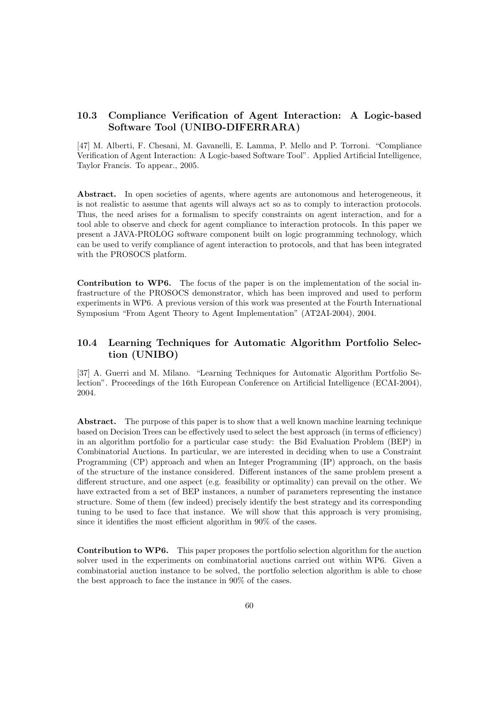## 10.3 Compliance Verification of Agent Interaction: A Logic-based Software Tool (UNIBO-DIFERRARA)

[47] M. Alberti, F. Chesani, M. Gavanelli, E. Lamma, P. Mello and P. Torroni. "Compliance Verification of Agent Interaction: A Logic-based Software Tool". Applied Artificial Intelligence, Taylor Francis. To appear., 2005.

Abstract. In open societies of agents, where agents are autonomous and heterogeneous, it is not realistic to assume that agents will always act so as to comply to interaction protocols. Thus, the need arises for a formalism to specify constraints on agent interaction, and for a tool able to observe and check for agent compliance to interaction protocols. In this paper we present a JAVA-PROLOG software component built on logic programming technology, which can be used to verify compliance of agent interaction to protocols, and that has been integrated with the PROSOCS platform.

Contribution to WP6. The focus of the paper is on the implementation of the social infrastructure of the PROSOCS demonstrator, which has been improved and used to perform experiments in WP6. A previous version of this work was presented at the Fourth International Symposium "From Agent Theory to Agent Implementation" (AT2AI-2004), 2004.

### 10.4 Learning Techniques for Automatic Algorithm Portfolio Selection (UNIBO)

[37] A. Guerri and M. Milano. "Learning Techniques for Automatic Algorithm Portfolio Selection". Proceedings of the 16th European Conference on Artificial Intelligence (ECAI-2004), 2004.

Abstract. The purpose of this paper is to show that a well known machine learning technique based on Decision Trees can be effectively used to select the best approach (in terms of efficiency) in an algorithm portfolio for a particular case study: the Bid Evaluation Problem (BEP) in Combinatorial Auctions. In particular, we are interested in deciding when to use a Constraint Programming (CP) approach and when an Integer Programming (IP) approach, on the basis of the structure of the instance considered. Different instances of the same problem present a different structure, and one aspect (e.g. feasibility or optimality) can prevail on the other. We have extracted from a set of BEP instances, a number of parameters representing the instance structure. Some of them (few indeed) precisely identify the best strategy and its corresponding tuning to be used to face that instance. We will show that this approach is very promising, since it identifies the most efficient algorithm in 90% of the cases.

Contribution to WP6. This paper proposes the portfolio selection algorithm for the auction solver used in the experiments on combinatorial auctions carried out within WP6. Given a combinatorial auction instance to be solved, the portfolio selection algorithm is able to chose the best approach to face the instance in 90% of the cases.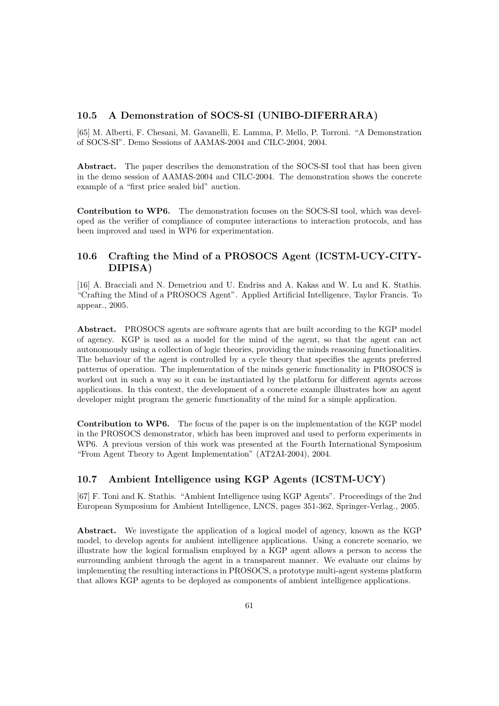#### 10.5 A Demonstration of SOCS-SI (UNIBO-DIFERRARA)

[65] M. Alberti, F. Chesani, M. Gavanelli, E. Lamma, P. Mello, P. Torroni. "A Demonstration of SOCS-SI". Demo Sessions of AAMAS-2004 and CILC-2004, 2004.

Abstract. The paper describes the demonstration of the SOCS-SI tool that has been given in the demo session of AAMAS-2004 and CILC-2004. The demonstration shows the concrete example of a "first price sealed bid" auction.

Contribution to WP6. The demonstration focuses on the SOCS-SI tool, which was developed as the verifier of compliance of computee interactions to interaction protocols, and has been improved and used in WP6 for experimentation.

## 10.6 Crafting the Mind of a PROSOCS Agent (ICSTM-UCY-CITY-DIPISA)

[16] A. Bracciali and N. Demetriou and U. Endriss and A. Kakas and W. Lu and K. Stathis. "Crafting the Mind of a PROSOCS Agent". Applied Artificial Intelligence, Taylor Francis. To appear., 2005.

Abstract. PROSOCS agents are software agents that are built according to the KGP model of agency. KGP is used as a model for the mind of the agent, so that the agent can act autonomously using a collection of logic theories, providing the minds reasoning functionalities. The behaviour of the agent is controlled by a cycle theory that specifies the agents preferred patterns of operation. The implementation of the minds generic functionality in PROSOCS is worked out in such a way so it can be instantiated by the platform for different agents across applications. In this context, the development of a concrete example illustrates how an agent developer might program the generic functionality of the mind for a simple application.

Contribution to WP6. The focus of the paper is on the implementation of the KGP model in the PROSOCS demonstrator, which has been improved and used to perform experiments in WP6. A previous version of this work was presented at the Fourth International Symposium "From Agent Theory to Agent Implementation" (AT2AI-2004), 2004.

#### 10.7 Ambient Intelligence using KGP Agents (ICSTM-UCY)

[67] F. Toni and K. Stathis. "Ambient Intelligence using KGP Agents". Proceedings of the 2nd European Symposium for Ambient Intelligence, LNCS, pages 351-362, Springer-Verlag., 2005.

Abstract. We investigate the application of a logical model of agency, known as the KGP model, to develop agents for ambient intelligence applications. Using a concrete scenario, we illustrate how the logical formalism employed by a KGP agent allows a person to access the surrounding ambient through the agent in a transparent manner. We evaluate our claims by implementing the resulting interactions in PROSOCS, a prototype multi-agent systems platform that allows KGP agents to be deployed as components of ambient intelligence applications.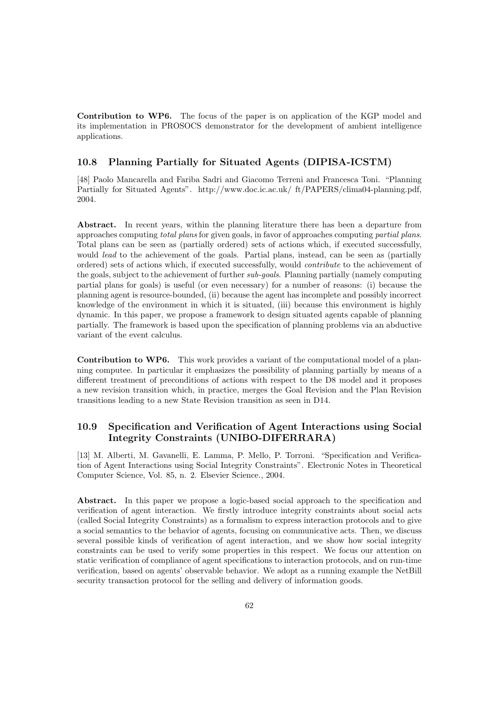Contribution to WP6. The focus of the paper is on application of the KGP model and its implementation in PROSOCS demonstrator for the development of ambient intelligence applications.

#### 10.8 Planning Partially for Situated Agents (DIPISA-ICSTM)

[48] Paolo Mancarella and Fariba Sadri and Giacomo Terreni and Francesca Toni. "Planning Partially for Situated Agents". http://www.doc.ic.ac.uk/ ft/PAPERS/clima04-planning.pdf, 2004.

Abstract. In recent years, within the planning literature there has been a departure from approaches computing total plans for given goals, in favor of approaches computing partial plans. Total plans can be seen as (partially ordered) sets of actions which, if executed successfully, would *lead* to the achievement of the goals. Partial plans, instead, can be seen as (partially ordered) sets of actions which, if executed successfully, would contribute to the achievement of the goals, subject to the achievement of further sub-goals. Planning partially (namely computing partial plans for goals) is useful (or even necessary) for a number of reasons: (i) because the planning agent is resource-bounded, (ii) because the agent has incomplete and possibly incorrect knowledge of the environment in which it is situated, (iii) because this environment is highly dynamic. In this paper, we propose a framework to design situated agents capable of planning partially. The framework is based upon the specification of planning problems via an abductive variant of the event calculus.

Contribution to WP6. This work provides a variant of the computational model of a planning computee. In particular it emphasizes the possibility of planning partially by means of a different treatment of preconditions of actions with respect to the D8 model and it proposes a new revision transition which, in practice, merges the Goal Revision and the Plan Revision transitions leading to a new State Revision transition as seen in D14.

### 10.9 Specification and Verification of Agent Interactions using Social Integrity Constraints (UNIBO-DIFERRARA)

[13] M. Alberti, M. Gavanelli, E. Lamma, P. Mello, P. Torroni. "Specification and Verification of Agent Interactions using Social Integrity Constraints". Electronic Notes in Theoretical Computer Science, Vol. 85, n. 2. Elsevier Science., 2004.

Abstract. In this paper we propose a logic-based social approach to the specification and verification of agent interaction. We firstly introduce integrity constraints about social acts (called Social Integrity Constraints) as a formalism to express interaction protocols and to give a social semantics to the behavior of agents, focusing on communicative acts. Then, we discuss several possible kinds of verification of agent interaction, and we show how social integrity constraints can be used to verify some properties in this respect. We focus our attention on static verification of compliance of agent specifications to interaction protocols, and on run-time verification, based on agents' observable behavior. We adopt as a running example the NetBill security transaction protocol for the selling and delivery of information goods.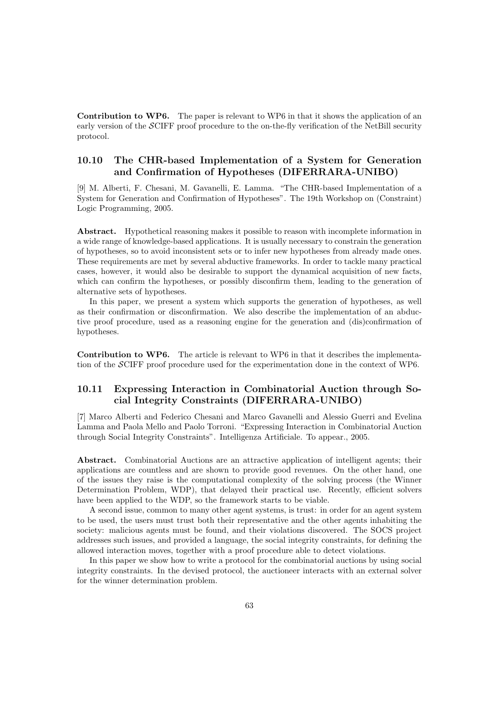Contribution to WP6. The paper is relevant to WP6 in that it shows the application of an early version of the SCIFF proof procedure to the on-the-fly verification of the NetBill security protocol.

## 10.10 The CHR-based Implementation of a System for Generation and Confirmation of Hypotheses (DIFERRARA-UNIBO)

[9] M. Alberti, F. Chesani, M. Gavanelli, E. Lamma. "The CHR-based Implementation of a System for Generation and Confirmation of Hypotheses". The 19th Workshop on (Constraint) Logic Programming, 2005.

Abstract. Hypothetical reasoning makes it possible to reason with incomplete information in a wide range of knowledge-based applications. It is usually necessary to constrain the generation of hypotheses, so to avoid inconsistent sets or to infer new hypotheses from already made ones. These requirements are met by several abductive frameworks. In order to tackle many practical cases, however, it would also be desirable to support the dynamical acquisition of new facts, which can confirm the hypotheses, or possibly disconfirm them, leading to the generation of alternative sets of hypotheses.

In this paper, we present a system which supports the generation of hypotheses, as well as their confirmation or disconfirmation. We also describe the implementation of an abductive proof procedure, used as a reasoning engine for the generation and (dis)confirmation of hypotheses.

Contribution to WP6. The article is relevant to WP6 in that it describes the implementation of the SCIFF proof procedure used for the experimentation done in the context of WP6.

## 10.11 Expressing Interaction in Combinatorial Auction through Social Integrity Constraints (DIFERRARA-UNIBO)

[7] Marco Alberti and Federico Chesani and Marco Gavanelli and Alessio Guerri and Evelina Lamma and Paola Mello and Paolo Torroni. "Expressing Interaction in Combinatorial Auction through Social Integrity Constraints". Intelligenza Artificiale. To appear., 2005.

Abstract. Combinatorial Auctions are an attractive application of intelligent agents; their applications are countless and are shown to provide good revenues. On the other hand, one of the issues they raise is the computational complexity of the solving process (the Winner Determination Problem, WDP), that delayed their practical use. Recently, efficient solvers have been applied to the WDP, so the framework starts to be viable.

A second issue, common to many other agent systems, is trust: in order for an agent system to be used, the users must trust both their representative and the other agents inhabiting the society: malicious agents must be found, and their violations discovered. The SOCS project addresses such issues, and provided a language, the social integrity constraints, for defining the allowed interaction moves, together with a proof procedure able to detect violations.

In this paper we show how to write a protocol for the combinatorial auctions by using social integrity constraints. In the devised protocol, the auctioneer interacts with an external solver for the winner determination problem.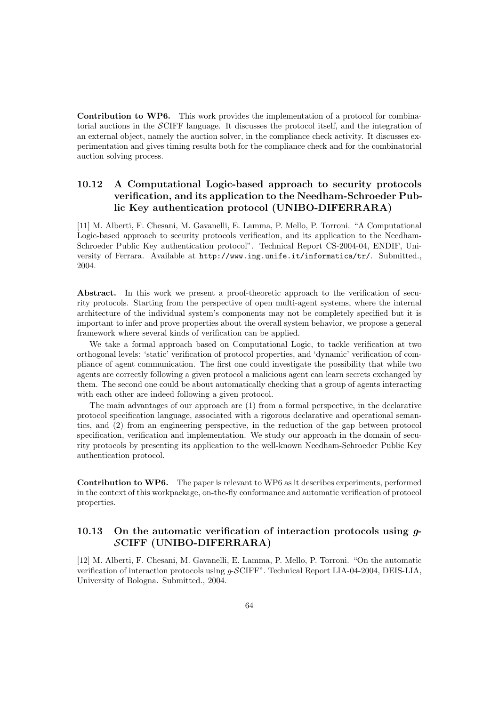Contribution to WP6. This work provides the implementation of a protocol for combinatorial auctions in the SCIFF language. It discusses the protocol itself, and the integration of an external object, namely the auction solver, in the compliance check activity. It discusses experimentation and gives timing results both for the compliance check and for the combinatorial auction solving process.

# 10.12 A Computational Logic-based approach to security protocols verification, and its application to the Needham-Schroeder Public Key authentication protocol (UNIBO-DIFERRARA)

[11] M. Alberti, F. Chesani, M. Gavanelli, E. Lamma, P. Mello, P. Torroni. "A Computational Logic-based approach to security protocols verification, and its application to the Needham-Schroeder Public Key authentication protocol". Technical Report CS-2004-04, ENDIF, University of Ferrara. Available at http://www.ing.unife.it/informatica/tr/. Submitted., 2004.

Abstract. In this work we present a proof-theoretic approach to the verification of security protocols. Starting from the perspective of open multi-agent systems, where the internal architecture of the individual system's components may not be completely specified but it is important to infer and prove properties about the overall system behavior, we propose a general framework where several kinds of verification can be applied.

We take a formal approach based on Computational Logic, to tackle verification at two orthogonal levels: 'static' verification of protocol properties, and 'dynamic' verification of compliance of agent communication. The first one could investigate the possibility that while two agents are correctly following a given protocol a malicious agent can learn secrets exchanged by them. The second one could be about automatically checking that a group of agents interacting with each other are indeed following a given protocol.

The main advantages of our approach are (1) from a formal perspective, in the declarative protocol specification language, associated with a rigorous declarative and operational semantics, and (2) from an engineering perspective, in the reduction of the gap between protocol specification, verification and implementation. We study our approach in the domain of security protocols by presenting its application to the well-known Needham-Schroeder Public Key authentication protocol.

Contribution to WP6. The paper is relevant to WP6 as it describes experiments, performed in the context of this workpackage, on-the-fly conformance and automatic verification of protocol properties.

### 10.13 On the automatic verification of interaction protocols using  $g$ -SCIFF (UNIBO-DIFERRARA)

[12] M. Alberti, F. Chesani, M. Gavanelli, E. Lamma, P. Mello, P. Torroni. "On the automatic verification of interaction protocols using  $q$ -SCIFF". Technical Report LIA-04-2004, DEIS-LIA, University of Bologna. Submitted., 2004.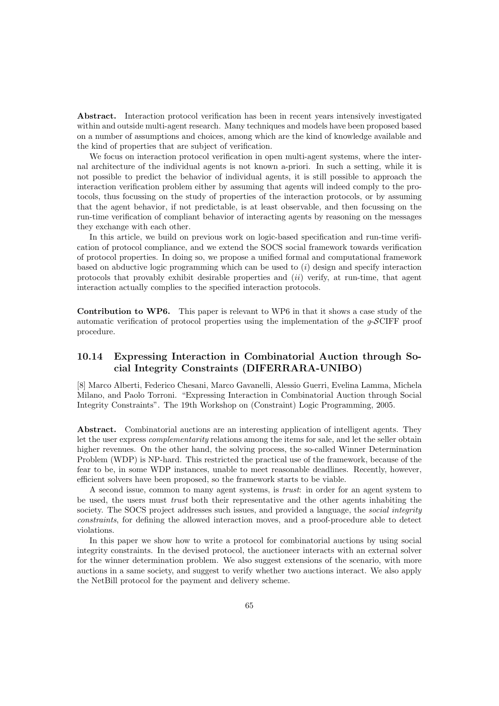Abstract. Interaction protocol verification has been in recent years intensively investigated within and outside multi-agent research. Many techniques and models have been proposed based on a number of assumptions and choices, among which are the kind of knowledge available and the kind of properties that are subject of verification.

We focus on interaction protocol verification in open multi-agent systems, where the internal architecture of the individual agents is not known a-priori. In such a setting, while it is not possible to predict the behavior of individual agents, it is still possible to approach the interaction verification problem either by assuming that agents will indeed comply to the protocols, thus focussing on the study of properties of the interaction protocols, or by assuming that the agent behavior, if not predictable, is at least observable, and then focussing on the run-time verification of compliant behavior of interacting agents by reasoning on the messages they exchange with each other.

In this article, we build on previous work on logic-based specification and run-time verification of protocol compliance, and we extend the SOCS social framework towards verification of protocol properties. In doing so, we propose a unified formal and computational framework based on abductive logic programming which can be used to  $(i)$  design and specify interaction protocols that provably exhibit desirable properties and  $(ii)$  verify, at run-time, that agent interaction actually complies to the specified interaction protocols.

Contribution to WP6. This paper is relevant to WP6 in that it shows a case study of the automatic verification of protocol properties using the implementation of the  $g$ -SCIFF proof procedure.

## 10.14 Expressing Interaction in Combinatorial Auction through Social Integrity Constraints (DIFERRARA-UNIBO)

[8] Marco Alberti, Federico Chesani, Marco Gavanelli, Alessio Guerri, Evelina Lamma, Michela Milano, and Paolo Torroni. "Expressing Interaction in Combinatorial Auction through Social Integrity Constraints". The 19th Workshop on (Constraint) Logic Programming, 2005.

Abstract. Combinatorial auctions are an interesting application of intelligent agents. They let the user express complementarity relations among the items for sale, and let the seller obtain higher revenues. On the other hand, the solving process, the so-called Winner Determination Problem (WDP) is NP-hard. This restricted the practical use of the framework, because of the fear to be, in some WDP instances, unable to meet reasonable deadlines. Recently, however, efficient solvers have been proposed, so the framework starts to be viable.

A second issue, common to many agent systems, is trust: in order for an agent system to be used, the users must trust both their representative and the other agents inhabiting the society. The SOCS project addresses such issues, and provided a language, the *social integrity* constraints, for defining the allowed interaction moves, and a proof-procedure able to detect violations.

In this paper we show how to write a protocol for combinatorial auctions by using social integrity constraints. In the devised protocol, the auctioneer interacts with an external solver for the winner determination problem. We also suggest extensions of the scenario, with more auctions in a same society, and suggest to verify whether two auctions interact. We also apply the NetBill protocol for the payment and delivery scheme.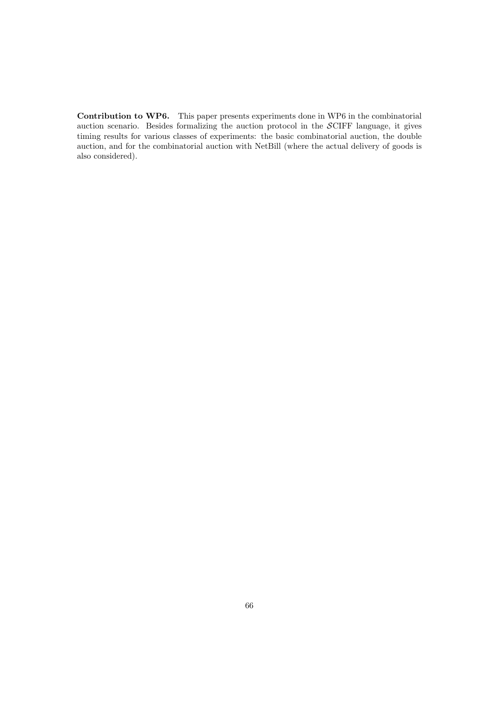Contribution to WP6. This paper presents experiments done in WP6 in the combinatorial auction scenario. Besides formalizing the auction protocol in the SCIFF language, it gives timing results for various classes of experiments: the basic combinatorial auction, the double auction, and for the combinatorial auction with NetBill (where the actual delivery of goods is also considered).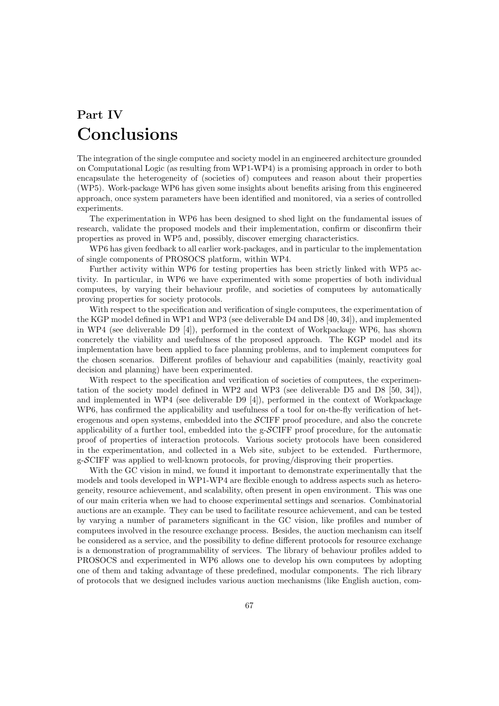# Part IV Conclusions

The integration of the single computee and society model in an engineered architecture grounded on Computational Logic (as resulting from WP1-WP4) is a promising approach in order to both encapsulate the heterogeneity of (societies of) computees and reason about their properties (WP5). Work-package WP6 has given some insights about benefits arising from this engineered approach, once system parameters have been identified and monitored, via a series of controlled experiments.

The experimentation in WP6 has been designed to shed light on the fundamental issues of research, validate the proposed models and their implementation, confirm or disconfirm their properties as proved in WP5 and, possibly, discover emerging characteristics.

WP6 has given feedback to all earlier work-packages, and in particular to the implementation of single components of PROSOCS platform, within WP4.

Further activity within WP6 for testing properties has been strictly linked with WP5 activity. In particular, in WP6 we have experimented with some properties of both individual computees, by varying their behaviour profile, and societies of computees by automatically proving properties for society protocols.

With respect to the specification and verification of single computees, the experimentation of the KGP model defined in WP1 and WP3 (see deliverable D4 and D8 [40, 34]), and implemented in WP4 (see deliverable D9 [4]), performed in the context of Workpackage WP6, has shown concretely the viability and usefulness of the proposed approach. The KGP model and its implementation have been applied to face planning problems, and to implement computees for the chosen scenarios. Different profiles of behaviour and capabilities (mainly, reactivity goal decision and planning) have been experimented.

With respect to the specification and verification of societies of computees, the experimentation of the society model defined in WP2 and WP3 (see deliverable D5 and D8 [50, 34]), and implemented in WP4 (see deliverable D9 [4]), performed in the context of Workpackage WP6, has confirmed the applicability and usefulness of a tool for on-the-fly verification of heterogenous and open systems, embedded into the SCIFF proof procedure, and also the concrete applicability of a further tool, embedded into the g-SCIFF proof procedure, for the automatic proof of properties of interaction protocols. Various society protocols have been considered in the experimentation, and collected in a Web site, subject to be extended. Furthermore, g-SCIFF was applied to well-known protocols, for proving/disproving their properties.

With the GC vision in mind, we found it important to demonstrate experimentally that the models and tools developed in WP1-WP4 are flexible enough to address aspects such as heterogeneity, resource achievement, and scalability, often present in open environment. This was one of our main criteria when we had to choose experimental settings and scenarios. Combinatorial auctions are an example. They can be used to facilitate resource achievement, and can be tested by varying a number of parameters significant in the GC vision, like profiles and number of computees involved in the resource exchange process. Besides, the auction mechanism can itself be considered as a service, and the possibility to define different protocols for resource exchange is a demonstration of programmability of services. The library of behaviour profiles added to PROSOCS and experimented in WP6 allows one to develop his own computees by adopting one of them and taking advantage of these predefined, modular components. The rich library of protocols that we designed includes various auction mechanisms (like English auction, com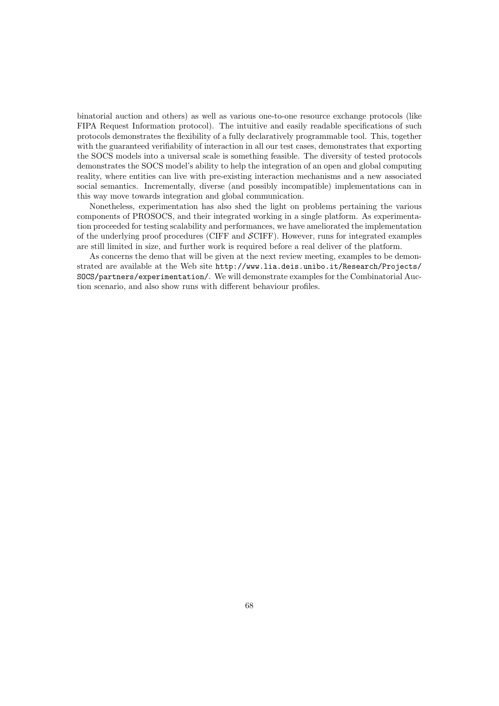binatorial auction and others) as well as various one-to-one resource exchange protocols (like FIPA Request Information protocol). The intuitive and easily readable specifications of such protocols demonstrates the flexibility of a fully declaratively programmable tool. This, together with the guaranteed verifiability of interaction in all our test cases, demonstrates that exporting the SOCS models into a universal scale is something feasible. The diversity of tested protocols demonstrates the SOCS model's ability to help the integration of an open and global computing reality, where entities can live with pre-existing interaction mechanisms and a new associated social semantics. Incrementally, diverse (and possibly incompatible) implementations can in this way move towards integration and global communication.

Nonetheless, experimentation has also shed the light on problems pertaining the various components of PROSOCS, and their integrated working in a single platform. As experimentation proceeded for testing scalability and performances, we have ameliorated the implementation of the underlying proof procedures (CIFF and SCIFF). However, runs for integrated examples are still limited in size, and further work is required before a real deliver of the platform.

As concerns the demo that will be given at the next review meeting, examples to be demonstrated are available at the Web site http://www.lia.deis.unibo.it/Research/Projects/ SOCS/partners/experimentation/. We will demonstrate examples for the Combinatorial Auction scenario, and also show runs with different behaviour profiles.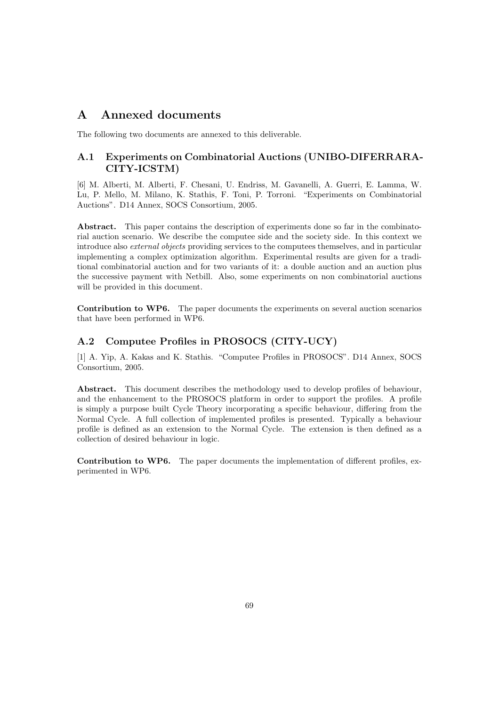# A Annexed documents

The following two documents are annexed to this deliverable.

# A.1 Experiments on Combinatorial Auctions (UNIBO-DIFERRARA-CITY-ICSTM)

[6] M. Alberti, M. Alberti, F. Chesani, U. Endriss, M. Gavanelli, A. Guerri, E. Lamma, W. Lu, P. Mello, M. Milano, K. Stathis, F. Toni, P. Torroni. "Experiments on Combinatorial Auctions". D14 Annex, SOCS Consortium, 2005.

Abstract. This paper contains the description of experiments done so far in the combinatorial auction scenario. We describe the computee side and the society side. In this context we introduce also external objects providing services to the computees themselves, and in particular implementing a complex optimization algorithm. Experimental results are given for a traditional combinatorial auction and for two variants of it: a double auction and an auction plus the successive payment with Netbill. Also, some experiments on non combinatorial auctions will be provided in this document.

Contribution to WP6. The paper documents the experiments on several auction scenarios that have been performed in WP6.

# A.2 Computee Profiles in PROSOCS (CITY-UCY)

[1] A. Yip, A. Kakas and K. Stathis. "Computee Profiles in PROSOCS". D14 Annex, SOCS Consortium, 2005.

Abstract. This document describes the methodology used to develop profiles of behaviour, and the enhancement to the PROSOCS platform in order to support the profiles. A profile is simply a purpose built Cycle Theory incorporating a specific behaviour, differing from the Normal Cycle. A full collection of implemented profiles is presented. Typically a behaviour profile is defined as an extension to the Normal Cycle. The extension is then defined as a collection of desired behaviour in logic.

Contribution to WP6. The paper documents the implementation of different profiles, experimented in WP6.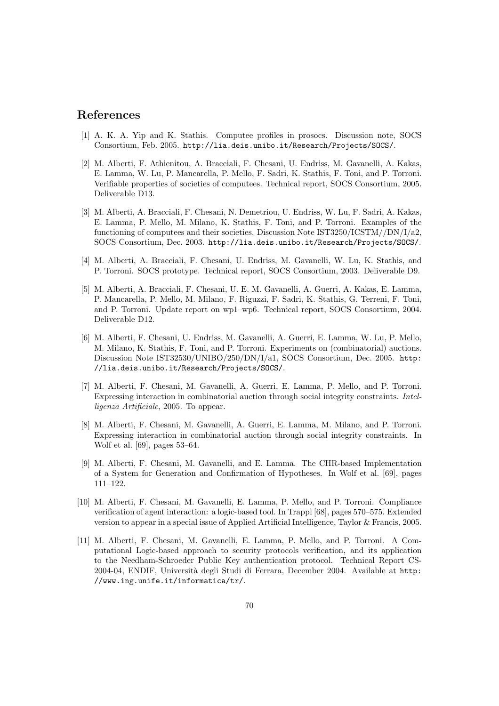# References

- [1] A. K. A. Yip and K. Stathis. Computee profiles in prosocs. Discussion note, SOCS Consortium, Feb. 2005. http://lia.deis.unibo.it/Research/Projects/SOCS/.
- [2] M. Alberti, F. Athienitou, A. Bracciali, F. Chesani, U. Endriss, M. Gavanelli, A. Kakas, E. Lamma, W. Lu, P. Mancarella, P. Mello, F. Sadri, K. Stathis, F. Toni, and P. Torroni. Verifiable properties of societies of computees. Technical report, SOCS Consortium, 2005. Deliverable D13.
- [3] M. Alberti, A. Bracciali, F. Chesani, N. Demetriou, U. Endriss, W. Lu, F. Sadri, A. Kakas, E. Lamma, P. Mello, M. Milano, K. Stathis, F. Toni, and P. Torroni. Examples of the functioning of computees and their societies. Discussion Note IST3250/ICSTM//DN/I/a2, SOCS Consortium, Dec. 2003. http://lia.deis.unibo.it/Research/Projects/SOCS/.
- [4] M. Alberti, A. Bracciali, F. Chesani, U. Endriss, M. Gavanelli, W. Lu, K. Stathis, and P. Torroni. SOCS prototype. Technical report, SOCS Consortium, 2003. Deliverable D9.
- [5] M. Alberti, A. Bracciali, F. Chesani, U. E. M. Gavanelli, A. Guerri, A. Kakas, E. Lamma, P. Mancarella, P. Mello, M. Milano, F. Riguzzi, F. Sadri, K. Stathis, G. Terreni, F. Toni, and P. Torroni. Update report on wp1–wp6. Technical report, SOCS Consortium, 2004. Deliverable D12.
- [6] M. Alberti, F. Chesani, U. Endriss, M. Gavanelli, A. Guerri, E. Lamma, W. Lu, P. Mello, M. Milano, K. Stathis, F. Toni, and P. Torroni. Experiments on (combinatorial) auctions. Discussion Note IST32530/UNIBO/250/DN/I/a1, SOCS Consortium, Dec. 2005. http: //lia.deis.unibo.it/Research/Projects/SOCS/.
- [7] M. Alberti, F. Chesani, M. Gavanelli, A. Guerri, E. Lamma, P. Mello, and P. Torroni. Expressing interaction in combinatorial auction through social integrity constraints. Intelligenza Artificiale, 2005. To appear.
- [8] M. Alberti, F. Chesani, M. Gavanelli, A. Guerri, E. Lamma, M. Milano, and P. Torroni. Expressing interaction in combinatorial auction through social integrity constraints. In Wolf et al. [69], pages 53–64.
- [9] M. Alberti, F. Chesani, M. Gavanelli, and E. Lamma. The CHR-based Implementation of a System for Generation and Confirmation of Hypotheses. In Wolf et al. [69], pages 111–122.
- [10] M. Alberti, F. Chesani, M. Gavanelli, E. Lamma, P. Mello, and P. Torroni. Compliance verification of agent interaction: a logic-based tool. In Trappl [68], pages 570–575. Extended version to appear in a special issue of Applied Artificial Intelligence, Taylor & Francis, 2005.
- [11] M. Alberti, F. Chesani, M. Gavanelli, E. Lamma, P. Mello, and P. Torroni. A Computational Logic-based approach to security protocols verification, and its application to the Needham-Schroeder Public Key authentication protocol. Technical Report CS-2004-04, ENDIF, Università degli Studi di Ferrara, December 2004. Available at http: //www.ing.unife.it/informatica/tr/.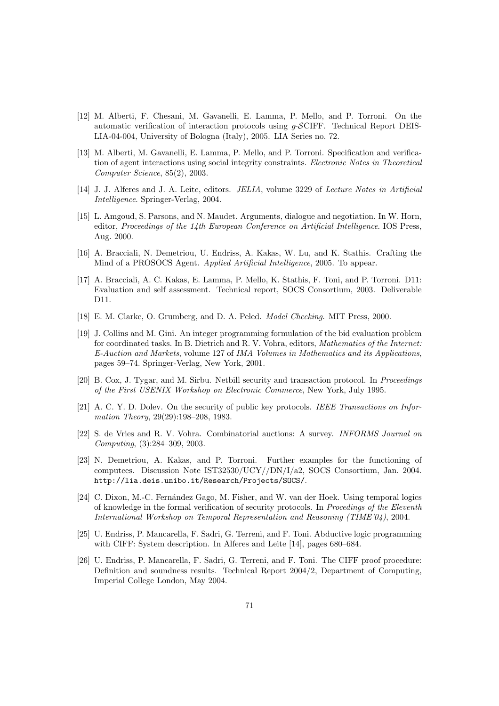- [12] M. Alberti, F. Chesani, M. Gavanelli, E. Lamma, P. Mello, and P. Torroni. On the automatic verification of interaction protocols using g-SCIFF. Technical Report DEIS-LIA-04-004, University of Bologna (Italy), 2005. LIA Series no. 72.
- [13] M. Alberti, M. Gavanelli, E. Lamma, P. Mello, and P. Torroni. Specification and verification of agent interactions using social integrity constraints. Electronic Notes in Theoretical Computer Science, 85(2), 2003.
- [14] J. J. Alferes and J. A. Leite, editors. JELIA, volume 3229 of Lecture Notes in Artificial Intelligence. Springer-Verlag, 2004.
- [15] L. Amgoud, S. Parsons, and N. Maudet. Arguments, dialogue and negotiation. In W. Horn, editor, Proceedings of the 14th European Conference on Artificial Intelligence. IOS Press, Aug. 2000.
- [16] A. Bracciali, N. Demetriou, U. Endriss, A. Kakas, W. Lu, and K. Stathis. Crafting the Mind of a PROSOCS Agent. Applied Artificial Intelligence, 2005. To appear.
- [17] A. Bracciali, A. C. Kakas, E. Lamma, P. Mello, K. Stathis, F. Toni, and P. Torroni. D11: Evaluation and self assessment. Technical report, SOCS Consortium, 2003. Deliverable D11.
- [18] E. M. Clarke, O. Grumberg, and D. A. Peled. Model Checking. MIT Press, 2000.
- [19] J. Collins and M. Gini. An integer programming formulation of the bid evaluation problem for coordinated tasks. In B. Dietrich and R. V. Vohra, editors, Mathematics of the Internet: E-Auction and Markets, volume 127 of IMA Volumes in Mathematics and its Applications, pages 59–74. Springer-Verlag, New York, 2001.
- [20] B. Cox, J. Tygar, and M. Sirbu. Netbill security and transaction protocol. In Proceedings of the First USENIX Workshop on Electronic Commerce, New York, July 1995.
- [21] A. C. Y. D. Dolev. On the security of public key protocols. IEEE Transactions on Information Theory, 29(29):198–208, 1983.
- [22] S. de Vries and R. V. Vohra. Combinatorial auctions: A survey. INFORMS Journal on Computing, (3):284–309, 2003.
- [23] N. Demetriou, A. Kakas, and P. Torroni. Further examples for the functioning of computees. Discussion Note IST32530/UCY//DN/I/a2, SOCS Consortium, Jan. 2004. http://lia.deis.unibo.it/Research/Projects/SOCS/.
- [24] C. Dixon, M.-C. Fernández Gago, M. Fisher, and W. van der Hoek. Using temporal logics of knowledge in the formal verification of security protocols. In Procedings of the Eleventh International Workshop on Temporal Representation and Reasoning (TIME'04), 2004.
- [25] U. Endriss, P. Mancarella, F. Sadri, G. Terreni, and F. Toni. Abductive logic programming with CIFF: System description. In Alferes and Leite [14], pages 680–684.
- [26] U. Endriss, P. Mancarella, F. Sadri, G. Terreni, and F. Toni. The CIFF proof procedure: Definition and soundness results. Technical Report 2004/2, Department of Computing, Imperial College London, May 2004.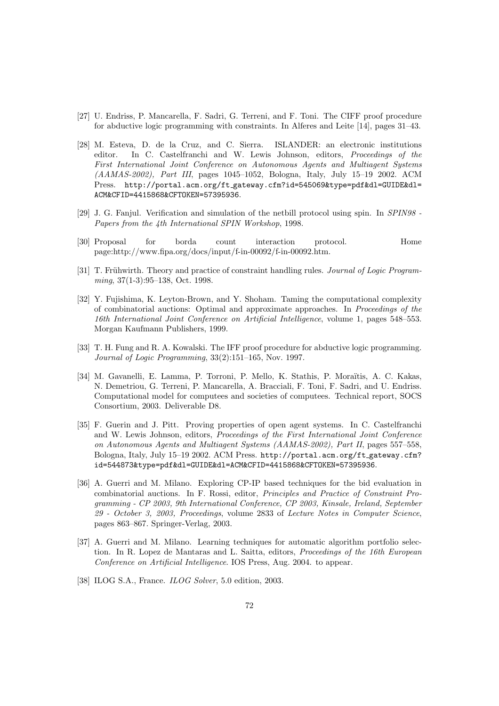- [27] U. Endriss, P. Mancarella, F. Sadri, G. Terreni, and F. Toni. The CIFF proof procedure for abductive logic programming with constraints. In Alferes and Leite [14], pages 31–43.
- [28] M. Esteva, D. de la Cruz, and C. Sierra. ISLANDER: an electronic institutions editor. In C. Castelfranchi and W. Lewis Johnson, editors, *Proceedings of the* First International Joint Conference on Autonomous Agents and Multiagent Systems (AAMAS-2002), Part III, pages 1045–1052, Bologna, Italy, July 15–19 2002. ACM Press. http://portal.acm.org/ft\_gateway.cfm?id=545069&type=pdf&dl=GUIDE&dl= ACM&CFID=4415868&CFTOKEN=57395936.
- [29] J. G. Fanjul. Verification and simulation of the netbill protocol using spin. In SPIN98 Papers from the 4th International SPIN Workshop, 1998.
- [30] Proposal for borda count interaction protocol. Home page:http://www.fipa.org/docs/input/f-in-00092/f-in-00092.htm.
- [31] T. Frühwirth. Theory and practice of constraint handling rules. Journal of Logic Programming, 37(1-3):95–138, Oct. 1998.
- [32] Y. Fujishima, K. Leyton-Brown, and Y. Shoham. Taming the computational complexity of combinatorial auctions: Optimal and approximate approaches. In Proceedings of the 16th International Joint Conference on Artificial Intelligence, volume 1, pages 548–553. Morgan Kaufmann Publishers, 1999.
- [33] T. H. Fung and R. A. Kowalski. The IFF proof procedure for abductive logic programming. Journal of Logic Programming, 33(2):151–165, Nov. 1997.
- [34] M. Gavanelli, E. Lamma, P. Torroni, P. Mello, K. Stathis, P. Moraïtis, A. C. Kakas, N. Demetriou, G. Terreni, P. Mancarella, A. Bracciali, F. Toni, F. Sadri, and U. Endriss. Computational model for computees and societies of computees. Technical report, SOCS Consortium, 2003. Deliverable D8.
- [35] F. Guerin and J. Pitt. Proving properties of open agent systems. In C. Castelfranchi and W. Lewis Johnson, editors, Proceedings of the First International Joint Conference on Autonomous Agents and Multiagent Systems (AAMAS-2002), Part II, pages 557–558, Bologna, Italy, July 15–19 2002. ACM Press. http://portal.acm.org/ft gateway.cfm? id=544873&type=pdf&dl=GUIDE&dl=ACM&CFID=4415868&CFTOKEN=57395936.
- [36] A. Guerri and M. Milano. Exploring CP-IP based techniques for the bid evaluation in combinatorial auctions. In F. Rossi, editor, Principles and Practice of Constraint Programming - CP 2003, 9th International Conference, CP 2003, Kinsale, Ireland, September 29 - October 3, 2003, Proceedings, volume 2833 of Lecture Notes in Computer Science, pages 863–867. Springer-Verlag, 2003.
- [37] A. Guerri and M. Milano. Learning techniques for automatic algorithm portfolio selection. In R. Lopez de Mantaras and L. Saitta, editors, Proceedings of the 16th European Conference on Artificial Intelligence. IOS Press, Aug. 2004. to appear.
- [38] ILOG S.A., France. *ILOG Solver*, 5.0 edition, 2003.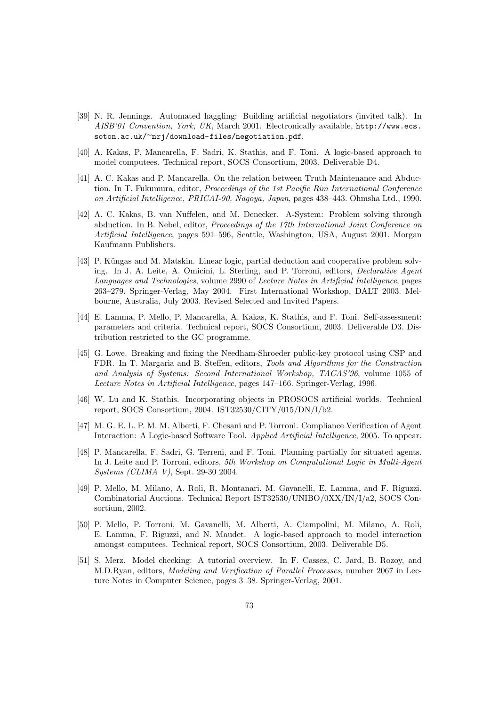- [39] N. R. Jennings. Automated haggling: Building artificial negotiators (invited talk). In AISB'01 Convention, York, UK, March 2001. Electronically available, http://www.ecs. soton.ac.uk/<sup>∼</sup>nrj/download-files/negotiation.pdf.
- [40] A. Kakas, P. Mancarella, F. Sadri, K. Stathis, and F. Toni. A logic-based approach to model computees. Technical report, SOCS Consortium, 2003. Deliverable D4.
- [41] A. C. Kakas and P. Mancarella. On the relation between Truth Maintenance and Abduction. In T. Fukumura, editor, Proceedings of the 1st Pacific Rim International Conference on Artificial Intelligence, PRICAI-90, Nagoya, Japan, pages 438–443. Ohmsha Ltd., 1990.
- [42] A. C. Kakas, B. van Nuffelen, and M. Denecker. A-System: Problem solving through abduction. In B. Nebel, editor, Proceedings of the 17th International Joint Conference on Artificial Intelligence, pages 591–596, Seattle, Washington, USA, August 2001. Morgan Kaufmann Publishers.
- [43] P. Küngas and M. Matskin. Linear logic, partial deduction and cooperative problem solving. In J. A. Leite, A. Omicini, L. Sterling, and P. Torroni, editors, Declarative Agent Languages and Technologies, volume 2990 of Lecture Notes in Artificial Intelligence, pages 263–279. Springer-Verlag, May 2004. First International Workshop, DALT 2003. Melbourne, Australia, July 2003. Revised Selected and Invited Papers.
- [44] E. Lamma, P. Mello, P. Mancarella, A. Kakas, K. Stathis, and F. Toni. Self-assessment: parameters and criteria. Technical report, SOCS Consortium, 2003. Deliverable D3. Distribution restricted to the GC programme.
- [45] G. Lowe. Breaking and fixing the Needham-Shroeder public-key protocol using CSP and FDR. In T. Margaria and B. Steffen, editors, Tools and Algorithms for the Construction and Analysis of Systems: Second International Workshop, TACAS'96, volume 1055 of Lecture Notes in Artificial Intelligence, pages 147–166. Springer-Verlag, 1996.
- [46] W. Lu and K. Stathis. Incorporating objects in PROSOCS artificial worlds. Technical report, SOCS Consortium, 2004. IST32530/CITY/015/DN/I/b2.
- [47] M. G. E. L. P. M. M. Alberti, F. Chesani and P. Torroni. Compliance Verification of Agent Interaction: A Logic-based Software Tool. Applied Artificial Intelligence, 2005. To appear.
- [48] P. Mancarella, F. Sadri, G. Terreni, and F. Toni. Planning partially for situated agents. In J. Leite and P. Torroni, editors, 5th Workshop on Computational Logic in Multi-Agent Systems (CLIMA V), Sept. 29-30 2004.
- [49] P. Mello, M. Milano, A. Roli, R. Montanari, M. Gavanelli, E. Lamma, and F. Riguzzi. Combinatorial Auctions. Technical Report IST32530/UNIBO/0XX/IN/I/a2, SOCS Consortium, 2002.
- [50] P. Mello, P. Torroni, M. Gavanelli, M. Alberti, A. Ciampolini, M. Milano, A. Roli, E. Lamma, F. Riguzzi, and N. Maudet. A logic-based approach to model interaction amongst computees. Technical report, SOCS Consortium, 2003. Deliverable D5.
- [51] S. Merz. Model checking: A tutorial overview. In F. Cassez, C. Jard, B. Rozoy, and M.D.Ryan, editors, Modeling and Verification of Parallel Processes, number 2067 in Lecture Notes in Computer Science, pages 3–38. Springer-Verlag, 2001.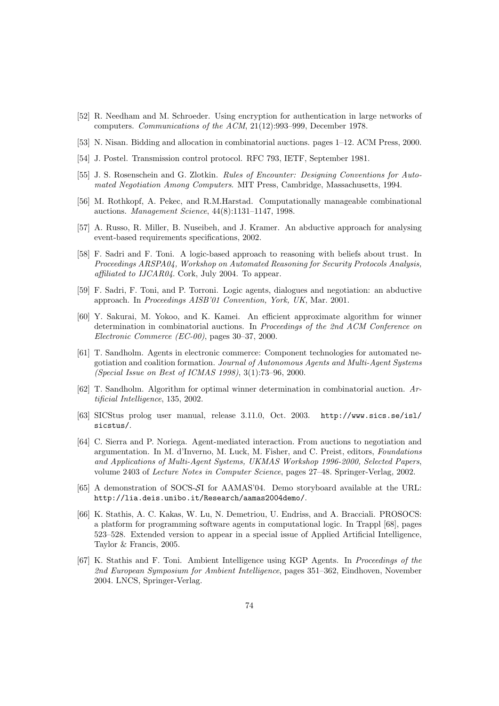- [52] R. Needham and M. Schroeder. Using encryption for authentication in large networks of computers. Communications of the ACM, 21(12):993–999, December 1978.
- [53] N. Nisan. Bidding and allocation in combinatorial auctions. pages 1–12. ACM Press, 2000.
- [54] J. Postel. Transmission control protocol. RFC 793, IETF, September 1981.
- [55] J. S. Rosenschein and G. Zlotkin. Rules of Encounter: Designing Conventions for Automated Negotiation Among Computers. MIT Press, Cambridge, Massachusetts, 1994.
- [56] M. Rothkopf, A. Pekec, and R.M.Harstad. Computationally manageable combinational auctions. Management Science, 44(8):1131–1147, 1998.
- [57] A. Russo, R. Miller, B. Nuseibeh, and J. Kramer. An abductive approach for analysing event-based requirements specifications, 2002.
- [58] F. Sadri and F. Toni. A logic-based approach to reasoning with beliefs about trust. In Proceedings ARSPA04, Workshop on Automated Reasoning for Security Protocols Analysis, affiliated to IJCAR04. Cork, July 2004. To appear.
- [59] F. Sadri, F. Toni, and P. Torroni. Logic agents, dialogues and negotiation: an abductive approach. In Proceedings AISB'01 Convention, York, UK, Mar. 2001.
- [60] Y. Sakurai, M. Yokoo, and K. Kamei. An efficient approximate algorithm for winner determination in combinatorial auctions. In Proceedings of the 2nd ACM Conference on Electronic Commerce (EC-00), pages 30–37, 2000.
- [61] T. Sandholm. Agents in electronic commerce: Component technologies for automated negotiation and coalition formation. Journal of Autonomous Agents and Multi-Agent Systems (Special Issue on Best of ICMAS 1998), 3(1):73–96, 2000.
- [62] T. Sandholm. Algorithm for optimal winner determination in combinatorial auction. Artificial Intelligence, 135, 2002.
- [63] SICStus prolog user manual, release 3.11.0, Oct. 2003. http://www.sics.se/isl/ sicstus/.
- [64] C. Sierra and P. Noriega. Agent-mediated interaction. From auctions to negotiation and argumentation. In M. d'Inverno, M. Luck, M. Fisher, and C. Preist, editors, Foundations and Applications of Multi-Agent Systems, UKMAS Workshop 1996-2000, Selected Papers, volume 2403 of Lecture Notes in Computer Science, pages 27–48. Springer-Verlag, 2002.
- [65] A demonstration of SOCS-SI for AAMAS'04. Demo storyboard available at the URL: http://lia.deis.unibo.it/Research/aamas2004demo/.
- [66] K. Stathis, A. C. Kakas, W. Lu, N. Demetriou, U. Endriss, and A. Bracciali. PROSOCS: a platform for programming software agents in computational logic. In Trappl [68], pages 523–528. Extended version to appear in a special issue of Applied Artificial Intelligence, Taylor & Francis, 2005.
- [67] K. Stathis and F. Toni. Ambient Intelligence using KGP Agents. In Proceedings of the 2nd European Symposium for Ambient Intelligence, pages 351–362, Eindhoven, November 2004. LNCS, Springer-Verlag.